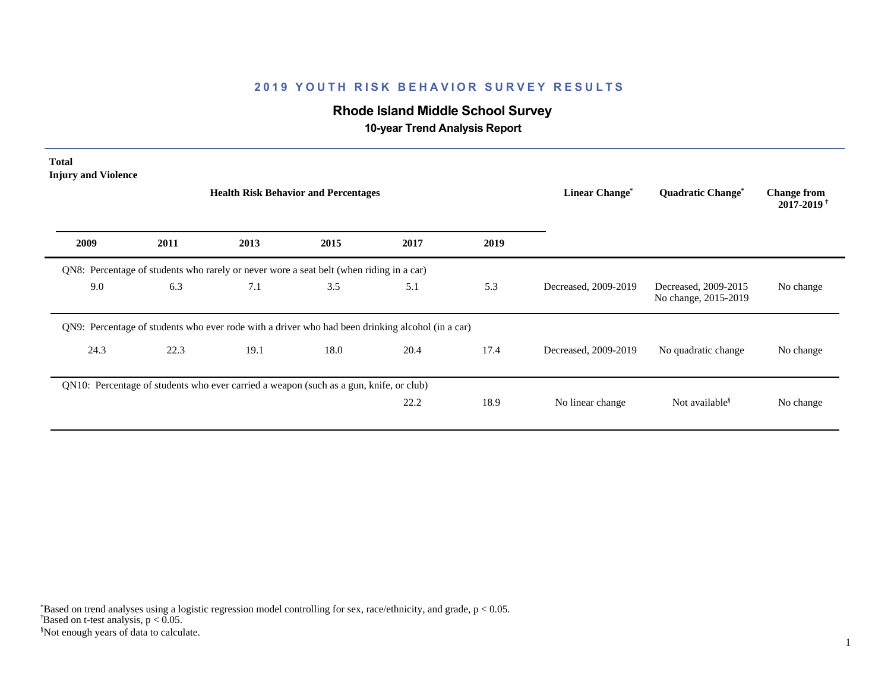# **Rhode Island Middle School Survey**

 **10-year Trend Analysis Report**

| <b>Total</b><br><b>Injury and Violence</b> |      | <b>Health Risk Behavior and Percentages</b>                                                      |      |      |      | Linear Change <sup>*</sup> | <b>Quadratic Change<sup>®</sup></b>          | <b>Change from</b><br>$2017 - 2019$ <sup>†</sup> |
|--------------------------------------------|------|--------------------------------------------------------------------------------------------------|------|------|------|----------------------------|----------------------------------------------|--------------------------------------------------|
| 2009                                       | 2011 | 2013                                                                                             | 2015 | 2017 | 2019 |                            |                                              |                                                  |
|                                            |      | QN8: Percentage of students who rarely or never wore a seat belt (when riding in a car)          |      |      |      |                            |                                              |                                                  |
| 9.0                                        | 6.3  | 7.1                                                                                              | 3.5  | 5.1  | 5.3  | Decreased, 2009-2019       | Decreased, 2009-2015<br>No change, 2015-2019 | No change                                        |
|                                            |      | QN9: Percentage of students who ever rode with a driver who had been drinking alcohol (in a car) |      |      |      |                            |                                              |                                                  |
| 24.3                                       | 22.3 | 19.1                                                                                             | 18.0 | 20.4 | 17.4 | Decreased, 2009-2019       | No quadratic change                          | No change                                        |
|                                            |      | QN10: Percentage of students who ever carried a weapon (such as a gun, knife, or club)           |      |      |      |                            |                                              |                                                  |
|                                            |      |                                                                                                  |      | 22.2 | 18.9 | No linear change           | Not available <sup>§</sup>                   | No change                                        |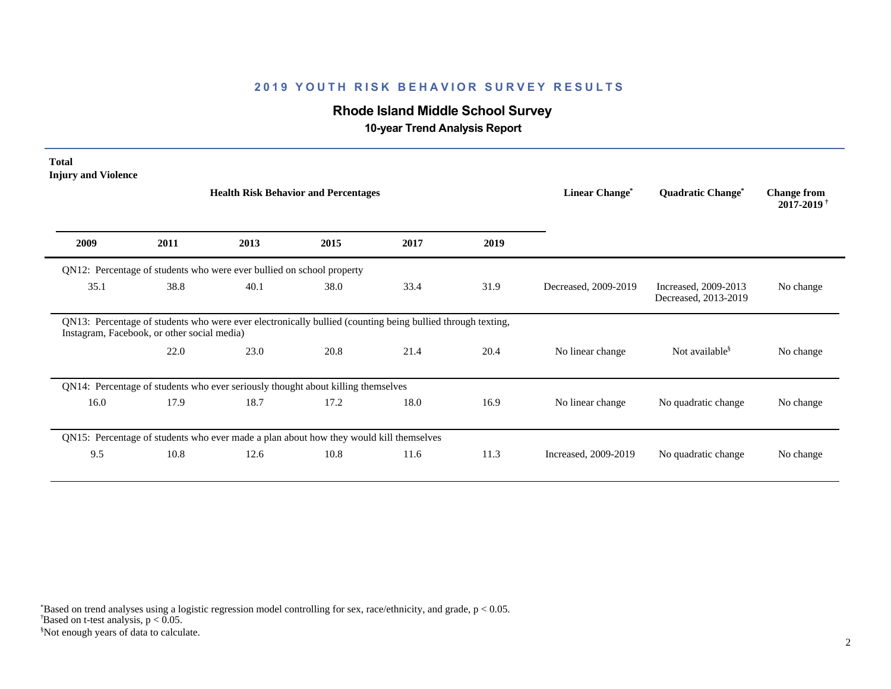# **Rhode Island Middle School Survey**

 **10-year Trend Analysis Report**

| <b>Total</b><br><b>Injury and Violence</b>                                             |      |                                                                                                            |      |      |      |                                  |                                              |                                                  |
|----------------------------------------------------------------------------------------|------|------------------------------------------------------------------------------------------------------------|------|------|------|----------------------------------|----------------------------------------------|--------------------------------------------------|
|                                                                                        |      | <b>Health Risk Behavior and Percentages</b>                                                                |      |      |      | <b>Linear Change<sup>*</sup></b> | <b>Quadratic Change<sup>*</sup></b>          | <b>Change from</b><br>$2017 - 2019$ <sup>+</sup> |
| 2009                                                                                   | 2011 | 2013                                                                                                       | 2015 | 2017 | 2019 |                                  |                                              |                                                  |
|                                                                                        |      | QN12: Percentage of students who were ever bullied on school property                                      |      |      |      |                                  |                                              |                                                  |
| 35.1                                                                                   | 38.8 | 40.1                                                                                                       | 38.0 | 33.4 | 31.9 | Decreased, 2009-2019             | Increased, 2009-2013<br>Decreased, 2013-2019 | No change                                        |
| Instagram, Facebook, or other social media)                                            |      | QN13: Percentage of students who were ever electronically bullied (counting being bullied through texting, |      |      |      |                                  |                                              |                                                  |
|                                                                                        | 22.0 | 23.0                                                                                                       | 20.8 | 21.4 | 20.4 | No linear change                 | Not available <sup>§</sup>                   | No change                                        |
| QN14: Percentage of students who ever seriously thought about killing themselves       |      |                                                                                                            |      |      |      |                                  |                                              |                                                  |
| 16.0                                                                                   | 17.9 | 18.7                                                                                                       | 17.2 | 18.0 | 16.9 | No linear change                 | No quadratic change                          | No change                                        |
| QN15: Percentage of students who ever made a plan about how they would kill themselves |      |                                                                                                            |      |      |      |                                  |                                              |                                                  |
| 9.5                                                                                    | 10.8 | 12.6                                                                                                       | 10.8 | 11.6 | 11.3 | Increased, 2009-2019             | No quadratic change                          | No change                                        |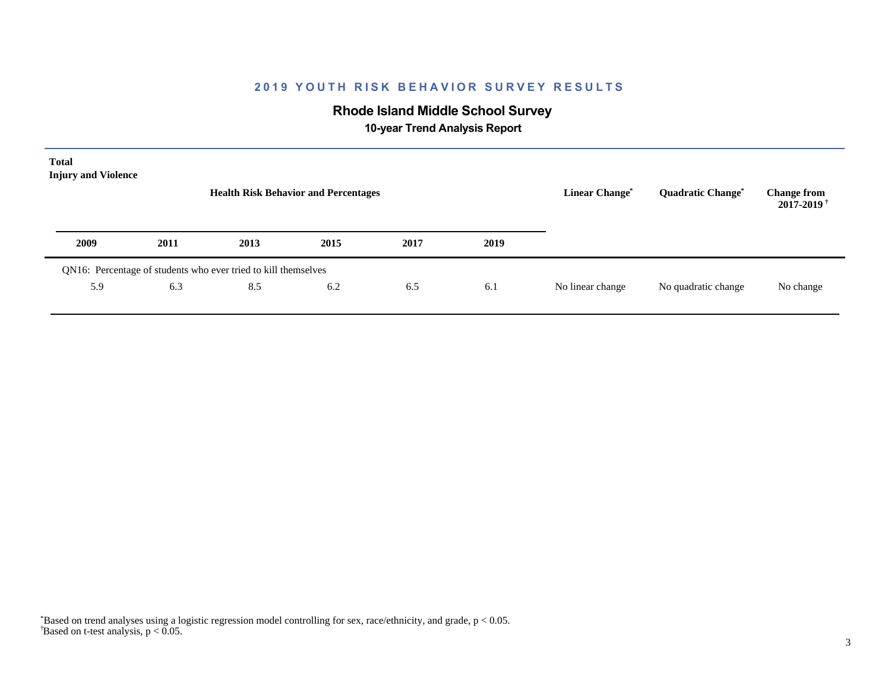# **Rhode Island Middle School Survey**

 **10-year Trend Analysis Report**

| <b>Total</b><br><b>Injury and Violence</b>                     |      | <b>Health Risk Behavior and Percentages</b> | Linear Change <sup>*</sup> | Quadratic Change* | <b>Change from</b><br>$2017 - 2019$ <sup>†</sup> |                  |                     |           |
|----------------------------------------------------------------|------|---------------------------------------------|----------------------------|-------------------|--------------------------------------------------|------------------|---------------------|-----------|
| 2009                                                           | 2011 | 2013                                        | 2015                       | 2017              | 2019                                             |                  |                     |           |
| QN16: Percentage of students who ever tried to kill themselves |      |                                             |                            |                   |                                                  |                  |                     |           |
| 5.9                                                            | 6.3  | 8.5                                         | 6.2                        | 6.5               | 6.1                                              | No linear change | No quadratic change | No change |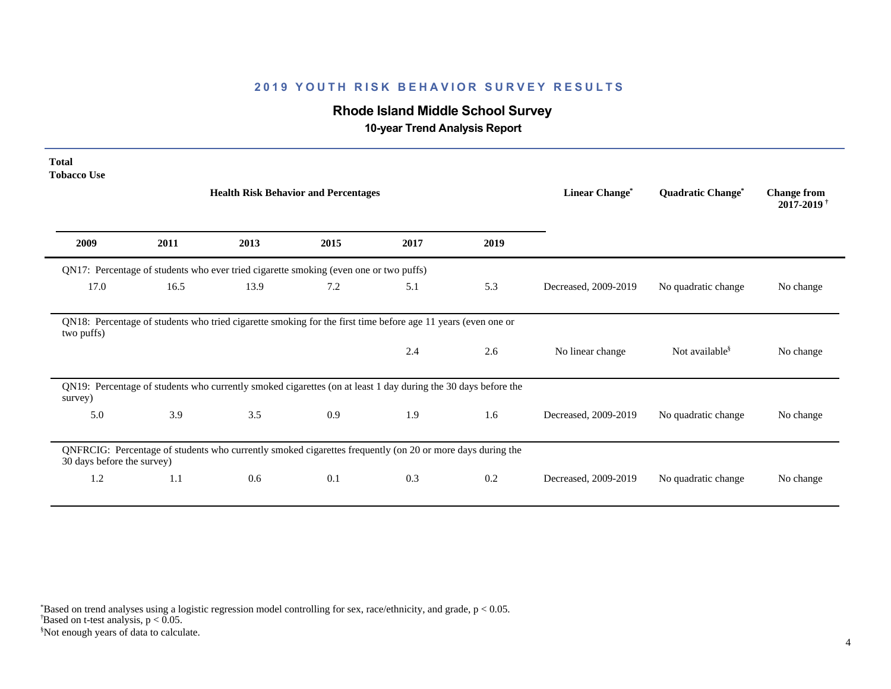# **Rhode Island Middle School Survey**

 **10-year Trend Analysis Report**

| <b>Total</b><br><b>Tobacco Use</b> |      |                                                                                                               |      |      |      |                       |                            |                                                  |
|------------------------------------|------|---------------------------------------------------------------------------------------------------------------|------|------|------|-----------------------|----------------------------|--------------------------------------------------|
|                                    |      | <b>Health Risk Behavior and Percentages</b>                                                                   |      |      |      | <b>Linear Change*</b> | Quadratic Change*          | <b>Change from</b><br>$2017 - 2019$ <sup>+</sup> |
| 2009                               | 2011 | 2013                                                                                                          | 2015 | 2017 | 2019 |                       |                            |                                                  |
|                                    |      | QN17: Percentage of students who ever tried cigarette smoking (even one or two puffs)                         |      |      |      |                       |                            |                                                  |
| 17.0                               | 16.5 | 13.9                                                                                                          | 7.2  | 5.1  | 5.3  | Decreased, 2009-2019  | No quadratic change        | No change                                        |
| two puffs)                         |      | QN18: Percentage of students who tried cigarette smoking for the first time before age 11 years (even one or  |      |      |      |                       |                            |                                                  |
|                                    |      |                                                                                                               |      | 2.4  | 2.6  | No linear change      | Not available <sup>§</sup> | No change                                        |
| survey)                            |      | QN19: Percentage of students who currently smoked cigarettes (on at least 1 day during the 30 days before the |      |      |      |                       |                            |                                                  |
| 5.0                                | 3.9  | 3.5                                                                                                           | 0.9  | 1.9  | 1.6  | Decreased, 2009-2019  | No quadratic change        | No change                                        |
| 30 days before the survey)         |      | QNFRCIG: Percentage of students who currently smoked cigarettes frequently (on 20 or more days during the     |      |      |      |                       |                            |                                                  |
| 1.2                                | 1.1  | 0.6                                                                                                           | 0.1  | 0.3  | 0.2  | Decreased, 2009-2019  | No quadratic change        | No change                                        |

 $\overline{B}$ ased on t-test analysis, p < 0.05. \*Based on trend analyses using a logistic regression model controlling for sex, race/ethnicity, and grade, p < 0.05.

§Not enough years of data to calculate.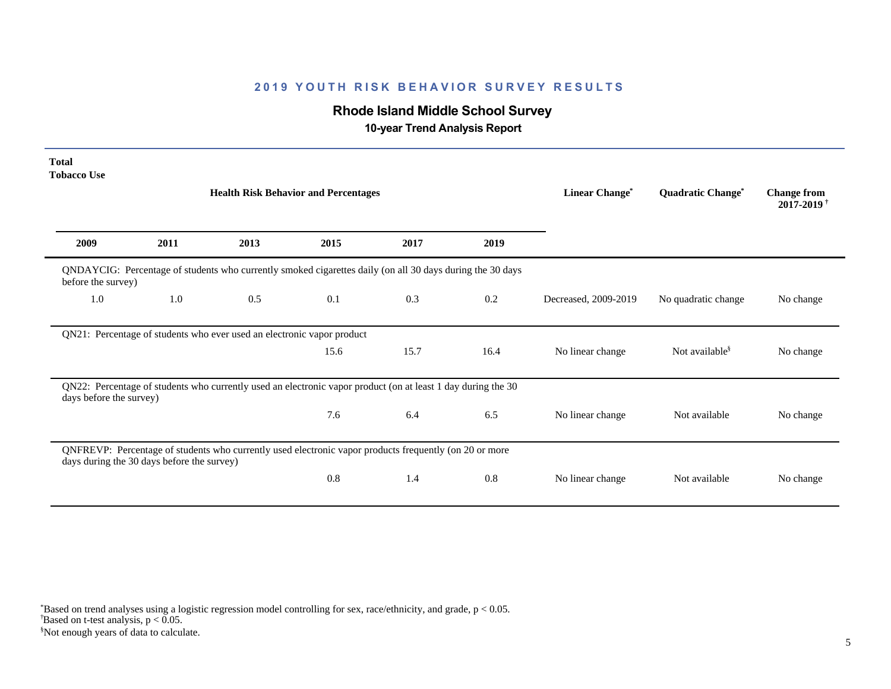# **Rhode Island Middle School Survey**

 **10-year Trend Analysis Report**

| <b>Total</b><br><b>Tobacco Use</b> |                                                                                                                                 |                                                                                                              |      |      |      |                       |                            |                                                  |  |  |  |
|------------------------------------|---------------------------------------------------------------------------------------------------------------------------------|--------------------------------------------------------------------------------------------------------------|------|------|------|-----------------------|----------------------------|--------------------------------------------------|--|--|--|
|                                    |                                                                                                                                 | <b>Health Risk Behavior and Percentages</b>                                                                  |      |      |      | <b>Linear Change*</b> | Quadratic Change*          | <b>Change from</b><br>$2017 - 2019$ <sup>+</sup> |  |  |  |
| 2009                               | 2011                                                                                                                            | 2013                                                                                                         | 2015 | 2017 | 2019 |                       |                            |                                                  |  |  |  |
|                                    | QNDAYCIG: Percentage of students who currently smoked cigarettes daily (on all 30 days during the 30 days<br>before the survey) |                                                                                                              |      |      |      |                       |                            |                                                  |  |  |  |
| 1.0                                | 1.0                                                                                                                             | 0.5                                                                                                          | 0.1  | 0.3  | 0.2  | Decreased, 2009-2019  | No quadratic change        | No change                                        |  |  |  |
|                                    |                                                                                                                                 | QN21: Percentage of students who ever used an electronic vapor product                                       |      |      |      |                       |                            |                                                  |  |  |  |
|                                    |                                                                                                                                 |                                                                                                              | 15.6 | 15.7 | 16.4 | No linear change      | Not available <sup>§</sup> | No change                                        |  |  |  |
| days before the survey)            |                                                                                                                                 | QN22: Percentage of students who currently used an electronic vapor product (on at least 1 day during the 30 |      |      |      |                       |                            |                                                  |  |  |  |
|                                    |                                                                                                                                 |                                                                                                              | 7.6  | 6.4  | 6.5  | No linear change      | Not available              | No change                                        |  |  |  |
|                                    | days during the 30 days before the survey)                                                                                      | QNFREVP: Percentage of students who currently used electronic vapor products frequently (on 20 or more       |      |      |      |                       |                            |                                                  |  |  |  |
|                                    |                                                                                                                                 |                                                                                                              | 0.8  | 1.4  | 0.8  | No linear change      | Not available              | No change                                        |  |  |  |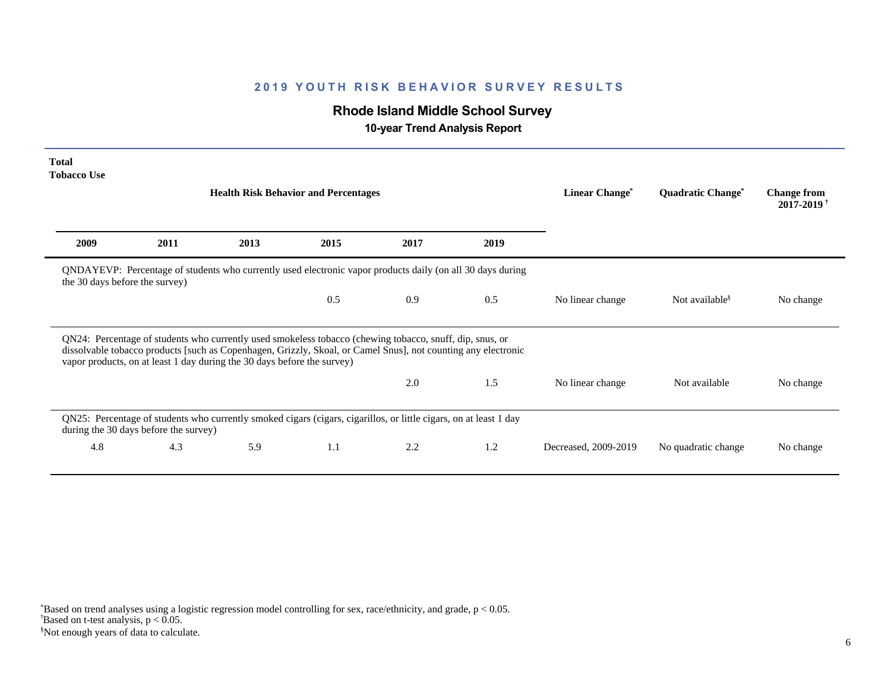# **Rhode Island Middle School Survey**

 **10-year Trend Analysis Report**

| <b>Total</b><br><b>Tobacco Use</b> |                                       |                                                                         |                                                                                                                                                                                                                           |      |      |                       |                                     |                                                  |
|------------------------------------|---------------------------------------|-------------------------------------------------------------------------|---------------------------------------------------------------------------------------------------------------------------------------------------------------------------------------------------------------------------|------|------|-----------------------|-------------------------------------|--------------------------------------------------|
|                                    |                                       |                                                                         | <b>Health Risk Behavior and Percentages</b>                                                                                                                                                                               |      |      | <b>Linear Change*</b> | <b>Quadratic Change<sup>*</sup></b> | <b>Change from</b><br>$2017 - 2019$ <sup>+</sup> |
| 2009                               | 2011                                  | 2013                                                                    | 2015                                                                                                                                                                                                                      | 2017 | 2019 |                       |                                     |                                                  |
| the 30 days before the survey)     |                                       |                                                                         | QNDAYEVP: Percentage of students who currently used electronic vapor products daily (on all 30 days during                                                                                                                |      |      |                       |                                     |                                                  |
|                                    |                                       |                                                                         | 0.5                                                                                                                                                                                                                       | 0.9  | 0.5  | No linear change      | Not available <sup>§</sup>          | No change                                        |
|                                    |                                       | vapor products, on at least 1 day during the 30 days before the survey) | QN24: Percentage of students who currently used smokeless tobacco (chewing tobacco, snuff, dip, snus, or<br>dissolvable tobacco products [such as Copenhagen, Grizzly, Skoal, or Camel Snus], not counting any electronic |      |      |                       |                                     |                                                  |
|                                    |                                       |                                                                         |                                                                                                                                                                                                                           | 2.0  | 1.5  | No linear change      | Not available                       | No change                                        |
|                                    | during the 30 days before the survey) |                                                                         | QN25: Percentage of students who currently smoked cigars (cigars, cigarillos, or little cigars, on at least 1 day                                                                                                         |      |      |                       |                                     |                                                  |
| 4.8                                | 4.3                                   | 5.9                                                                     | 1.1                                                                                                                                                                                                                       | 2.2  | 1.2  | Decreased, 2009-2019  | No quadratic change                 | No change                                        |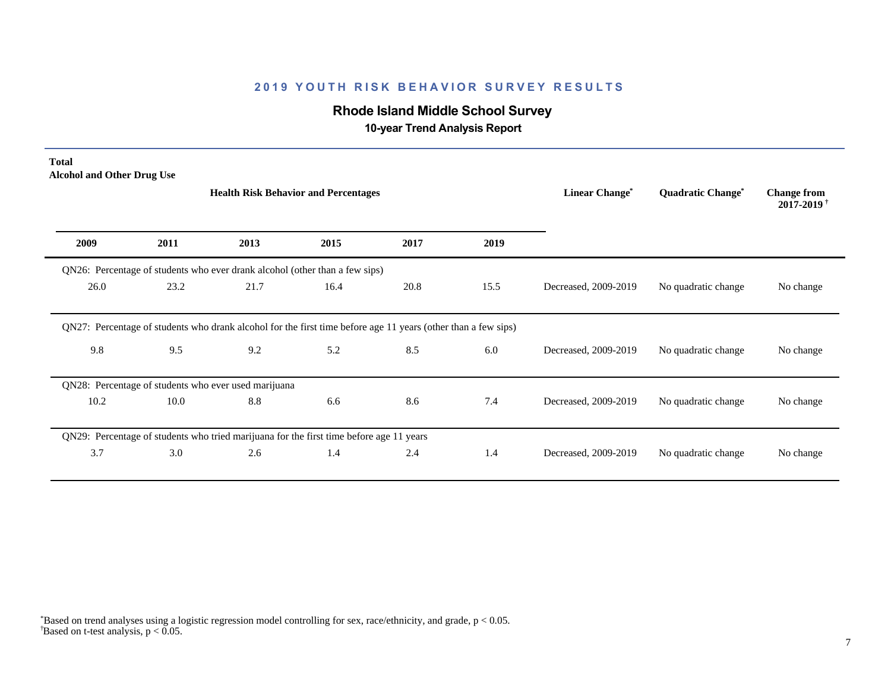# **Rhode Island Middle School Survey**

 **10-year Trend Analysis Report**

| <b>Total</b><br><b>Alcohol and Other Drug Use</b> |      |                                                                                                               |      |      |      |                      |                                     |                                                  |
|---------------------------------------------------|------|---------------------------------------------------------------------------------------------------------------|------|------|------|----------------------|-------------------------------------|--------------------------------------------------|
|                                                   |      | <b>Health Risk Behavior and Percentages</b>                                                                   |      |      |      | Linear Change*       | <b>Quadratic Change<sup>*</sup></b> | <b>Change from</b><br>$2017 - 2019$ <sup>†</sup> |
| 2009                                              | 2011 | 2013                                                                                                          | 2015 | 2017 | 2019 |                      |                                     |                                                  |
|                                                   |      | QN26: Percentage of students who ever drank alcohol (other than a few sips)                                   |      |      |      |                      |                                     |                                                  |
| 26.0                                              | 23.2 | 21.7                                                                                                          | 16.4 | 20.8 | 15.5 | Decreased, 2009-2019 | No quadratic change                 | No change                                        |
|                                                   |      | QN27: Percentage of students who drank alcohol for the first time before age 11 years (other than a few sips) |      |      |      |                      |                                     |                                                  |
| 9.8                                               | 9.5  | 9.2                                                                                                           | 5.2  | 8.5  | 6.0  | Decreased, 2009-2019 | No quadratic change                 | No change                                        |
|                                                   |      | QN28: Percentage of students who ever used marijuana                                                          |      |      |      |                      |                                     |                                                  |
| 10.2                                              | 10.0 | 8.8                                                                                                           | 6.6  | 8.6  | 7.4  | Decreased, 2009-2019 | No quadratic change                 | No change                                        |
|                                                   |      | QN29: Percentage of students who tried marijuana for the first time before age 11 years                       |      |      |      |                      |                                     |                                                  |
| 3.7                                               | 3.0  | 2.6                                                                                                           | 1.4  | 2.4  | 1.4  | Decreased, 2009-2019 | No quadratic change                 | No change                                        |
|                                                   |      |                                                                                                               |      |      |      |                      |                                     |                                                  |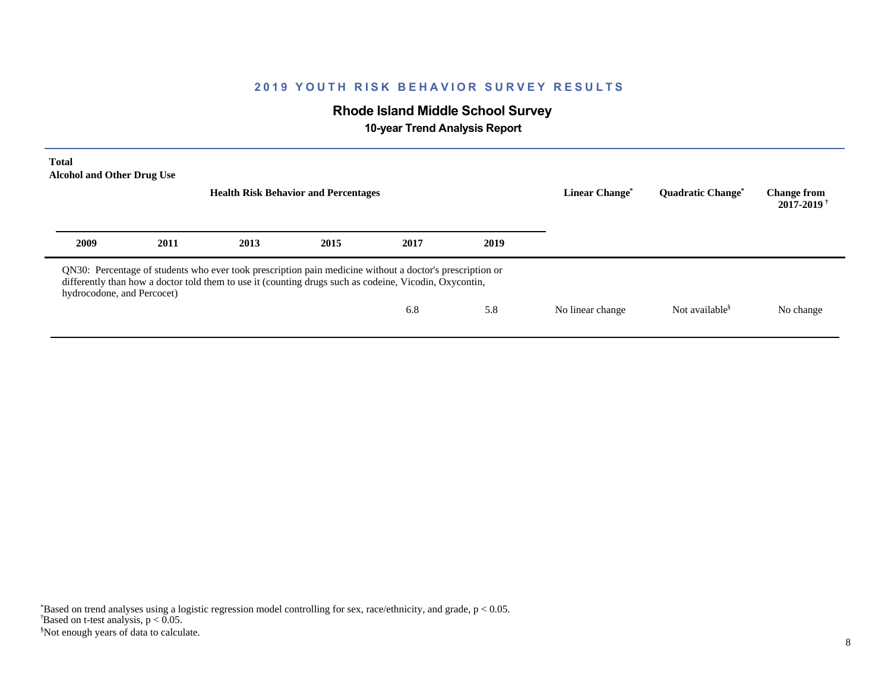# **Rhode Island Middle School Survey**

 **10-year Trend Analysis Report**

| <b>Total</b><br><b>Alcohol and Other Drug Use</b> |      | <b>Health Risk Behavior and Percentages</b> | Linear Change <sup>®</sup>                                                                                                                                                                                         | <b>Ouadratic Change<sup>®</sup></b> | <b>Change from</b><br>$2017 - 2019$ <sup>†</sup> |                  |                            |           |
|---------------------------------------------------|------|---------------------------------------------|--------------------------------------------------------------------------------------------------------------------------------------------------------------------------------------------------------------------|-------------------------------------|--------------------------------------------------|------------------|----------------------------|-----------|
| 2009                                              | 2011 | 2013                                        | 2015                                                                                                                                                                                                               | 2017                                | 2019                                             |                  |                            |           |
| hydrocodone, and Percocet)                        |      |                                             | QN30: Percentage of students who ever took prescription pain medicine without a doctor's prescription or<br>differently than how a doctor told them to use it (counting drugs such as codeine, Vicodin, Oxycontin, |                                     |                                                  |                  |                            |           |
|                                                   |      |                                             |                                                                                                                                                                                                                    | 6.8                                 | 5.8                                              | No linear change | Not available <sup>§</sup> | No change |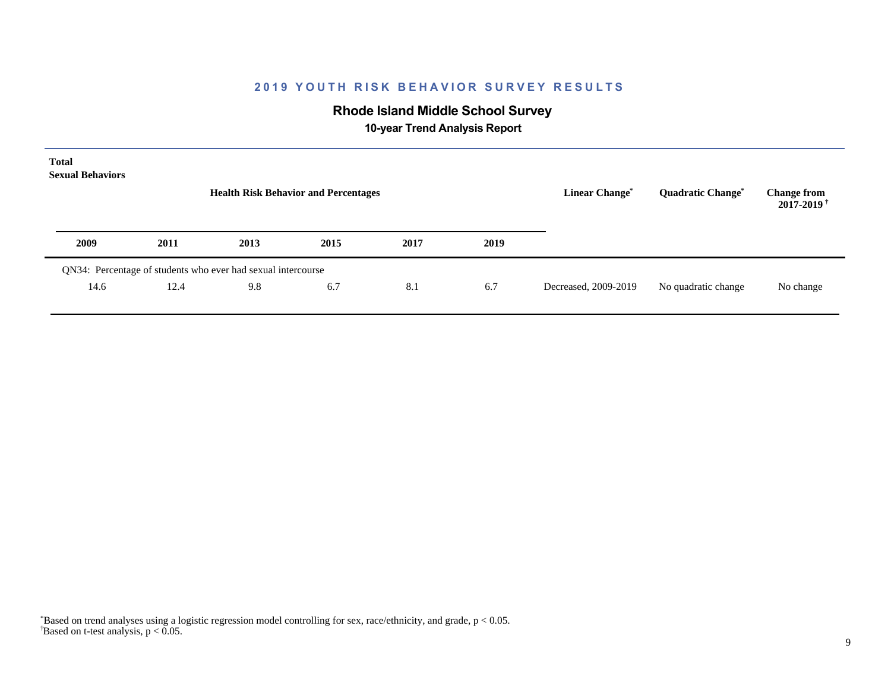# **Rhode Island Middle School Survey**

 **10-year Trend Analysis Report**

| <b>Total</b><br><b>Sexual Behaviors</b> |      | <b>Health Risk Behavior and Percentages</b>                  | <b>Linear Change<sup>*</sup></b> | <b>Quadratic Change<sup>*</sup></b><br>No quadratic change | <b>Change from</b><br>2017-2019 <sup>†</sup> |                      |  |           |
|-----------------------------------------|------|--------------------------------------------------------------|----------------------------------|------------------------------------------------------------|----------------------------------------------|----------------------|--|-----------|
| 2009                                    | 2011 | 2013                                                         | 2015                             | 2017                                                       | 2019                                         |                      |  |           |
|                                         |      | QN34: Percentage of students who ever had sexual intercourse |                                  |                                                            |                                              |                      |  |           |
| 14.6                                    | 12.4 | 9.8                                                          | 6.7                              | 8.1                                                        | 6.7                                          | Decreased, 2009-2019 |  | No change |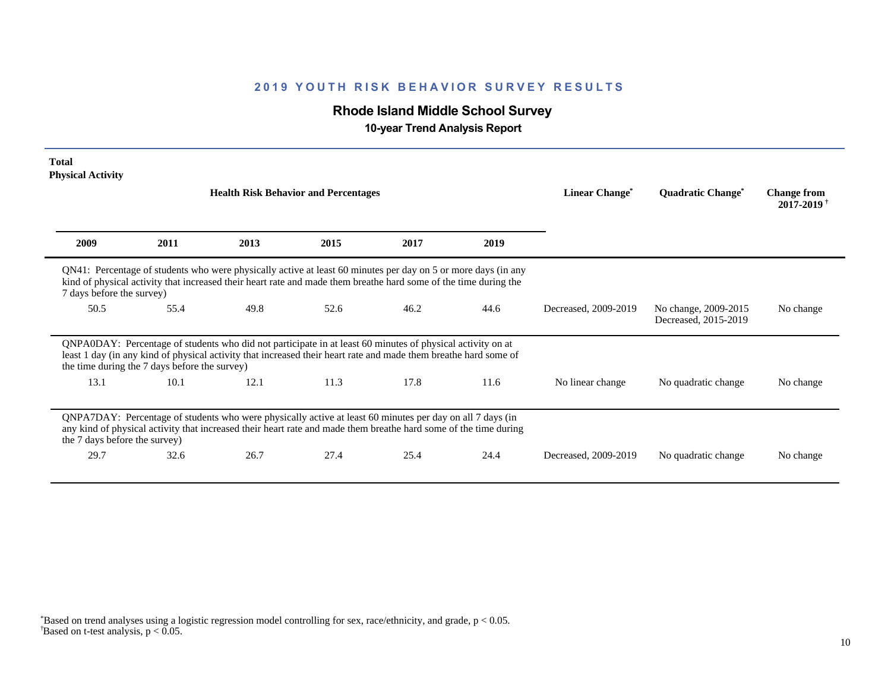# **Rhode Island Middle School Survey**

 **10-year Trend Analysis Report**

| <b>Total</b><br><b>Physical Activity</b>      |      |                                                                                                                                                                                                                                   |      |      |      |                            |                                              |                                                  |
|-----------------------------------------------|------|-----------------------------------------------------------------------------------------------------------------------------------------------------------------------------------------------------------------------------------|------|------|------|----------------------------|----------------------------------------------|--------------------------------------------------|
|                                               |      | <b>Health Risk Behavior and Percentages</b>                                                                                                                                                                                       |      |      |      | Linear Change <sup>*</sup> | <b>Quadratic Change<sup>®</sup></b>          | <b>Change from</b><br>$2017 - 2019$ <sup>†</sup> |
| 2009                                          | 2011 | 2013                                                                                                                                                                                                                              | 2015 | 2017 | 2019 |                            |                                              |                                                  |
| 7 days before the survey)                     |      | QN41: Percentage of students who were physically active at least 60 minutes per day on 5 or more days (in any<br>kind of physical activity that increased their heart rate and made them breathe hard some of the time during the |      |      |      |                            |                                              |                                                  |
| 50.5                                          | 55.4 | 49.8                                                                                                                                                                                                                              | 52.6 | 46.2 | 44.6 | Decreased, 2009-2019       | No change, 2009-2015<br>Decreased, 2015-2019 | No change                                        |
| the time during the 7 days before the survey) |      | QNPA0DAY: Percentage of students who did not participate in at least 60 minutes of physical activity on at<br>least 1 day (in any kind of physical activity that increased their heart rate and made them breathe hard some of    |      |      |      |                            |                                              |                                                  |
| 13.1                                          | 10.1 | 12.1                                                                                                                                                                                                                              | 11.3 | 17.8 | 11.6 | No linear change           | No quadratic change                          | No change                                        |
| the 7 days before the survey)                 |      | QNPA7DAY: Percentage of students who were physically active at least 60 minutes per day on all 7 days (in<br>any kind of physical activity that increased their heart rate and made them breathe hard some of the time during     |      |      |      |                            |                                              |                                                  |
| 29.7                                          | 32.6 | 26.7                                                                                                                                                                                                                              | 27.4 | 25.4 | 24.4 | Decreased, 2009-2019       | No quadratic change                          | No change                                        |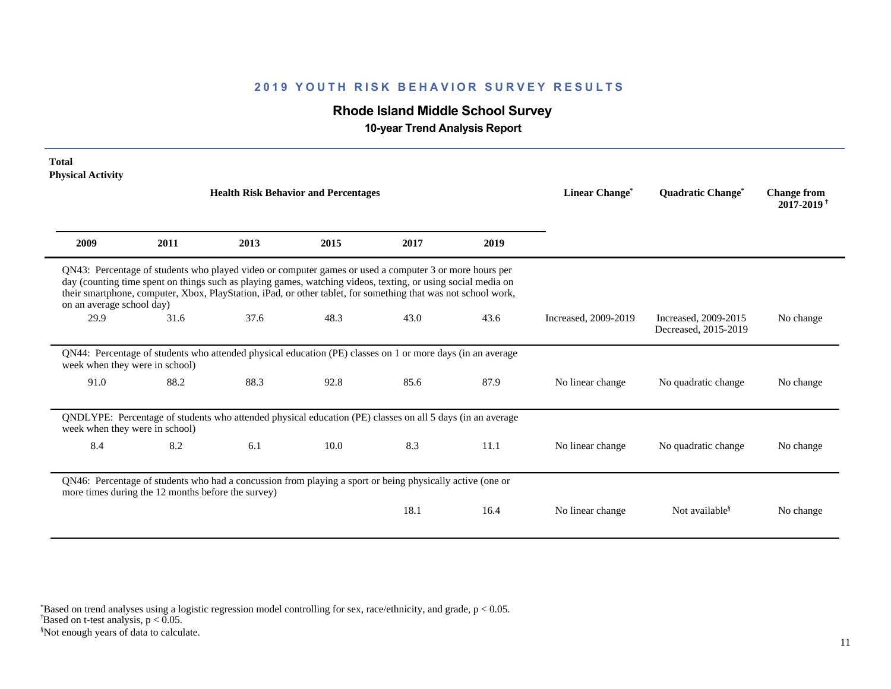# **Rhode Island Middle School Survey**

 **10-year Trend Analysis Report**

| <b>Total</b><br><b>Physical Activity</b>           |      |                                                                                                                                                                                                                                                                                                                                         |      |      |      |                      |                                              |                                                  |
|----------------------------------------------------|------|-----------------------------------------------------------------------------------------------------------------------------------------------------------------------------------------------------------------------------------------------------------------------------------------------------------------------------------------|------|------|------|----------------------|----------------------------------------------|--------------------------------------------------|
|                                                    |      | <b>Health Risk Behavior and Percentages</b>                                                                                                                                                                                                                                                                                             |      |      |      | Linear Change*       | <b>Quadratic Change<sup>*</sup></b>          | <b>Change from</b><br>$2017 - 2019$ <sup>†</sup> |
| 2009                                               | 2011 | 2013                                                                                                                                                                                                                                                                                                                                    | 2015 | 2017 | 2019 |                      |                                              |                                                  |
| on an average school day)                          |      | QN43: Percentage of students who played video or computer games or used a computer 3 or more hours per<br>day (counting time spent on things such as playing games, watching videos, texting, or using social media on<br>their smartphone, computer, Xbox, PlayStation, iPad, or other tablet, for something that was not school work, |      |      |      |                      |                                              |                                                  |
| 29.9                                               | 31.6 | 37.6                                                                                                                                                                                                                                                                                                                                    | 48.3 | 43.0 | 43.6 | Increased, 2009-2019 | Increased, 2009-2015<br>Decreased, 2015-2019 | No change                                        |
| week when they were in school)                     |      | QN44: Percentage of students who attended physical education (PE) classes on 1 or more days (in an average                                                                                                                                                                                                                              |      |      |      |                      |                                              |                                                  |
| 91.0                                               | 88.2 | 88.3                                                                                                                                                                                                                                                                                                                                    | 92.8 | 85.6 | 87.9 | No linear change     | No quadratic change                          | No change                                        |
| week when they were in school)                     |      | QNDLYPE: Percentage of students who attended physical education (PE) classes on all 5 days (in an average                                                                                                                                                                                                                               |      |      |      |                      |                                              |                                                  |
| 8.4                                                | 8.2  | 6.1                                                                                                                                                                                                                                                                                                                                     | 10.0 | 8.3  | 11.1 | No linear change     | No quadratic change                          | No change                                        |
| more times during the 12 months before the survey) |      | QN46: Percentage of students who had a concussion from playing a sport or being physically active (one or                                                                                                                                                                                                                               |      |      |      |                      |                                              |                                                  |
|                                                    |      |                                                                                                                                                                                                                                                                                                                                         |      | 18.1 | 16.4 | No linear change     | Not available <sup>§</sup>                   | No change                                        |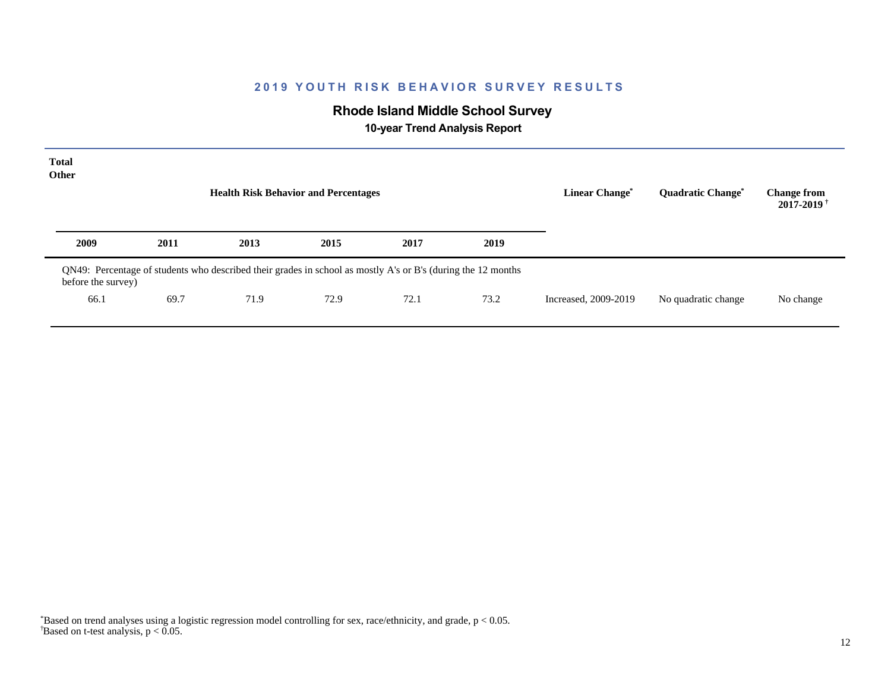# **Rhode Island Middle School Survey**

 **10-year Trend Analysis Report**

| <b>Total</b><br>Other |      | <b>Health Risk Behavior and Percentages</b>                                                                  |      |      |      | <b>Linear Change<sup>*</sup></b> | <b>Quadratic Change<sup>*</sup></b> | <b>Change from</b><br>$2017 - 2019$ <sup>+</sup> |
|-----------------------|------|--------------------------------------------------------------------------------------------------------------|------|------|------|----------------------------------|-------------------------------------|--------------------------------------------------|
| 2009                  | 2011 | 2013                                                                                                         | 2015 | 2017 | 2019 |                                  |                                     |                                                  |
| before the survey)    |      | QN49: Percentage of students who described their grades in school as mostly A's or B's (during the 12 months |      |      |      |                                  |                                     |                                                  |
| 66.1                  | 69.7 | 71.9                                                                                                         | 72.9 | 72.1 | 73.2 | Increased, 2009-2019             | No quadratic change                 | No change                                        |
|                       |      |                                                                                                              |      |      |      |                                  |                                     |                                                  |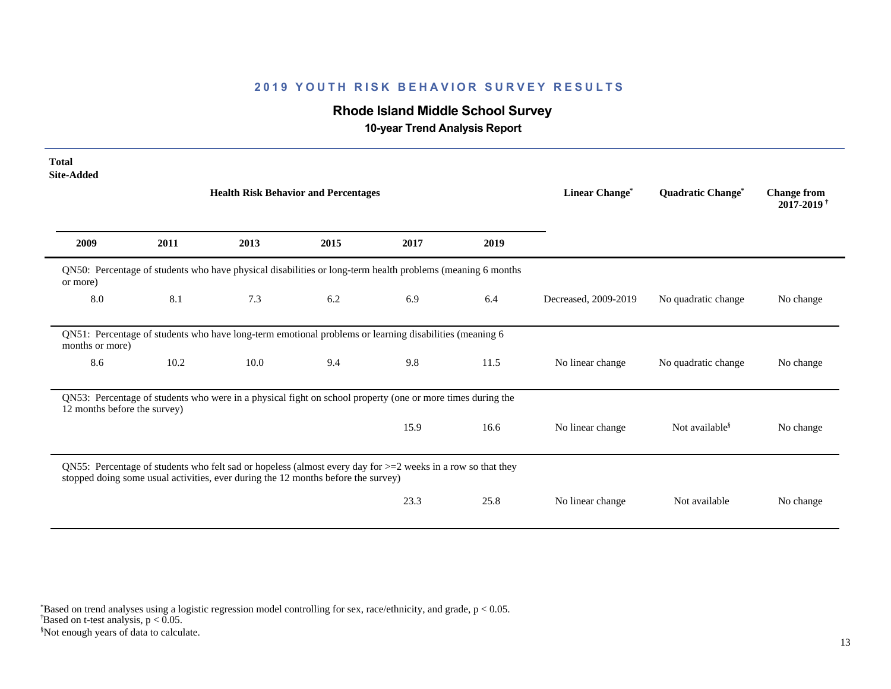# **Rhode Island Middle School Survey**

 **10-year Trend Analysis Report**

| <b>Total</b><br><b>Site-Added</b> |                                                                                                                                                                                                     |                                                                                                            |      |      |      |                      |                            |                                                  |  |  |  |
|-----------------------------------|-----------------------------------------------------------------------------------------------------------------------------------------------------------------------------------------------------|------------------------------------------------------------------------------------------------------------|------|------|------|----------------------|----------------------------|--------------------------------------------------|--|--|--|
|                                   |                                                                                                                                                                                                     | <b>Health Risk Behavior and Percentages</b>                                                                |      |      |      | Linear Change*       | Quadratic Change*          | <b>Change from</b><br>$2017 - 2019$ <sup>†</sup> |  |  |  |
| 2009                              | 2011                                                                                                                                                                                                | 2013                                                                                                       | 2015 | 2017 | 2019 |                      |                            |                                                  |  |  |  |
| or more)                          | QN50: Percentage of students who have physical disabilities or long-term health problems (meaning 6 months                                                                                          |                                                                                                            |      |      |      |                      |                            |                                                  |  |  |  |
| 8.0                               | 8.1                                                                                                                                                                                                 | 7.3                                                                                                        | 6.2  | 6.9  | 6.4  | Decreased, 2009-2019 | No quadratic change        | No change                                        |  |  |  |
| months or more)                   |                                                                                                                                                                                                     | QN51: Percentage of students who have long-term emotional problems or learning disabilities (meaning 6     |      |      |      |                      |                            |                                                  |  |  |  |
| 8.6                               | 10.2                                                                                                                                                                                                | 10.0                                                                                                       | 9.4  | 9.8  | 11.5 | No linear change     | No quadratic change        | No change                                        |  |  |  |
| 12 months before the survey)      |                                                                                                                                                                                                     | QN53: Percentage of students who were in a physical fight on school property (one or more times during the |      |      |      |                      |                            |                                                  |  |  |  |
|                                   |                                                                                                                                                                                                     |                                                                                                            |      | 15.9 | 16.6 | No linear change     | Not available <sup>§</sup> | No change                                        |  |  |  |
|                                   | QN55: Percentage of students who felt sad or hopeless (almost every day for $>=$ 2 weeks in a row so that they<br>stopped doing some usual activities, ever during the 12 months before the survey) |                                                                                                            |      |      |      |                      |                            |                                                  |  |  |  |
|                                   |                                                                                                                                                                                                     |                                                                                                            |      | 23.3 | 25.8 | No linear change     | Not available              | No change                                        |  |  |  |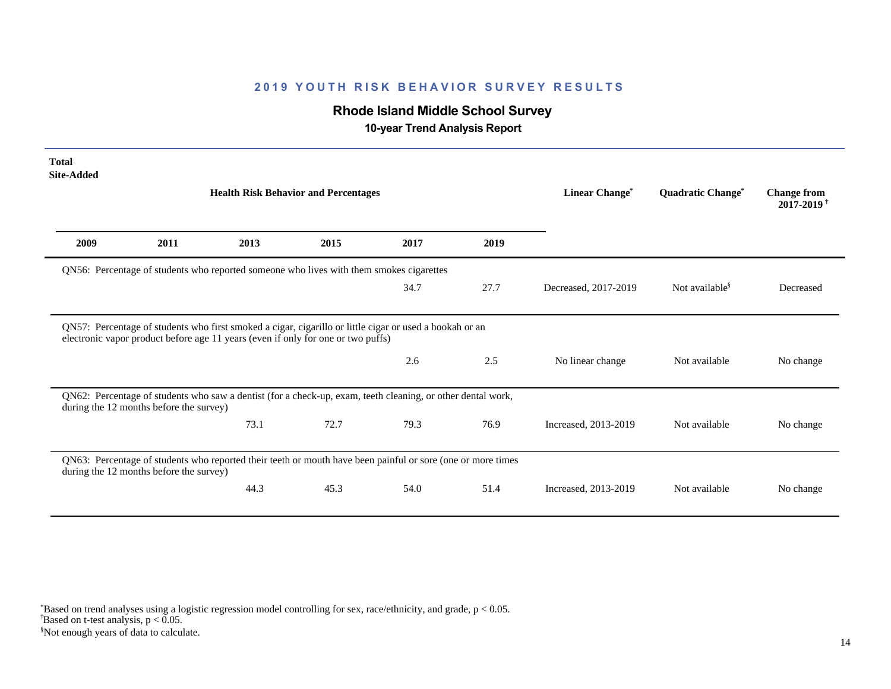# **Rhode Island Middle School Survey**

 **10-year Trend Analysis Report**

| <b>Total</b><br><b>Site-Added</b> |                                         |                                                                                                                                                                                             |      |      |      |                       |                            |                                                  |
|-----------------------------------|-----------------------------------------|---------------------------------------------------------------------------------------------------------------------------------------------------------------------------------------------|------|------|------|-----------------------|----------------------------|--------------------------------------------------|
|                                   |                                         | <b>Health Risk Behavior and Percentages</b>                                                                                                                                                 |      |      |      | <b>Linear Change*</b> | Quadratic Change*          | <b>Change from</b><br>$2017 - 2019$ <sup>†</sup> |
| 2009                              | 2011                                    | 2013                                                                                                                                                                                        | 2015 | 2017 | 2019 |                       |                            |                                                  |
|                                   |                                         | QN56: Percentage of students who reported someone who lives with them smokes cigarettes                                                                                                     |      |      |      |                       |                            |                                                  |
|                                   |                                         |                                                                                                                                                                                             |      | 34.7 | 27.7 | Decreased, 2017-2019  | Not available <sup>§</sup> | Decreased                                        |
|                                   |                                         | QN57: Percentage of students who first smoked a cigar, cigarillo or little cigar or used a hookah or an<br>electronic vapor product before age 11 years (even if only for one or two puffs) |      |      |      |                       |                            |                                                  |
|                                   |                                         |                                                                                                                                                                                             |      | 2.6  | 2.5  | No linear change      | Not available              | No change                                        |
|                                   | during the 12 months before the survey) | QN62: Percentage of students who saw a dentist (for a check-up, exam, teeth cleaning, or other dental work,                                                                                 |      |      |      |                       |                            |                                                  |
|                                   |                                         | 73.1                                                                                                                                                                                        | 72.7 | 79.3 | 76.9 | Increased, 2013-2019  | Not available              | No change                                        |
|                                   | during the 12 months before the survey) | QN63: Percentage of students who reported their teeth or mouth have been painful or sore (one or more times                                                                                 |      |      |      |                       |                            |                                                  |
|                                   |                                         | 44.3                                                                                                                                                                                        | 45.3 | 54.0 | 51.4 | Increased, 2013-2019  | Not available              | No change                                        |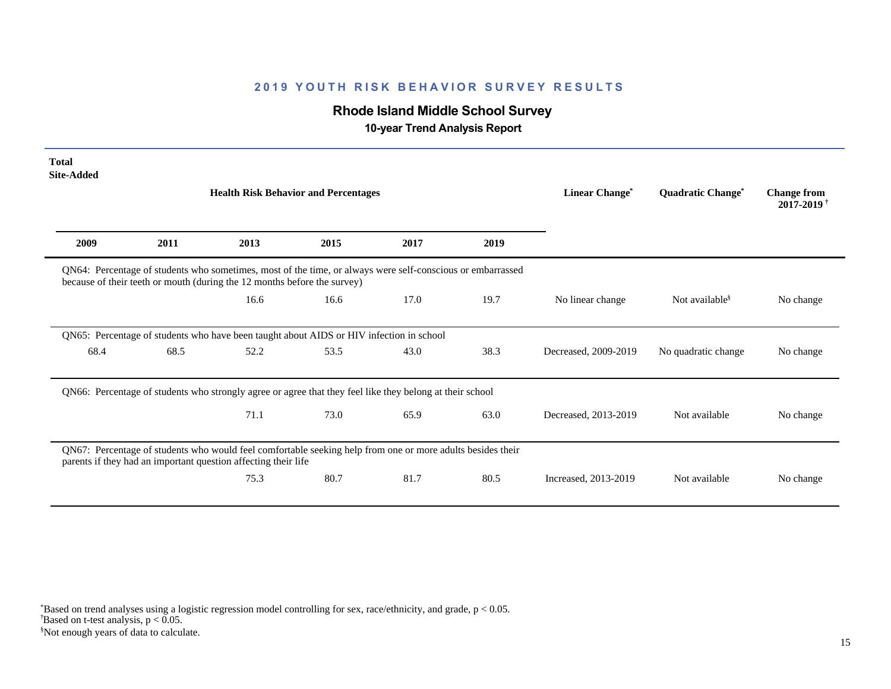# **Rhode Island Middle School Survey**

 **10-year Trend Analysis Report**

| <b>Total</b><br><b>Site-Added</b> |                                                                                                                                                                                        |                                                                                                                                                                              |      |      |      |                      |                                     |                                                  |  |  |  |
|-----------------------------------|----------------------------------------------------------------------------------------------------------------------------------------------------------------------------------------|------------------------------------------------------------------------------------------------------------------------------------------------------------------------------|------|------|------|----------------------|-------------------------------------|--------------------------------------------------|--|--|--|
|                                   |                                                                                                                                                                                        | <b>Health Risk Behavior and Percentages</b>                                                                                                                                  |      |      |      | Linear Change*       | <b>Quadratic Change<sup>*</sup></b> | <b>Change from</b><br>$2017 - 2019$ <sup>†</sup> |  |  |  |
| 2009                              | 2011                                                                                                                                                                                   | 2013                                                                                                                                                                         | 2015 | 2017 | 2019 |                      |                                     |                                                  |  |  |  |
|                                   | QN64: Percentage of students who sometimes, most of the time, or always were self-conscious or embarrassed<br>because of their teeth or mouth (during the 12 months before the survey) |                                                                                                                                                                              |      |      |      |                      |                                     |                                                  |  |  |  |
|                                   |                                                                                                                                                                                        | 16.6                                                                                                                                                                         | 16.6 | 17.0 | 19.7 | No linear change     | Not available <sup>§</sup>          | No change                                        |  |  |  |
|                                   |                                                                                                                                                                                        | QN65: Percentage of students who have been taught about AIDS or HIV infection in school                                                                                      |      |      |      |                      |                                     |                                                  |  |  |  |
| 68.4                              | 68.5                                                                                                                                                                                   | 52.2                                                                                                                                                                         | 53.5 | 43.0 | 38.3 | Decreased, 2009-2019 | No quadratic change                 | No change                                        |  |  |  |
|                                   |                                                                                                                                                                                        | QN66: Percentage of students who strongly agree or agree that they feel like they belong at their school                                                                     |      |      |      |                      |                                     |                                                  |  |  |  |
|                                   |                                                                                                                                                                                        | 71.1                                                                                                                                                                         | 73.0 | 65.9 | 63.0 | Decreased, 2013-2019 | Not available                       | No change                                        |  |  |  |
|                                   |                                                                                                                                                                                        | QN67: Percentage of students who would feel comfortable seeking help from one or more adults besides their<br>parents if they had an important question affecting their life |      |      |      |                      |                                     |                                                  |  |  |  |
|                                   |                                                                                                                                                                                        | 75.3                                                                                                                                                                         | 80.7 | 81.7 | 80.5 | Increased, 2013-2019 | Not available                       | No change                                        |  |  |  |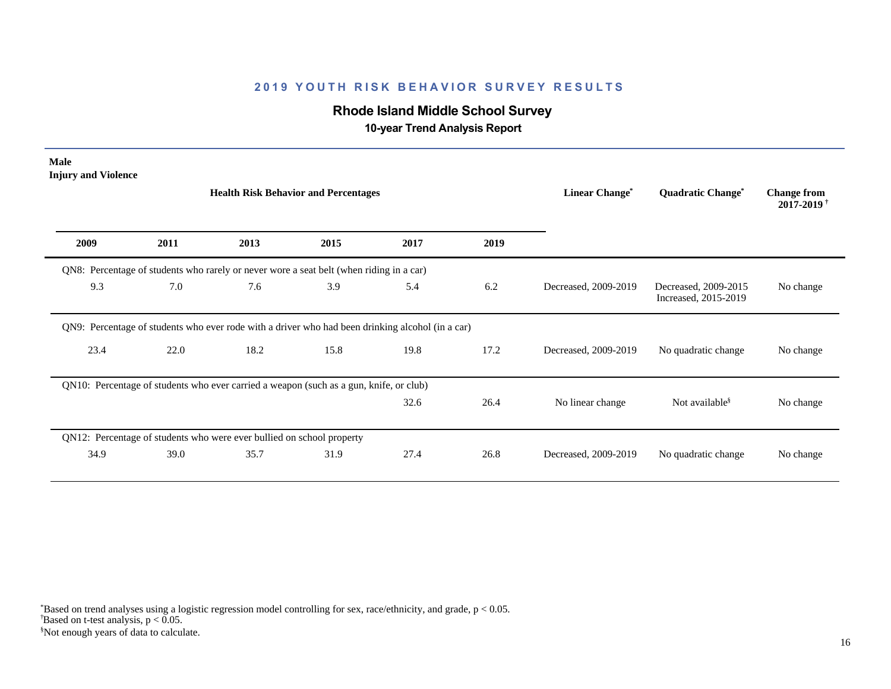# **Rhode Island Middle School Survey**

 **10-year Trend Analysis Report**

| <b>Male</b><br><b>Injury and Violence</b> |      |                                                                                                  |      |      |      |                       |                                              |                                              |
|-------------------------------------------|------|--------------------------------------------------------------------------------------------------|------|------|------|-----------------------|----------------------------------------------|----------------------------------------------|
|                                           |      | <b>Health Risk Behavior and Percentages</b>                                                      |      |      |      | <b>Linear Change*</b> | <b>Quadratic Change<sup>*</sup></b>          | <b>Change from</b><br>2017-2019 <sup>+</sup> |
| 2009                                      | 2011 | 2013                                                                                             | 2015 | 2017 | 2019 |                       |                                              |                                              |
|                                           |      | QN8: Percentage of students who rarely or never wore a seat belt (when riding in a car)          |      |      |      |                       |                                              |                                              |
| 9.3                                       | 7.0  | 7.6                                                                                              | 3.9  | 5.4  | 6.2  | Decreased, 2009-2019  | Decreased, 2009-2015<br>Increased, 2015-2019 | No change                                    |
|                                           |      | QN9: Percentage of students who ever rode with a driver who had been drinking alcohol (in a car) |      |      |      |                       |                                              |                                              |
| 23.4                                      | 22.0 | 18.2                                                                                             | 15.8 | 19.8 | 17.2 | Decreased, 2009-2019  | No quadratic change                          | No change                                    |
|                                           |      | QN10: Percentage of students who ever carried a weapon (such as a gun, knife, or club)           |      |      |      |                       |                                              |                                              |
|                                           |      |                                                                                                  |      | 32.6 | 26.4 | No linear change      | Not available <sup>§</sup>                   | No change                                    |
|                                           |      | QN12: Percentage of students who were ever bullied on school property                            |      |      |      |                       |                                              |                                              |
| 34.9                                      | 39.0 | 35.7                                                                                             | 31.9 | 27.4 | 26.8 | Decreased, 2009-2019  | No quadratic change                          | No change                                    |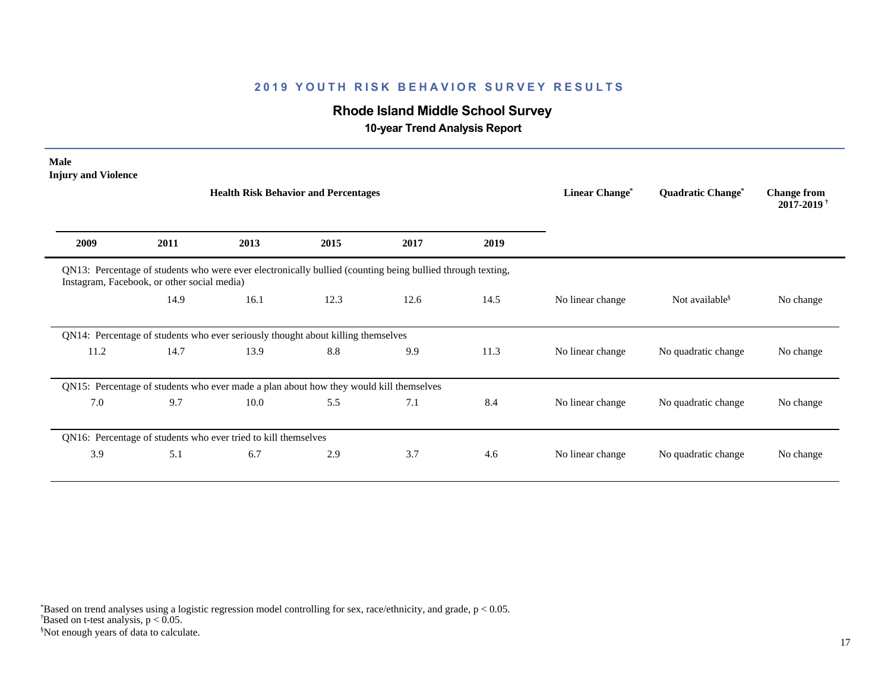# **Rhode Island Middle School Survey**

 **10-year Trend Analysis Report**

| <b>Male</b><br><b>Injury and Violence</b>   |      | <b>Health Risk Behavior and Percentages</b>                                                                | <b>Linear Change*</b> | Quadratic Change* | <b>Change from</b><br>$2017 - 2019$ <sup>†</sup> |                  |                            |           |
|---------------------------------------------|------|------------------------------------------------------------------------------------------------------------|-----------------------|-------------------|--------------------------------------------------|------------------|----------------------------|-----------|
| 2009                                        | 2011 | 2013                                                                                                       | 2015                  | 2017              | 2019                                             |                  |                            |           |
| Instagram, Facebook, or other social media) |      | QN13: Percentage of students who were ever electronically bullied (counting being bullied through texting, |                       |                   |                                                  |                  |                            |           |
|                                             | 14.9 | 16.1                                                                                                       | 12.3                  | 12.6              | 14.5                                             | No linear change | Not available <sup>§</sup> | No change |
|                                             |      | QN14: Percentage of students who ever seriously thought about killing themselves                           |                       |                   |                                                  |                  |                            |           |
| 11.2                                        | 14.7 | 13.9                                                                                                       | 8.8                   | 9.9               | 11.3                                             | No linear change | No quadratic change        | No change |
|                                             |      | QN15: Percentage of students who ever made a plan about how they would kill themselves                     |                       |                   |                                                  |                  |                            |           |
| 7.0                                         | 9.7  | 10.0                                                                                                       | 5.5                   | 7.1               | 8.4                                              | No linear change | No quadratic change        | No change |
|                                             |      | QN16: Percentage of students who ever tried to kill themselves                                             |                       |                   |                                                  |                  |                            |           |
| 3.9                                         | 5.1  | 6.7                                                                                                        | 2.9                   | 3.7               | 4.6                                              | No linear change | No quadratic change        | No change |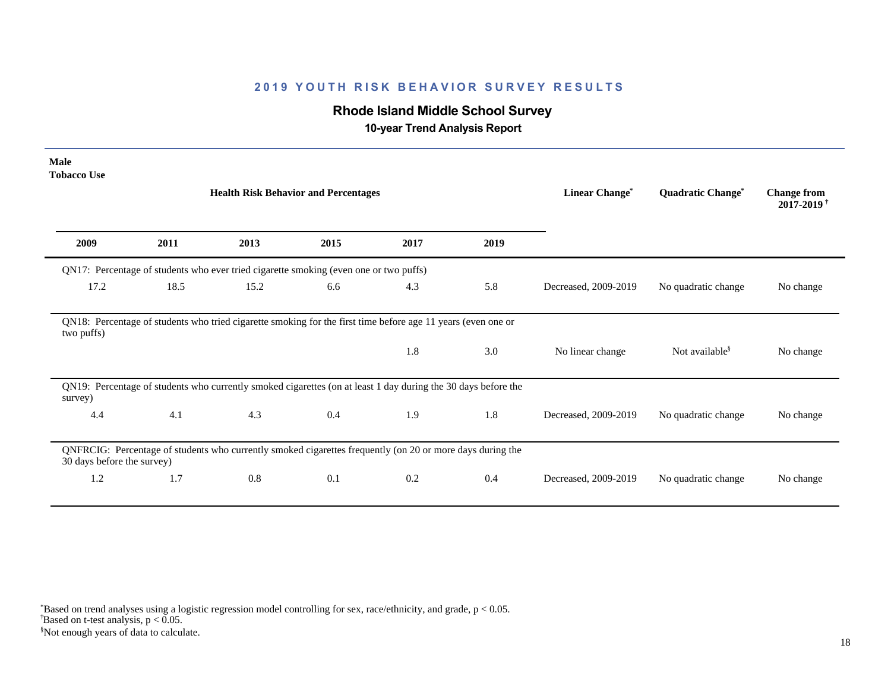# **Rhode Island Middle School Survey**

 **10-year Trend Analysis Report**

| Male<br><b>Tobacco Use</b> |      |                                                                                                               |      |                       |                   |                                                  |                            |           |
|----------------------------|------|---------------------------------------------------------------------------------------------------------------|------|-----------------------|-------------------|--------------------------------------------------|----------------------------|-----------|
|                            |      | <b>Health Risk Behavior and Percentages</b>                                                                   |      | <b>Linear Change*</b> | Quadratic Change* | <b>Change from</b><br>$2017 - 2019$ <sup>+</sup> |                            |           |
| 2009                       | 2011 | 2013                                                                                                          | 2015 | 2017                  | 2019              |                                                  |                            |           |
|                            |      | QN17: Percentage of students who ever tried cigarette smoking (even one or two puffs)                         |      |                       |                   |                                                  |                            |           |
| 17.2                       | 18.5 | 15.2                                                                                                          | 6.6  | 4.3                   | 5.8               | Decreased, 2009-2019                             | No quadratic change        | No change |
| two puffs)                 |      | QN18: Percentage of students who tried cigarette smoking for the first time before age 11 years (even one or  |      |                       |                   |                                                  |                            |           |
|                            |      |                                                                                                               |      | 1.8                   | 3.0               | No linear change                                 | Not available <sup>§</sup> | No change |
| survey)                    |      | QN19: Percentage of students who currently smoked cigarettes (on at least 1 day during the 30 days before the |      |                       |                   |                                                  |                            |           |
| 4.4                        | 4.1  | 4.3                                                                                                           | 0.4  | 1.9                   | 1.8               | Decreased, 2009-2019                             | No quadratic change        | No change |
| 30 days before the survey) |      | QNFRCIG: Percentage of students who currently smoked cigarettes frequently (on 20 or more days during the     |      |                       |                   |                                                  |                            |           |
| 1.2                        | 1.7  | 0.8                                                                                                           | 0.1  | 0.2                   | 0.4               | Decreased, 2009-2019                             | No quadratic change        | No change |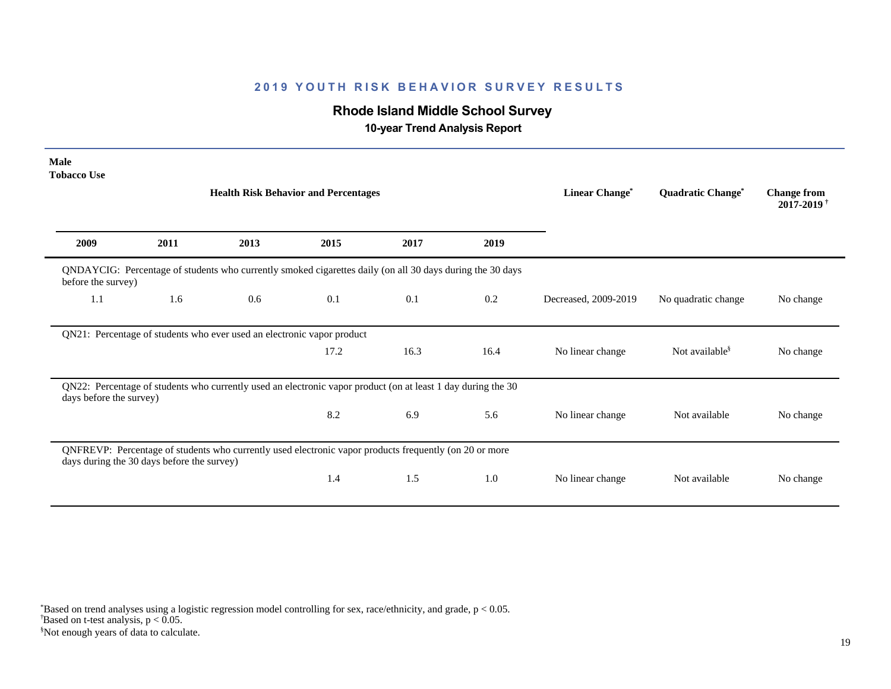# **Rhode Island Middle School Survey**

 **10-year Trend Analysis Report**

| <b>Male</b><br><b>Tobacco Use</b> |                                                                                                                                 | <b>Health Risk Behavior and Percentages</b>                                                                  | <b>Linear Change*</b> | Quadratic Change* | <b>Change from</b><br>2017-2019 <sup>+</sup> |                      |                        |           |  |  |  |
|-----------------------------------|---------------------------------------------------------------------------------------------------------------------------------|--------------------------------------------------------------------------------------------------------------|-----------------------|-------------------|----------------------------------------------|----------------------|------------------------|-----------|--|--|--|
| 2009                              | 2011                                                                                                                            | 2013                                                                                                         | 2015                  | 2017              | 2019                                         |                      |                        |           |  |  |  |
|                                   | QNDAYCIG: Percentage of students who currently smoked cigarettes daily (on all 30 days during the 30 days<br>before the survey) |                                                                                                              |                       |                   |                                              |                      |                        |           |  |  |  |
| 1.1                               | 1.6                                                                                                                             | 0.6                                                                                                          | 0.1                   | 0.1               | 0.2                                          | Decreased, 2009-2019 | No quadratic change    | No change |  |  |  |
|                                   |                                                                                                                                 | QN21: Percentage of students who ever used an electronic vapor product                                       |                       |                   |                                              |                      |                        |           |  |  |  |
|                                   |                                                                                                                                 |                                                                                                              | 17.2                  | 16.3              | 16.4                                         | No linear change     | Not available $\delta$ | No change |  |  |  |
| days before the survey)           |                                                                                                                                 | QN22: Percentage of students who currently used an electronic vapor product (on at least 1 day during the 30 |                       |                   |                                              |                      |                        |           |  |  |  |
|                                   |                                                                                                                                 |                                                                                                              | 8.2                   | 6.9               | 5.6                                          | No linear change     | Not available          | No change |  |  |  |
|                                   | days during the 30 days before the survey)                                                                                      | QNFREVP: Percentage of students who currently used electronic vapor products frequently (on 20 or more       |                       |                   |                                              |                      |                        |           |  |  |  |
|                                   |                                                                                                                                 |                                                                                                              | 1.4                   | 1.5               | 1.0                                          | No linear change     | Not available          | No change |  |  |  |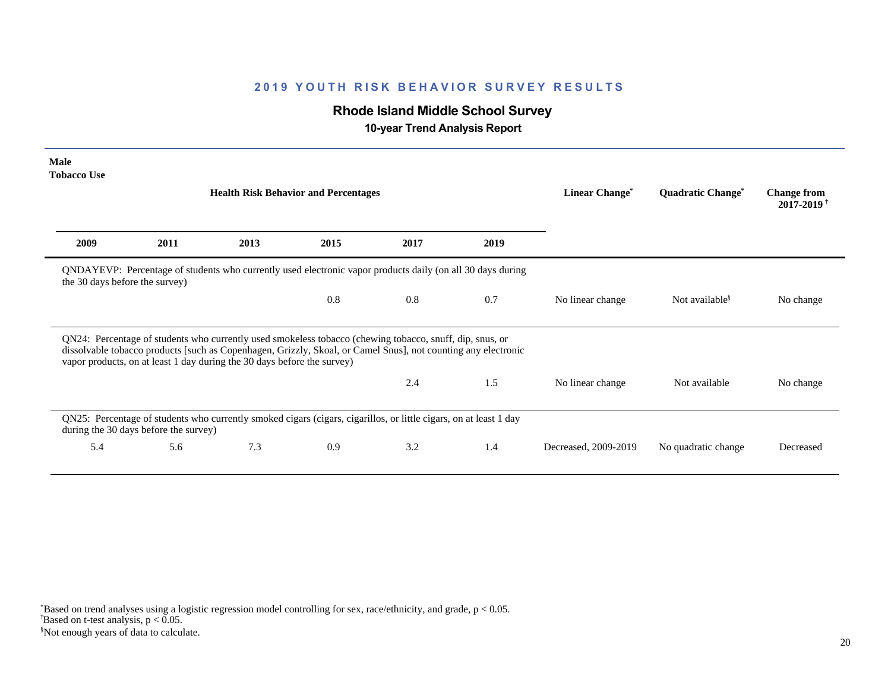# **Rhode Island Middle School Survey**

 **10-year Trend Analysis Report**

| <b>Male</b><br><b>Tobacco Use</b> |                                       |                                                                         |                                                                                                                                                                                                                           |      |      |                            |                                     |                                                  |
|-----------------------------------|---------------------------------------|-------------------------------------------------------------------------|---------------------------------------------------------------------------------------------------------------------------------------------------------------------------------------------------------------------------|------|------|----------------------------|-------------------------------------|--------------------------------------------------|
|                                   |                                       |                                                                         | <b>Health Risk Behavior and Percentages</b>                                                                                                                                                                               |      |      | Linear Change <sup>*</sup> | <b>Quadratic Change<sup>®</sup></b> | <b>Change from</b><br>$2017 - 2019$ <sup>†</sup> |
| 2009                              | 2011                                  | 2013                                                                    | 2015                                                                                                                                                                                                                      | 2017 | 2019 |                            |                                     |                                                  |
| the 30 days before the survey)    |                                       |                                                                         | QNDAYEVP: Percentage of students who currently used electronic vapor products daily (on all 30 days during                                                                                                                |      |      |                            |                                     |                                                  |
|                                   |                                       |                                                                         | 0.8                                                                                                                                                                                                                       | 0.8  | 0.7  | No linear change           | Not available <sup>§</sup>          | No change                                        |
|                                   |                                       | vapor products, on at least 1 day during the 30 days before the survey) | QN24: Percentage of students who currently used smokeless tobacco (chewing tobacco, snuff, dip, snus, or<br>dissolvable tobacco products [such as Copenhagen, Grizzly, Skoal, or Camel Snus], not counting any electronic |      |      |                            |                                     |                                                  |
|                                   |                                       |                                                                         |                                                                                                                                                                                                                           | 2.4  | 1.5  | No linear change           | Not available                       | No change                                        |
|                                   | during the 30 days before the survey) |                                                                         | QN25: Percentage of students who currently smoked cigars (cigars, cigarillos, or little cigars, on at least 1 day                                                                                                         |      |      |                            |                                     |                                                  |
| 5.4                               | 5.6                                   | 7.3                                                                     | 0.9                                                                                                                                                                                                                       | 3.2  | 1.4  | Decreased, 2009-2019       | No quadratic change                 | Decreased                                        |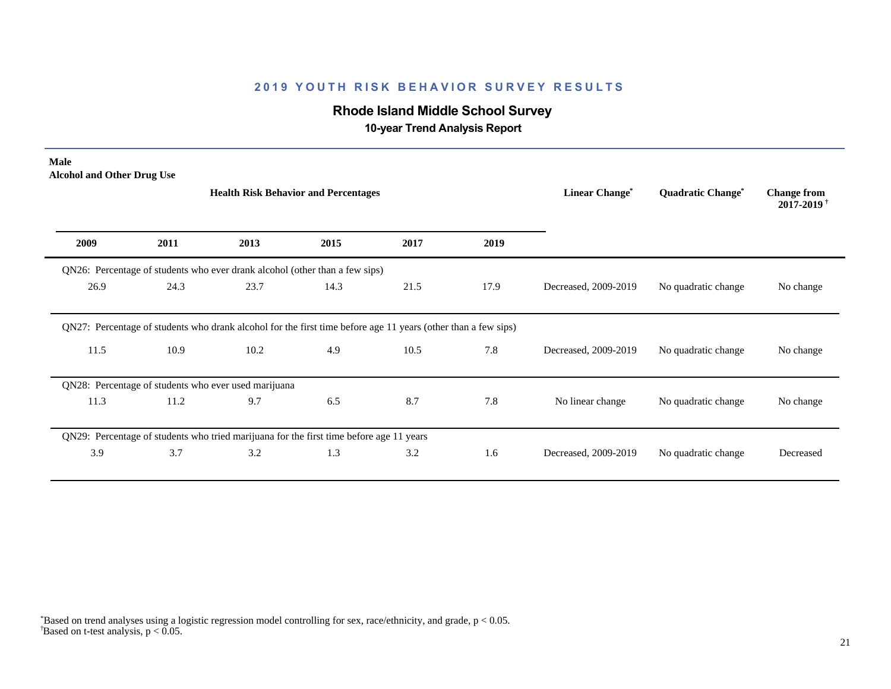# **Rhode Island Middle School Survey**

 **10-year Trend Analysis Report**

| Male<br><b>Alcohol and Other Drug Use</b> |      |                                                                                                               |      |      |      |                       |                                     |                                                  |
|-------------------------------------------|------|---------------------------------------------------------------------------------------------------------------|------|------|------|-----------------------|-------------------------------------|--------------------------------------------------|
|                                           |      | <b>Health Risk Behavior and Percentages</b>                                                                   |      |      |      | <b>Linear Change*</b> | <b>Quadratic Change<sup>*</sup></b> | <b>Change from</b><br>$2017 - 2019$ <sup>†</sup> |
| 2009                                      | 2011 | 2013                                                                                                          | 2015 | 2017 | 2019 |                       |                                     |                                                  |
|                                           |      | QN26: Percentage of students who ever drank alcohol (other than a few sips)                                   |      |      |      |                       |                                     |                                                  |
| 26.9                                      | 24.3 | 23.7                                                                                                          | 14.3 | 21.5 | 17.9 | Decreased, 2009-2019  | No quadratic change                 | No change                                        |
|                                           |      | QN27: Percentage of students who drank alcohol for the first time before age 11 years (other than a few sips) |      |      |      |                       |                                     |                                                  |
| 11.5                                      | 10.9 | 10.2                                                                                                          | 4.9  | 10.5 | 7.8  | Decreased, 2009-2019  | No quadratic change                 | No change                                        |
|                                           |      | QN28: Percentage of students who ever used marijuana                                                          |      |      |      |                       |                                     |                                                  |
| 11.3                                      | 11.2 | 9.7                                                                                                           | 6.5  | 8.7  | 7.8  | No linear change      | No quadratic change                 | No change                                        |
|                                           |      | QN29: Percentage of students who tried marijuana for the first time before age 11 years                       |      |      |      |                       |                                     |                                                  |
| 3.9                                       | 3.7  | 3.2                                                                                                           | 1.3  | 3.2  | 1.6  | Decreased, 2009-2019  | No quadratic change                 | Decreased                                        |
|                                           |      |                                                                                                               |      |      |      |                       |                                     |                                                  |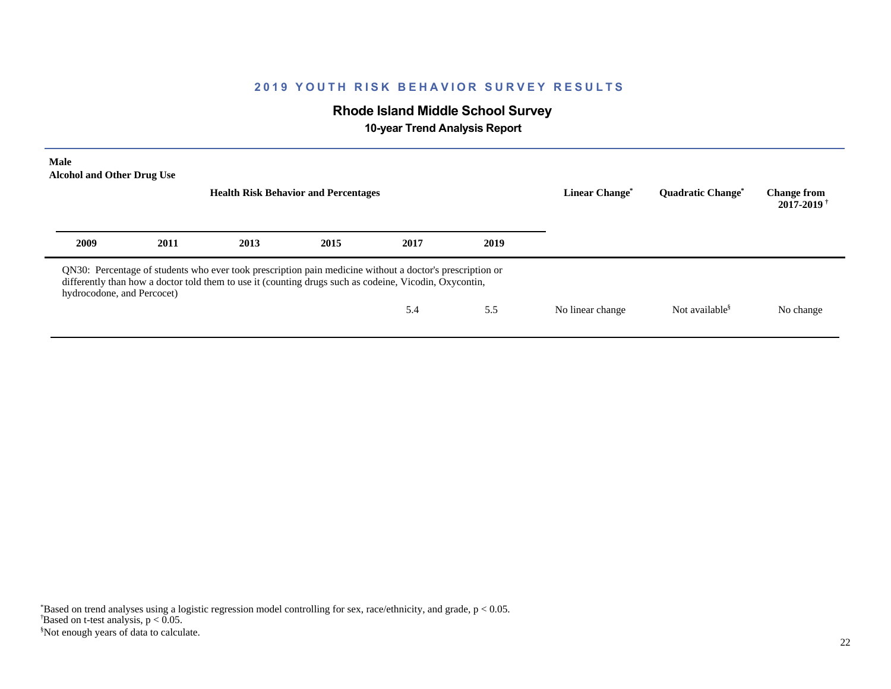# **Rhode Island Middle School Survey**

 **10-year Trend Analysis Report**

| <b>Male</b><br><b>Alcohol and Other Drug Use</b> |      | <b>Health Risk Behavior and Percentages</b>                                                                                                                                                                        | Linear Change <sup>®</sup> | <b>Ouadratic Change<sup>®</sup></b> | <b>Change from</b><br>$2017 - 2019$ <sup>+</sup> |                  |                            |           |
|--------------------------------------------------|------|--------------------------------------------------------------------------------------------------------------------------------------------------------------------------------------------------------------------|----------------------------|-------------------------------------|--------------------------------------------------|------------------|----------------------------|-----------|
| 2009                                             | 2011 | 2013                                                                                                                                                                                                               | 2015                       | 2017                                | 2019                                             |                  |                            |           |
| hydrocodone, and Percocet)                       |      | QN30: Percentage of students who ever took prescription pain medicine without a doctor's prescription or<br>differently than how a doctor told them to use it (counting drugs such as codeine, Vicodin, Oxycontin, |                            |                                     |                                                  |                  |                            |           |
|                                                  |      |                                                                                                                                                                                                                    |                            | 5.4                                 | 5.5                                              | No linear change | Not available <sup>§</sup> | No change |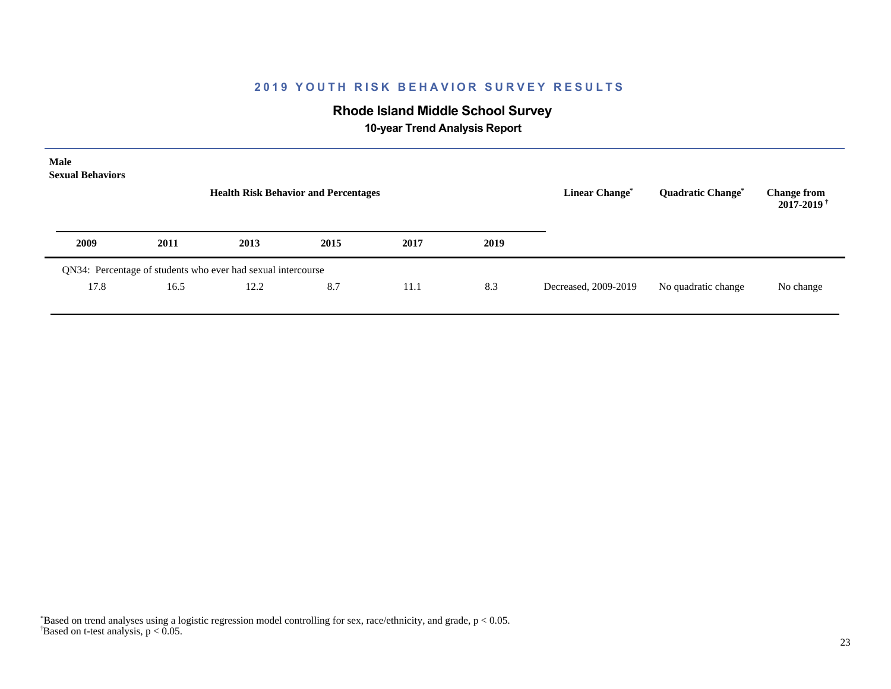# **Rhode Island Middle School Survey**

 **10-year Trend Analysis Report**

| Male<br><b>Sexual Behaviors</b> |      | <b>Health Risk Behavior and Percentages</b>                  |      | <b>Linear Change<sup>*</sup></b> | <b>Quadratic Change<sup>*</sup></b><br>No quadratic change | <b>Change from</b><br>$2017 - 2019$ <sup>†</sup> |  |           |
|---------------------------------|------|--------------------------------------------------------------|------|----------------------------------|------------------------------------------------------------|--------------------------------------------------|--|-----------|
| 2009                            | 2011 | 2013                                                         | 2015 | 2017                             | 2019                                                       |                                                  |  |           |
|                                 |      | QN34: Percentage of students who ever had sexual intercourse |      |                                  |                                                            |                                                  |  |           |
| 17.8                            | 16.5 | 12.2                                                         | 8.7  | 11.1                             | 8.3                                                        | Decreased, 2009-2019                             |  | No change |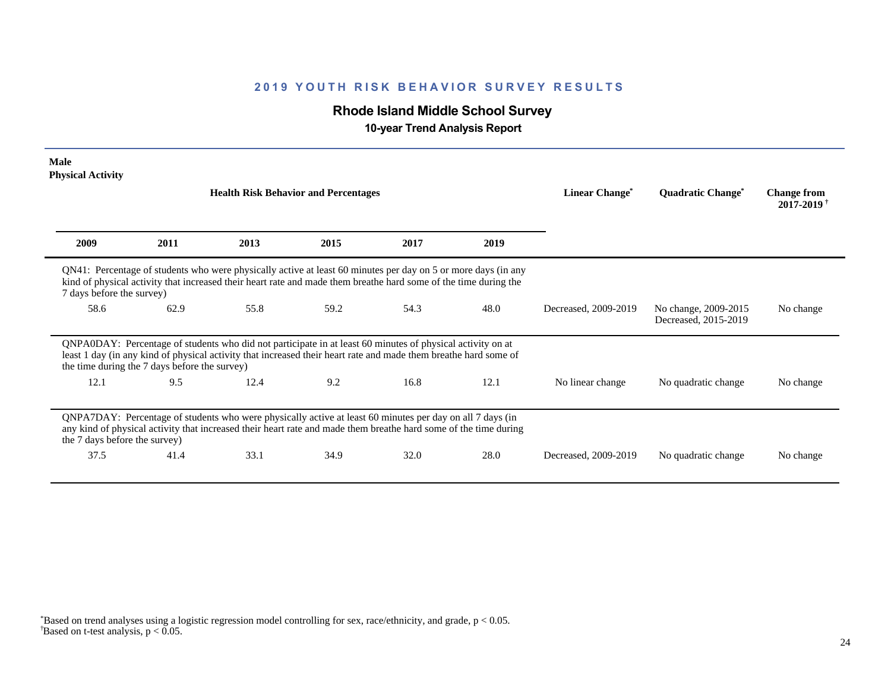# **Rhode Island Middle School Survey**

 **10-year Trend Analysis Report**

| <b>Male</b><br><b>Physical Activity</b>       |      |                                                                                                                                                                                                                                   |      |      |      |                            |                                              |                                                  |
|-----------------------------------------------|------|-----------------------------------------------------------------------------------------------------------------------------------------------------------------------------------------------------------------------------------|------|------|------|----------------------------|----------------------------------------------|--------------------------------------------------|
|                                               |      | <b>Health Risk Behavior and Percentages</b>                                                                                                                                                                                       |      |      |      | Linear Change <sup>*</sup> | <b>Quadratic Change<sup>®</sup></b>          | <b>Change from</b><br>$2017 - 2019$ <sup>†</sup> |
| 2009                                          | 2011 | 2013                                                                                                                                                                                                                              | 2015 | 2017 | 2019 |                            |                                              |                                                  |
| 7 days before the survey)                     |      | QN41: Percentage of students who were physically active at least 60 minutes per day on 5 or more days (in any<br>kind of physical activity that increased their heart rate and made them breathe hard some of the time during the |      |      |      |                            |                                              |                                                  |
| 58.6                                          | 62.9 | 55.8                                                                                                                                                                                                                              | 59.2 | 54.3 | 48.0 | Decreased, 2009-2019       | No change, 2009-2015<br>Decreased, 2015-2019 | No change                                        |
| the time during the 7 days before the survey) |      | QNPA0DAY: Percentage of students who did not participate in at least 60 minutes of physical activity on at<br>least 1 day (in any kind of physical activity that increased their heart rate and made them breathe hard some of    |      |      |      |                            |                                              |                                                  |
| 12.1                                          | 9.5  | 12.4                                                                                                                                                                                                                              | 9.2  | 16.8 | 12.1 | No linear change           | No quadratic change                          | No change                                        |
| the 7 days before the survey)                 |      | QNPA7DAY: Percentage of students who were physically active at least 60 minutes per day on all 7 days (in<br>any kind of physical activity that increased their heart rate and made them breathe hard some of the time during     |      |      |      |                            |                                              |                                                  |
| 37.5                                          | 41.4 | 33.1                                                                                                                                                                                                                              | 34.9 | 32.0 | 28.0 | Decreased, 2009-2019       | No quadratic change                          | No change                                        |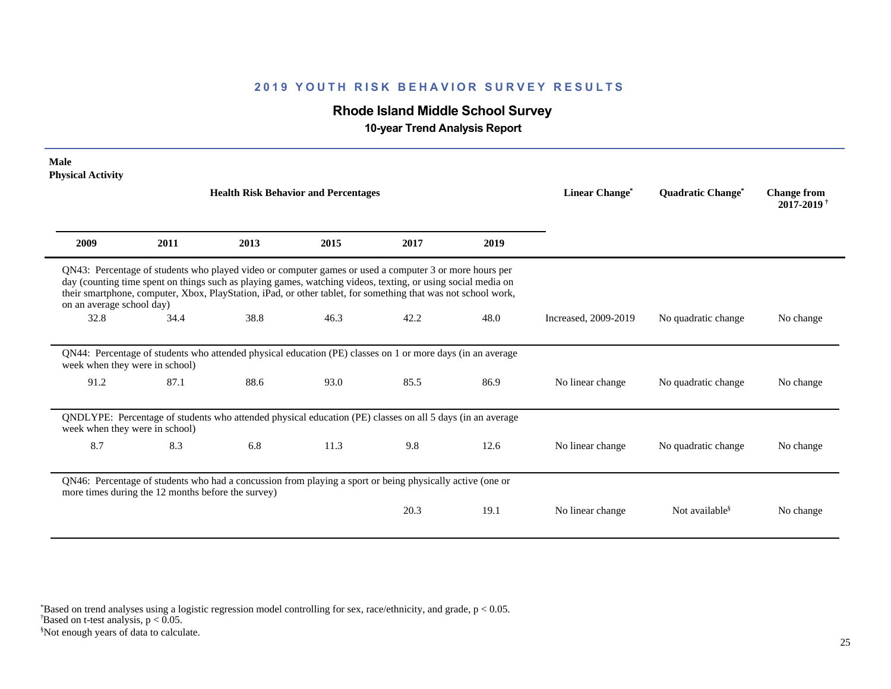# **Rhode Island Middle School Survey**

 **10-year Trend Analysis Report**

| Male<br><b>Physical Activity</b>                   |      |                                                                                                                                                                                                                                                                                                                                         |      |      |      |                            |                                     |                                                  |
|----------------------------------------------------|------|-----------------------------------------------------------------------------------------------------------------------------------------------------------------------------------------------------------------------------------------------------------------------------------------------------------------------------------------|------|------|------|----------------------------|-------------------------------------|--------------------------------------------------|
|                                                    |      | <b>Health Risk Behavior and Percentages</b>                                                                                                                                                                                                                                                                                             |      |      |      | Linear Change <sup>*</sup> | <b>Quadratic Change<sup>*</sup></b> | <b>Change from</b><br>$2017 - 2019$ <sup>†</sup> |
| 2009                                               | 2011 | 2013                                                                                                                                                                                                                                                                                                                                    | 2015 | 2017 | 2019 |                            |                                     |                                                  |
| on an average school day)                          |      | QN43: Percentage of students who played video or computer games or used a computer 3 or more hours per<br>day (counting time spent on things such as playing games, watching videos, texting, or using social media on<br>their smartphone, computer, Xbox, PlayStation, iPad, or other tablet, for something that was not school work, |      |      |      |                            |                                     |                                                  |
| 32.8                                               | 34.4 | 38.8                                                                                                                                                                                                                                                                                                                                    | 46.3 | 42.2 | 48.0 | Increased, 2009-2019       | No quadratic change                 | No change                                        |
| week when they were in school)                     |      | QN44: Percentage of students who attended physical education (PE) classes on 1 or more days (in an average                                                                                                                                                                                                                              |      |      |      |                            |                                     |                                                  |
| 91.2                                               | 87.1 | 88.6                                                                                                                                                                                                                                                                                                                                    | 93.0 | 85.5 | 86.9 | No linear change           | No quadratic change                 | No change                                        |
| week when they were in school)                     |      | QNDLYPE: Percentage of students who attended physical education (PE) classes on all 5 days (in an average                                                                                                                                                                                                                               |      |      |      |                            |                                     |                                                  |
| 8.7                                                | 8.3  | 6.8                                                                                                                                                                                                                                                                                                                                     | 11.3 | 9.8  | 12.6 | No linear change           | No quadratic change                 | No change                                        |
| more times during the 12 months before the survey) |      | QN46: Percentage of students who had a concussion from playing a sport or being physically active (one or                                                                                                                                                                                                                               |      |      |      |                            |                                     |                                                  |
|                                                    |      |                                                                                                                                                                                                                                                                                                                                         |      | 20.3 | 19.1 | No linear change           | Not available <sup>§</sup>          | No change                                        |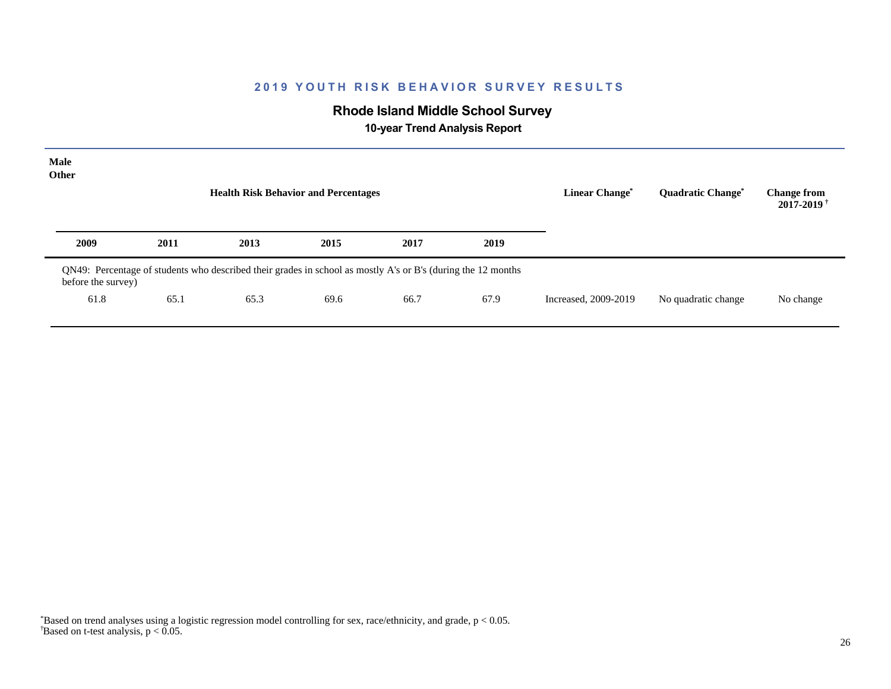# **Rhode Island Middle School Survey**

 **10-year Trend Analysis Report**

| Male<br>Other      |                                                                                                              | <b>Health Risk Behavior and Percentages</b> |      |      |      | <b>Linear Change*</b> | <b>Quadratic Change<sup>*</sup></b> | <b>Change from</b><br>$2017 - 2019$ <sup>†</sup> |
|--------------------|--------------------------------------------------------------------------------------------------------------|---------------------------------------------|------|------|------|-----------------------|-------------------------------------|--------------------------------------------------|
| 2009               | 2011                                                                                                         | 2013                                        | 2015 | 2017 | 2019 |                       |                                     |                                                  |
| before the survey) | QN49: Percentage of students who described their grades in school as mostly A's or B's (during the 12 months |                                             |      |      |      |                       |                                     |                                                  |
| 61.8               | 65.1                                                                                                         | 65.3                                        | 69.6 | 66.7 | 67.9 | Increased, 2009-2019  | No quadratic change                 | No change                                        |
|                    |                                                                                                              |                                             |      |      |      |                       |                                     |                                                  |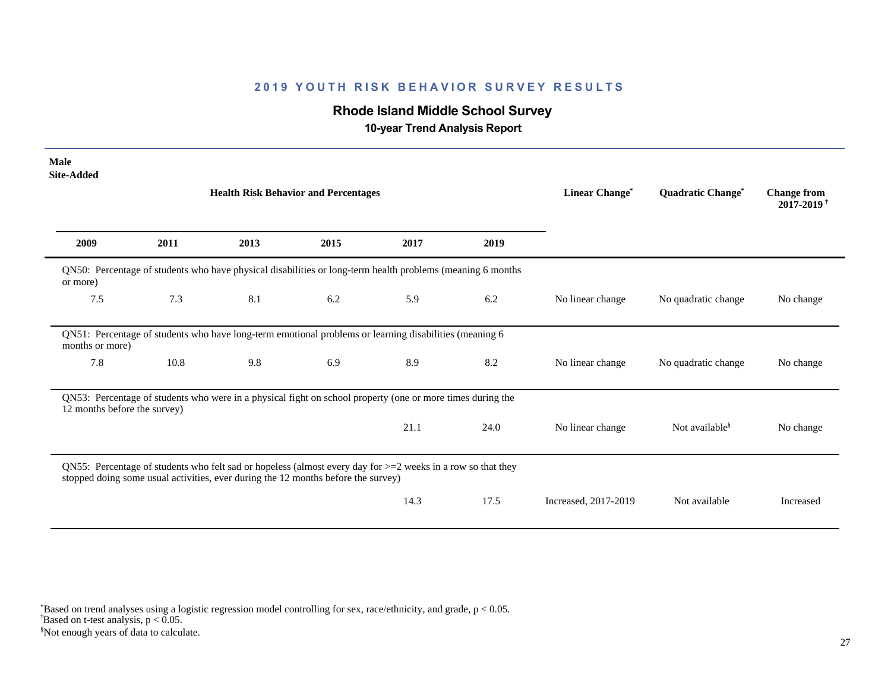# **Rhode Island Middle School Survey**

 **10-year Trend Analysis Report**

| <b>Male</b><br><b>Site-Added</b> |      |                                                                                                                                                                                                     |      |      |      |                      |                            |                                                  |
|----------------------------------|------|-----------------------------------------------------------------------------------------------------------------------------------------------------------------------------------------------------|------|------|------|----------------------|----------------------------|--------------------------------------------------|
|                                  |      | <b>Health Risk Behavior and Percentages</b>                                                                                                                                                         |      |      |      | Linear Change*       | Quadratic Change*          | <b>Change from</b><br>$2017 - 2019$ <sup>†</sup> |
| 2009                             | 2011 | 2013                                                                                                                                                                                                | 2015 | 2017 | 2019 |                      |                            |                                                  |
| or more)                         |      | QN50: Percentage of students who have physical disabilities or long-term health problems (meaning 6 months                                                                                          |      |      |      |                      |                            |                                                  |
| 7.5                              | 7.3  | 8.1                                                                                                                                                                                                 | 6.2  | 5.9  | 6.2  | No linear change     | No quadratic change        | No change                                        |
| months or more)                  |      | QN51: Percentage of students who have long-term emotional problems or learning disabilities (meaning 6                                                                                              |      |      |      |                      |                            |                                                  |
| 7.8                              | 10.8 | 9.8                                                                                                                                                                                                 | 6.9  | 8.9  | 8.2  | No linear change     | No quadratic change        | No change                                        |
| 12 months before the survey)     |      | QN53: Percentage of students who were in a physical fight on school property (one or more times during the                                                                                          |      |      |      |                      |                            |                                                  |
|                                  |      |                                                                                                                                                                                                     |      | 21.1 | 24.0 | No linear change     | Not available <sup>§</sup> | No change                                        |
|                                  |      | QN55: Percentage of students who felt sad or hopeless (almost every day for $>=$ 2 weeks in a row so that they<br>stopped doing some usual activities, ever during the 12 months before the survey) |      |      |      |                      |                            |                                                  |
|                                  |      |                                                                                                                                                                                                     |      | 14.3 | 17.5 | Increased, 2017-2019 | Not available              | Increased                                        |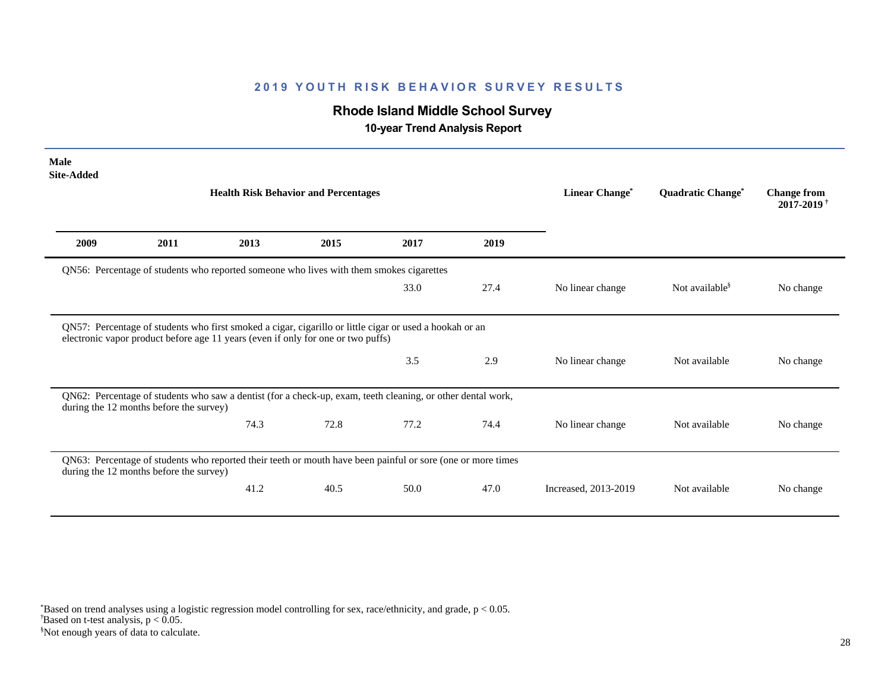# **Rhode Island Middle School Survey**

 **10-year Trend Analysis Report**

| <b>Male</b><br><b>Site-Added</b> |                                         |                                                                                                             |      |      |      |                  |                            |                                                  |
|----------------------------------|-----------------------------------------|-------------------------------------------------------------------------------------------------------------|------|------|------|------------------|----------------------------|--------------------------------------------------|
|                                  |                                         | <b>Health Risk Behavior and Percentages</b>                                                                 |      |      |      | Linear Change*   | Quadratic Change*          | <b>Change from</b><br>$2017 - 2019$ <sup>†</sup> |
| 2009                             | 2011                                    | 2013                                                                                                        | 2015 | 2017 | 2019 |                  |                            |                                                  |
|                                  |                                         | QN56: Percentage of students who reported someone who lives with them smokes cigarettes                     |      |      |      |                  |                            |                                                  |
|                                  |                                         |                                                                                                             |      | 33.0 | 27.4 | No linear change | Not available <sup>§</sup> | No change                                        |
|                                  |                                         | QN57: Percentage of students who first smoked a cigar, cigarillo or little cigar or used a hookah or an     |      |      |      |                  |                            |                                                  |
|                                  |                                         | electronic vapor product before age 11 years (even if only for one or two puffs)                            |      |      |      |                  |                            |                                                  |
|                                  |                                         |                                                                                                             |      | 3.5  | 2.9  | No linear change | Not available              | No change                                        |
|                                  | during the 12 months before the survey) | QN62: Percentage of students who saw a dentist (for a check-up, exam, teeth cleaning, or other dental work, |      |      |      |                  |                            |                                                  |
|                                  |                                         | 74.3                                                                                                        | 72.8 | 77.2 | 74.4 | No linear change | Not available              | No change                                        |
|                                  | during the 12 months before the survey) | QN63: Percentage of students who reported their teeth or mouth have been painful or sore (one or more times |      |      |      |                  |                            |                                                  |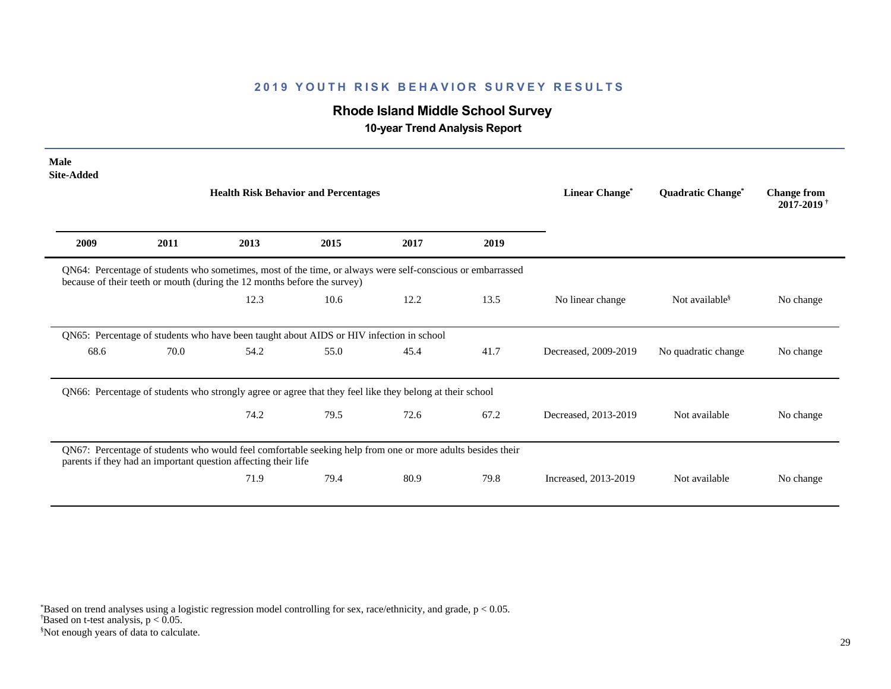# **Rhode Island Middle School Survey**

 **10-year Trend Analysis Report**

| <b>Male</b><br><b>Site-Added</b> |                                                                                                                                                                                        |                                             |      |      |      |                                  |                                     |                                                  |
|----------------------------------|----------------------------------------------------------------------------------------------------------------------------------------------------------------------------------------|---------------------------------------------|------|------|------|----------------------------------|-------------------------------------|--------------------------------------------------|
|                                  |                                                                                                                                                                                        | <b>Health Risk Behavior and Percentages</b> |      |      |      | <b>Linear Change<sup>*</sup></b> | <b>Quadratic Change<sup>*</sup></b> | <b>Change from</b><br>$2017 - 2019$ <sup>†</sup> |
| 2009                             | 2011                                                                                                                                                                                   | 2013                                        | 2015 | 2017 | 2019 |                                  |                                     |                                                  |
|                                  | QN64: Percentage of students who sometimes, most of the time, or always were self-conscious or embarrassed<br>because of their teeth or mouth (during the 12 months before the survey) |                                             |      |      |      |                                  |                                     |                                                  |
|                                  |                                                                                                                                                                                        | 12.3                                        | 10.6 | 12.2 | 13.5 | No linear change                 | Not available <sup>§</sup>          | No change                                        |
|                                  | QN65: Percentage of students who have been taught about AIDS or HIV infection in school                                                                                                |                                             |      |      |      |                                  |                                     |                                                  |
| 68.6                             | 70.0                                                                                                                                                                                   | 54.2                                        | 55.0 | 45.4 | 41.7 | Decreased, 2009-2019             | No quadratic change                 | No change                                        |
|                                  | QN66: Percentage of students who strongly agree or agree that they feel like they belong at their school                                                                               |                                             |      |      |      |                                  |                                     |                                                  |
|                                  |                                                                                                                                                                                        | 74.2                                        | 79.5 | 72.6 | 67.2 | Decreased, 2013-2019             | Not available                       | No change                                        |
|                                  | QN67: Percentage of students who would feel comfortable seeking help from one or more adults besides their<br>parents if they had an important question affecting their life           |                                             |      |      |      |                                  |                                     |                                                  |
|                                  |                                                                                                                                                                                        | 71.9                                        | 79.4 | 80.9 | 79.8 | Increased, 2013-2019             | Not available                       | No change                                        |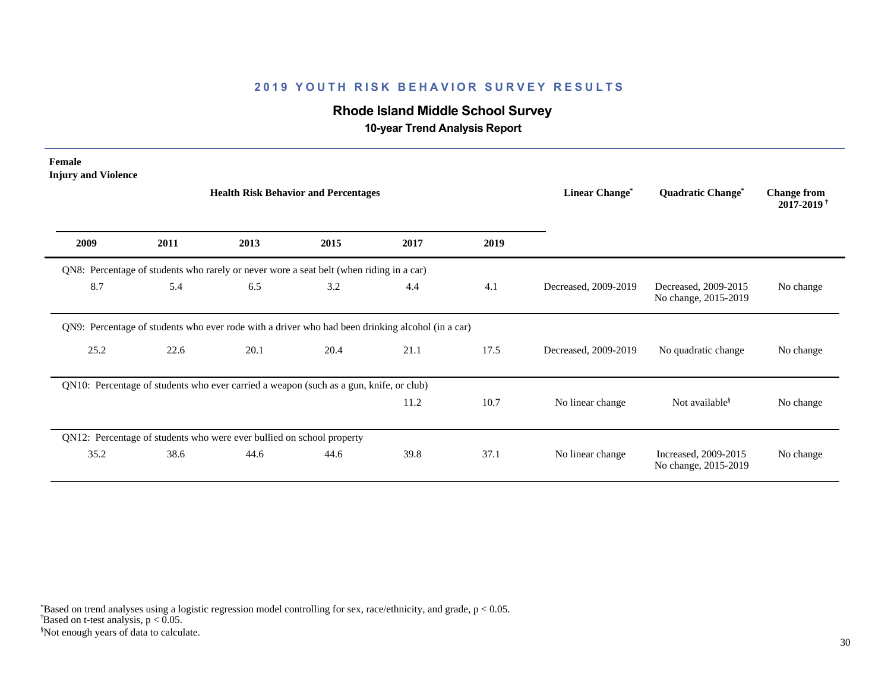# **Rhode Island Middle School Survey**

 **10-year Trend Analysis Report**

| Female<br><b>Injury and Violence</b>                                  |      | <b>Health Risk Behavior and Percentages</b>                                                      |      |      | <b>Linear Change*</b> | Quadratic Change*    | <b>Change from</b><br>2017-2019 <sup>†</sup> |           |
|-----------------------------------------------------------------------|------|--------------------------------------------------------------------------------------------------|------|------|-----------------------|----------------------|----------------------------------------------|-----------|
| 2009                                                                  | 2011 | 2013                                                                                             | 2015 | 2017 | 2019                  |                      |                                              |           |
|                                                                       |      | QN8: Percentage of students who rarely or never wore a seat belt (when riding in a car)          |      |      |                       |                      |                                              |           |
| 8.7                                                                   | 5.4  | 6.5                                                                                              | 3.2  | 4.4  | 4.1                   | Decreased, 2009-2019 | Decreased, 2009-2015<br>No change, 2015-2019 | No change |
|                                                                       |      | QN9: Percentage of students who ever rode with a driver who had been drinking alcohol (in a car) |      |      |                       |                      |                                              |           |
| 25.2                                                                  | 22.6 | 20.1                                                                                             | 20.4 | 21.1 | 17.5                  | Decreased, 2009-2019 | No quadratic change                          | No change |
|                                                                       |      | QN10: Percentage of students who ever carried a weapon (such as a gun, knife, or club)           |      |      |                       |                      |                                              |           |
|                                                                       |      |                                                                                                  |      | 11.2 | 10.7                  | No linear change     | Not available <sup>§</sup>                   | No change |
| QN12: Percentage of students who were ever bullied on school property |      |                                                                                                  |      |      |                       |                      |                                              |           |
| 35.2                                                                  | 38.6 | 44.6                                                                                             | 44.6 | 39.8 | 37.1                  | No linear change     | Increased, 2009-2015<br>No change, 2015-2019 | No change |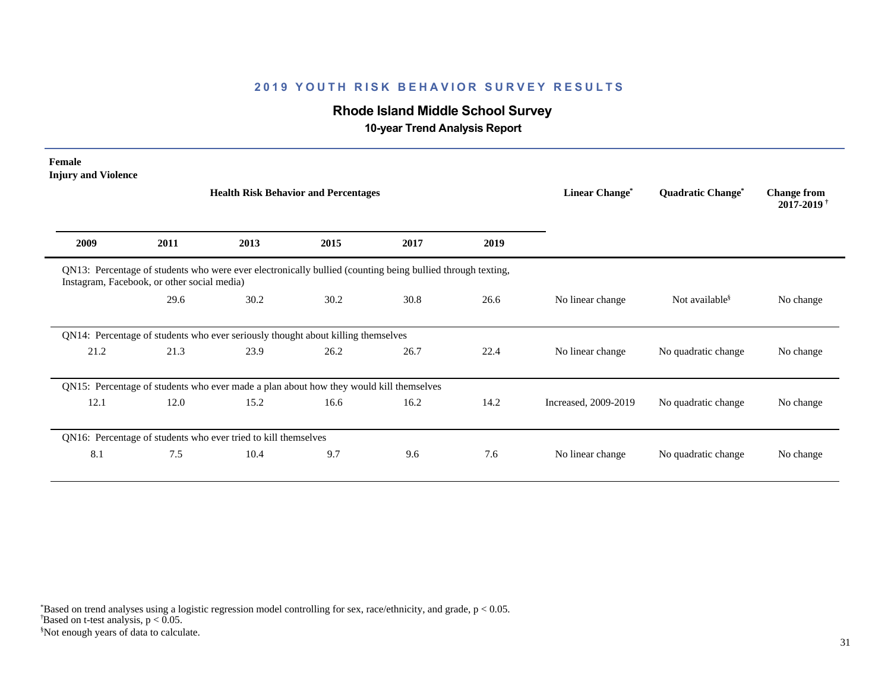# **Rhode Island Middle School Survey**

 **10-year Trend Analysis Report**

| Female<br><b>Injury and Violence</b> |                                             |                                                                                                            |      |      |      | Linear Change*       |                                     |                                                  |
|--------------------------------------|---------------------------------------------|------------------------------------------------------------------------------------------------------------|------|------|------|----------------------|-------------------------------------|--------------------------------------------------|
|                                      |                                             | <b>Health Risk Behavior and Percentages</b>                                                                |      |      |      |                      | <b>Quadratic Change<sup>®</sup></b> | <b>Change from</b><br>$2017 - 2019$ <sup>†</sup> |
| 2009                                 | 2011                                        | 2013                                                                                                       | 2015 | 2017 | 2019 |                      |                                     |                                                  |
|                                      | Instagram, Facebook, or other social media) | QN13: Percentage of students who were ever electronically bullied (counting being bullied through texting, |      |      |      |                      |                                     |                                                  |
|                                      | 29.6                                        | 30.2                                                                                                       | 30.2 | 30.8 | 26.6 | No linear change     | Not available <sup>§</sup>          | No change                                        |
|                                      |                                             | QN14: Percentage of students who ever seriously thought about killing themselves                           |      |      |      |                      |                                     |                                                  |
| 21.2                                 | 21.3                                        | 23.9                                                                                                       | 26.2 | 26.7 | 22.4 | No linear change     | No quadratic change                 | No change                                        |
|                                      |                                             | QN15: Percentage of students who ever made a plan about how they would kill themselves                     |      |      |      |                      |                                     |                                                  |
| 12.1                                 | 12.0                                        | 15.2                                                                                                       | 16.6 | 16.2 | 14.2 | Increased, 2009-2019 | No quadratic change                 | No change                                        |
|                                      |                                             | QN16: Percentage of students who ever tried to kill themselves                                             |      |      |      |                      |                                     |                                                  |
| 8.1                                  | 7.5                                         | 10.4                                                                                                       | 9.7  | 9.6  | 7.6  | No linear change     | No quadratic change                 | No change                                        |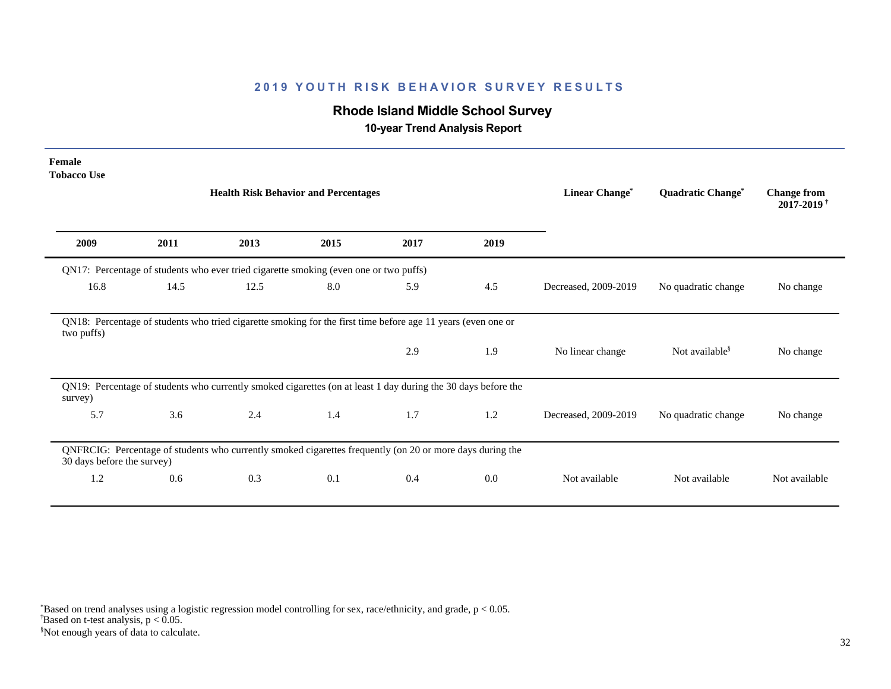# **Rhode Island Middle School Survey**

 **10-year Trend Analysis Report**

| Female<br><b>Tobacco Use</b> |      |                                                                                                               |      |      |      |                      |                            |                                                  |
|------------------------------|------|---------------------------------------------------------------------------------------------------------------|------|------|------|----------------------|----------------------------|--------------------------------------------------|
|                              |      | <b>Health Risk Behavior and Percentages</b>                                                                   |      |      |      | Linear Change*       | Quadratic Change*          | <b>Change from</b><br>$2017 - 2019$ <sup>†</sup> |
| 2009                         | 2011 | 2013                                                                                                          | 2015 | 2017 | 2019 |                      |                            |                                                  |
|                              |      | QN17: Percentage of students who ever tried cigarette smoking (even one or two puffs)                         |      |      |      |                      |                            |                                                  |
| 16.8                         | 14.5 | 12.5                                                                                                          | 8.0  | 5.9  | 4.5  | Decreased, 2009-2019 | No quadratic change        | No change                                        |
| two puffs)                   |      | QN18: Percentage of students who tried cigarette smoking for the first time before age 11 years (even one or  |      |      |      |                      |                            |                                                  |
|                              |      |                                                                                                               |      | 2.9  | 1.9  | No linear change     | Not available <sup>§</sup> | No change                                        |
| survey)                      |      | QN19: Percentage of students who currently smoked cigarettes (on at least 1 day during the 30 days before the |      |      |      |                      |                            |                                                  |
| 5.7                          | 3.6  | 2.4                                                                                                           | 1.4  | 1.7  | 1.2  | Decreased, 2009-2019 | No quadratic change        | No change                                        |
| 30 days before the survey)   |      | QNFRCIG: Percentage of students who currently smoked cigarettes frequently (on 20 or more days during the     |      |      |      |                      |                            |                                                  |
| 1.2                          | 0.6  | 0.3                                                                                                           | 0.1  | 0.4  | 0.0  | Not available        | Not available              | Not available                                    |
|                              |      |                                                                                                               |      |      |      |                      |                            |                                                  |

 $\overline{B}$ ased on t-test analysis, p < 0.05. \*Based on trend analyses using a logistic regression model controlling for sex, race/ethnicity, and grade, p < 0.05.

§Not enough years of data to calculate.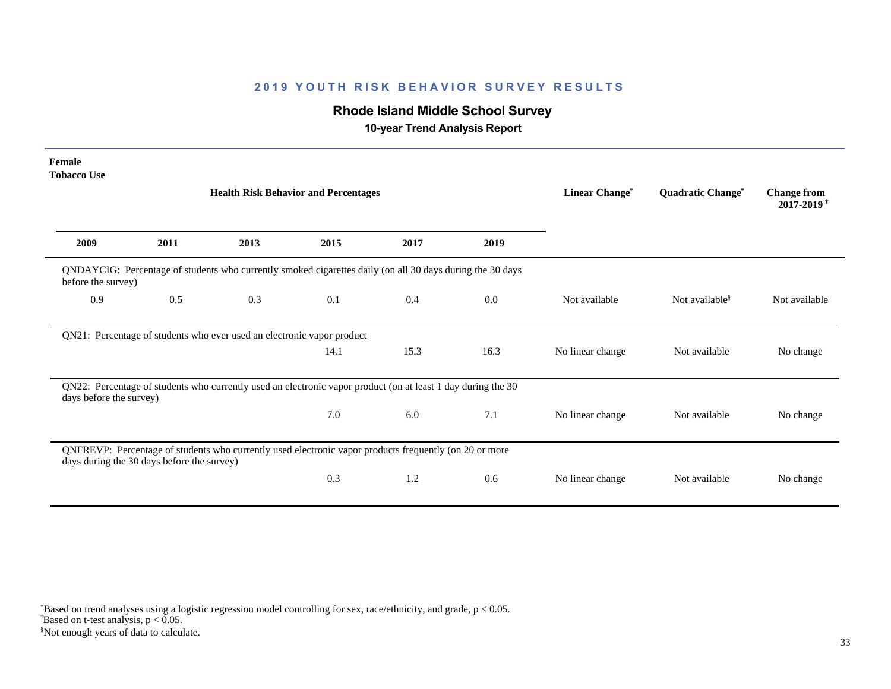# **Rhode Island Middle School Survey**

 **10-year Trend Analysis Report**

| Female<br><b>Tobacco Use</b> |                                            |                                                                                                              |      |      |                |                   |                                              |               |
|------------------------------|--------------------------------------------|--------------------------------------------------------------------------------------------------------------|------|------|----------------|-------------------|----------------------------------------------|---------------|
|                              |                                            | <b>Health Risk Behavior and Percentages</b>                                                                  |      |      | Linear Change* | Quadratic Change* | <b>Change from</b><br>2017-2019 <sup>†</sup> |               |
| 2009                         | 2011                                       | 2013                                                                                                         | 2015 | 2017 | 2019           |                   |                                              |               |
| before the survey)           |                                            | QNDAYCIG: Percentage of students who currently smoked cigarettes daily (on all 30 days during the 30 days    |      |      |                |                   |                                              |               |
| 0.9                          | 0.5                                        | 0.3                                                                                                          | 0.1  | 0.4  | 0.0            | Not available     | Not available <sup>§</sup>                   | Not available |
|                              |                                            | QN21: Percentage of students who ever used an electronic vapor product                                       |      |      |                |                   |                                              |               |
|                              |                                            |                                                                                                              | 14.1 | 15.3 | 16.3           | No linear change  | Not available                                | No change     |
| days before the survey)      |                                            | QN22: Percentage of students who currently used an electronic vapor product (on at least 1 day during the 30 |      |      |                |                   |                                              |               |
|                              |                                            |                                                                                                              | 7.0  | 6.0  | 7.1            | No linear change  | Not available                                | No change     |
|                              | days during the 30 days before the survey) | QNFREVP: Percentage of students who currently used electronic vapor products frequently (on 20 or more       |      |      |                |                   |                                              |               |
|                              |                                            |                                                                                                              | 0.3  | 1.2  | 0.6            | No linear change  | Not available                                | No change     |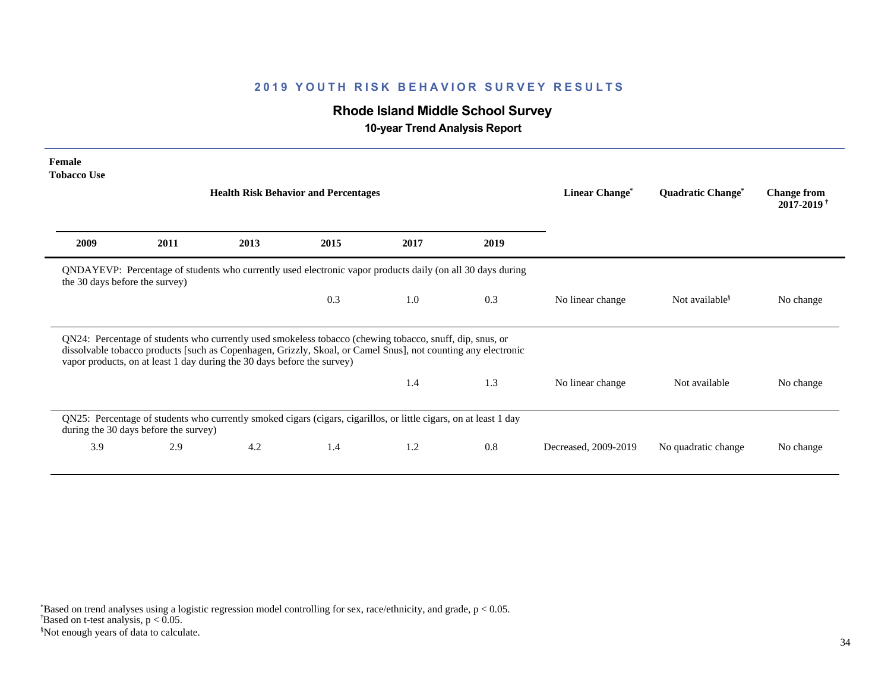# **Rhode Island Middle School Survey**

 **10-year Trend Analysis Report**

| Female<br><b>Tobacco Use</b>   |                                       |                                                                         |                                                                                                                                                                                                                           |      |      |                      |                                     |                                                  |
|--------------------------------|---------------------------------------|-------------------------------------------------------------------------|---------------------------------------------------------------------------------------------------------------------------------------------------------------------------------------------------------------------------|------|------|----------------------|-------------------------------------|--------------------------------------------------|
|                                |                                       |                                                                         | <b>Health Risk Behavior and Percentages</b>                                                                                                                                                                               |      |      | Linear Change*       | <b>Quadratic Change<sup>®</sup></b> | <b>Change from</b><br>$2017 - 2019$ <sup>†</sup> |
| 2009                           | 2011                                  | 2013                                                                    | 2015                                                                                                                                                                                                                      | 2017 | 2019 |                      |                                     |                                                  |
| the 30 days before the survey) |                                       |                                                                         | QNDAYEVP: Percentage of students who currently used electronic vapor products daily (on all 30 days during                                                                                                                |      |      |                      |                                     |                                                  |
|                                |                                       |                                                                         | 0.3                                                                                                                                                                                                                       | 1.0  | 0.3  | No linear change     | Not available <sup>§</sup>          | No change                                        |
|                                |                                       | vapor products, on at least 1 day during the 30 days before the survey) | QN24: Percentage of students who currently used smokeless tobacco (chewing tobacco, snuff, dip, snus, or<br>dissolvable tobacco products [such as Copenhagen, Grizzly, Skoal, or Camel Snus], not counting any electronic |      |      |                      |                                     |                                                  |
|                                |                                       |                                                                         |                                                                                                                                                                                                                           | 1.4  | 1.3  | No linear change     | Not available                       | No change                                        |
|                                | during the 30 days before the survey) |                                                                         | QN25: Percentage of students who currently smoked cigars (cigars, cigarillos, or little cigars, on at least 1 day                                                                                                         |      |      |                      |                                     |                                                  |
| 3.9                            | 2.9                                   | 4.2                                                                     | 1.4                                                                                                                                                                                                                       | 1.2  | 0.8  | Decreased, 2009-2019 | No quadratic change                 | No change                                        |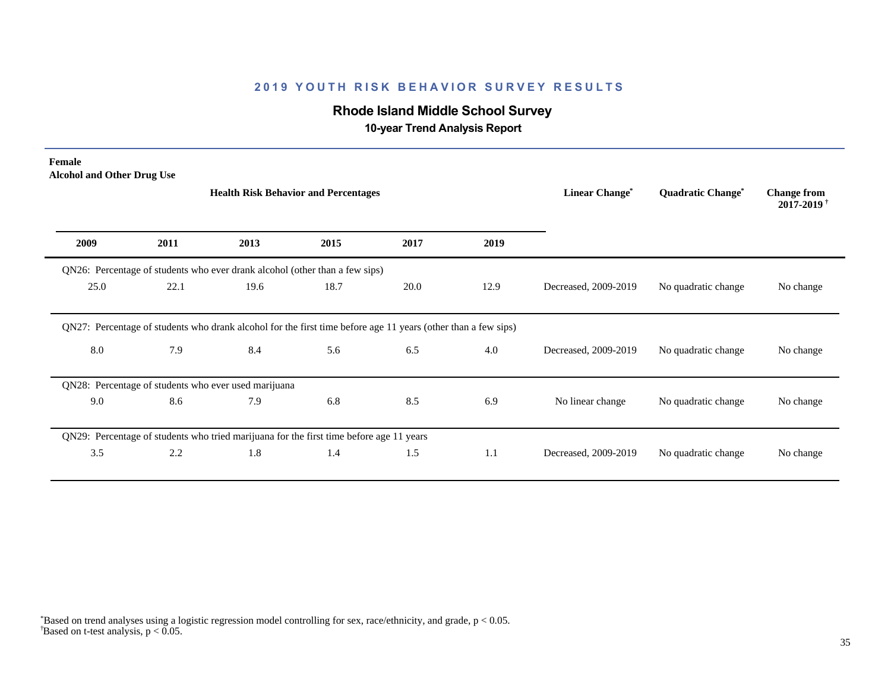# **Rhode Island Middle School Survey**

 **10-year Trend Analysis Report**

| Female<br><b>Alcohol and Other Drug Use</b> |      |                                                                                                               |      |      |      |                      |                     |                                                  |
|---------------------------------------------|------|---------------------------------------------------------------------------------------------------------------|------|------|------|----------------------|---------------------|--------------------------------------------------|
|                                             |      | <b>Health Risk Behavior and Percentages</b>                                                                   |      |      |      | Linear Change*       | Quadratic Change*   | <b>Change from</b><br>$2017 - 2019$ <sup>†</sup> |
| 2009                                        | 2011 | 2013                                                                                                          | 2015 | 2017 | 2019 |                      |                     |                                                  |
|                                             |      | QN26: Percentage of students who ever drank alcohol (other than a few sips)                                   |      |      |      |                      |                     |                                                  |
| 25.0                                        | 22.1 | 19.6                                                                                                          | 18.7 | 20.0 | 12.9 | Decreased, 2009-2019 | No quadratic change | No change                                        |
|                                             |      | QN27: Percentage of students who drank alcohol for the first time before age 11 years (other than a few sips) |      |      |      |                      |                     |                                                  |
| 8.0                                         | 7.9  | 8.4                                                                                                           | 5.6  | 6.5  | 4.0  | Decreased, 2009-2019 | No quadratic change | No change                                        |
|                                             |      | QN28: Percentage of students who ever used marijuana                                                          |      |      |      |                      |                     |                                                  |
| 9.0                                         | 8.6  | 7.9                                                                                                           | 6.8  | 8.5  | 6.9  | No linear change     | No quadratic change | No change                                        |
|                                             |      | QN29: Percentage of students who tried marijuana for the first time before age 11 years                       |      |      |      |                      |                     |                                                  |
| 3.5                                         | 2.2  | 1.8                                                                                                           | 1.4  | 1.5  | 1.1  | Decreased, 2009-2019 | No quadratic change | No change                                        |
|                                             |      |                                                                                                               |      |      |      |                      |                     |                                                  |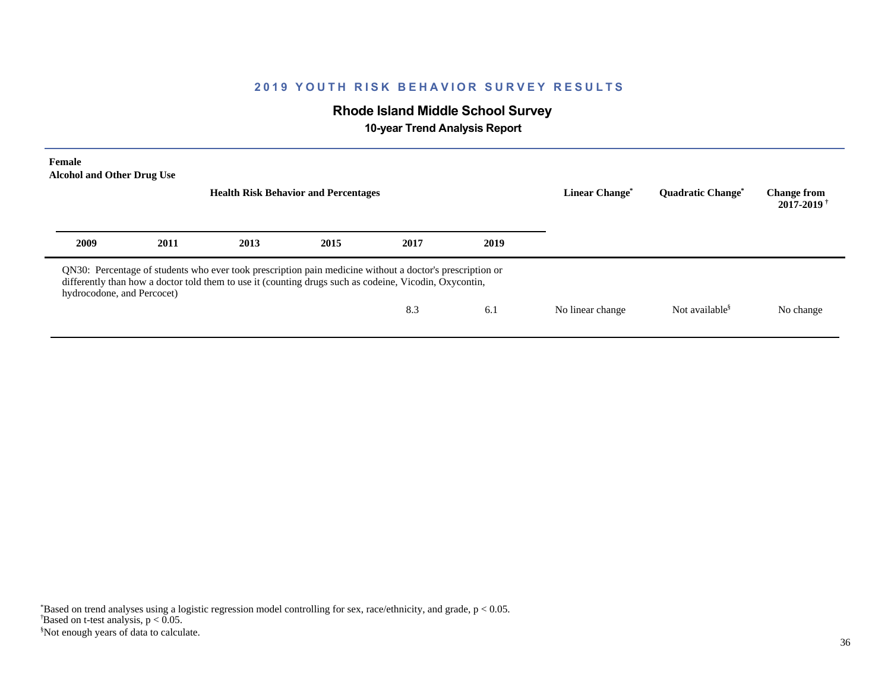# **Rhode Island Middle School Survey**

 **10-year Trend Analysis Report**

| <b>Female</b><br><b>Alcohol and Other Drug Use</b> |      |                                                                                                                                                                                                                    | <b>Health Risk Behavior and Percentages</b> |      | Linear Change <sup>®</sup> | <b>Ouadratic Change<sup>®</sup></b> | <b>Change from</b><br>$2017 - 2019$ <sup>+</sup> |           |
|----------------------------------------------------|------|--------------------------------------------------------------------------------------------------------------------------------------------------------------------------------------------------------------------|---------------------------------------------|------|----------------------------|-------------------------------------|--------------------------------------------------|-----------|
| 2009                                               | 2011 | 2013                                                                                                                                                                                                               | 2015                                        | 2017 | 2019                       |                                     |                                                  |           |
| hydrocodone, and Percocet)                         |      | QN30: Percentage of students who ever took prescription pain medicine without a doctor's prescription or<br>differently than how a doctor told them to use it (counting drugs such as codeine, Vicodin, Oxycontin, |                                             | 8.3  | 6.1                        | No linear change                    | Not available <sup>§</sup>                       | No change |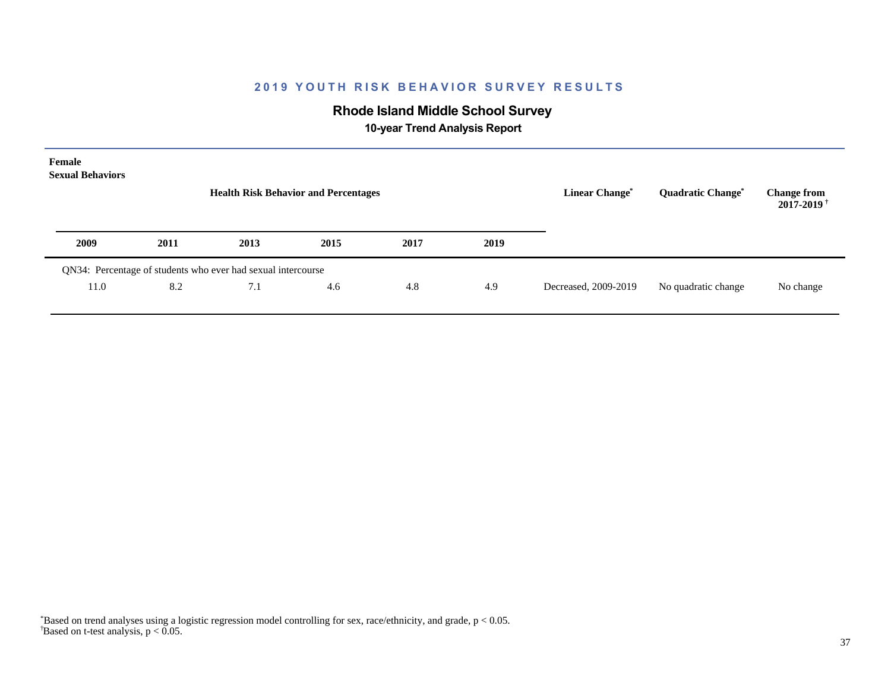# **Rhode Island Middle School Survey**

 **10-year Trend Analysis Report**

| Female<br><b>Sexual Behaviors</b> |      | <b>Health Risk Behavior and Percentages</b>                  |      |      |      | <b>Linear Change<sup>*</sup></b> | <b>Quadratic Change<sup>*</sup></b> | <b>Change from</b><br>$2017 - 2019$ <sup>†</sup> |
|-----------------------------------|------|--------------------------------------------------------------|------|------|------|----------------------------------|-------------------------------------|--------------------------------------------------|
| 2009                              | 2011 | 2013                                                         | 2015 | 2017 | 2019 |                                  |                                     |                                                  |
|                                   |      | QN34: Percentage of students who ever had sexual intercourse |      |      |      |                                  |                                     |                                                  |
| 11.0                              | 8.2  | 7.1                                                          | 4.6  | 4.8  | 4.9  | Decreased, 2009-2019             | No quadratic change                 | No change                                        |

 $\overline{B}$ ased on t-test analysis, p < 0.05. \*Based on trend analyses using a logistic regression model controlling for sex, race/ethnicity, and grade, p < 0.05.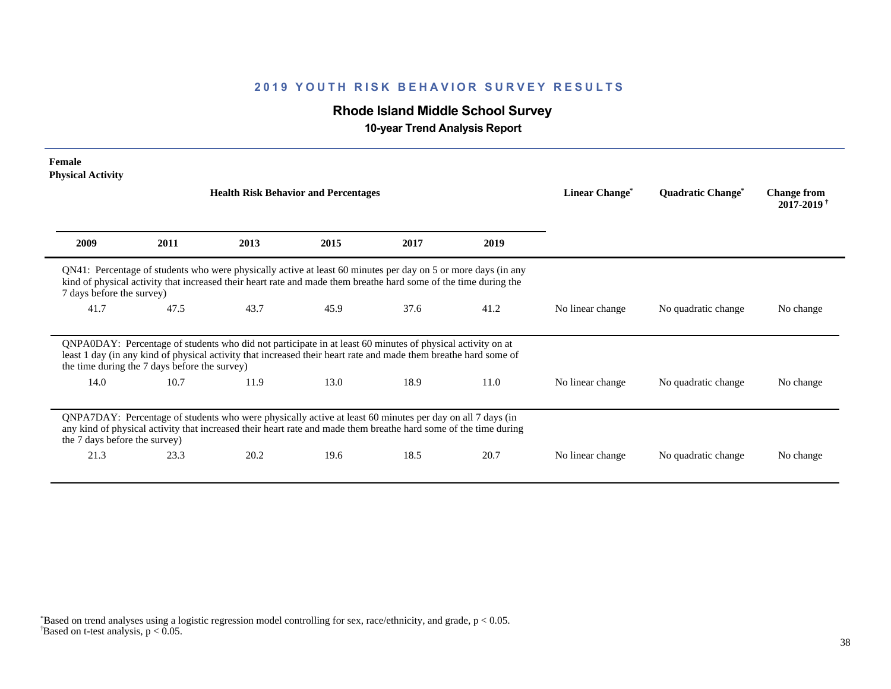# **Rhode Island Middle School Survey**

 **10-year Trend Analysis Report**

| Female<br><b>Physical Activity</b>            |      |                                                                                                                                                                                                                                   |      |      |      |                            |                                     |                                                  |
|-----------------------------------------------|------|-----------------------------------------------------------------------------------------------------------------------------------------------------------------------------------------------------------------------------------|------|------|------|----------------------------|-------------------------------------|--------------------------------------------------|
|                                               |      | <b>Health Risk Behavior and Percentages</b>                                                                                                                                                                                       |      |      |      | Linear Change <sup>*</sup> | <b>Quadratic Change<sup>®</sup></b> | <b>Change from</b><br>$2017 - 2019$ <sup>†</sup> |
| 2009                                          | 2011 | 2013                                                                                                                                                                                                                              | 2015 | 2017 | 2019 |                            |                                     |                                                  |
| 7 days before the survey)                     |      | QN41: Percentage of students who were physically active at least 60 minutes per day on 5 or more days (in any<br>kind of physical activity that increased their heart rate and made them breathe hard some of the time during the |      |      |      |                            |                                     |                                                  |
| 41.7                                          | 47.5 | 43.7                                                                                                                                                                                                                              | 45.9 | 37.6 | 41.2 | No linear change           | No quadratic change                 | No change                                        |
| the time during the 7 days before the survey) |      | QNPA0DAY: Percentage of students who did not participate in at least 60 minutes of physical activity on at<br>least 1 day (in any kind of physical activity that increased their heart rate and made them breathe hard some of    |      |      |      |                            |                                     |                                                  |
| 14.0                                          | 10.7 | 11.9                                                                                                                                                                                                                              | 13.0 | 18.9 | 11.0 | No linear change           | No quadratic change                 | No change                                        |
| the 7 days before the survey)                 |      | QNPA7DAY: Percentage of students who were physically active at least 60 minutes per day on all 7 days (in<br>any kind of physical activity that increased their heart rate and made them breathe hard some of the time during     |      |      |      |                            |                                     |                                                  |
| 21.3                                          | 23.3 | 20.2                                                                                                                                                                                                                              | 19.6 | 18.5 | 20.7 | No linear change           | No quadratic change                 | No change                                        |

 $\overline{B}$ ased on t-test analysis, p < 0.05. \*Based on trend analyses using a logistic regression model controlling for sex, race/ethnicity, and grade, p < 0.05.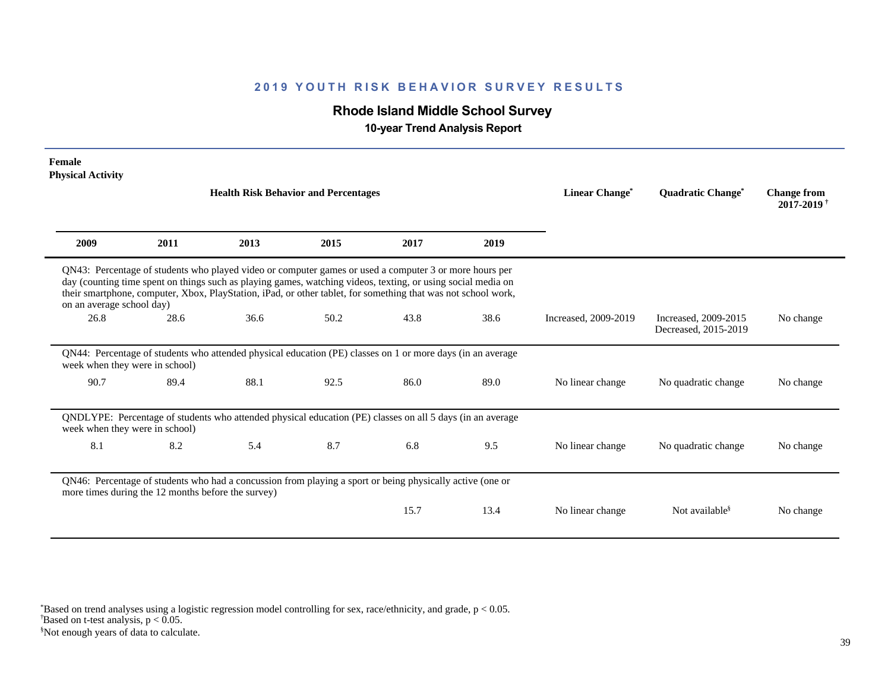# **Rhode Island Middle School Survey**

 **10-year Trend Analysis Report**

| Female<br><b>Physical Activity</b>                 |      |                                                                                                                                                                                                                                                                                                                                         |      |      |      |                      |                                              |                                                  |
|----------------------------------------------------|------|-----------------------------------------------------------------------------------------------------------------------------------------------------------------------------------------------------------------------------------------------------------------------------------------------------------------------------------------|------|------|------|----------------------|----------------------------------------------|--------------------------------------------------|
|                                                    |      | <b>Health Risk Behavior and Percentages</b>                                                                                                                                                                                                                                                                                             |      |      |      | Linear Change*       | <b>Ouadratic Change<sup>®</sup></b>          | <b>Change from</b><br>$2017 - 2019$ <sup>+</sup> |
| 2009                                               | 2011 | 2013                                                                                                                                                                                                                                                                                                                                    | 2015 | 2017 | 2019 |                      |                                              |                                                  |
| on an average school day)                          |      | QN43: Percentage of students who played video or computer games or used a computer 3 or more hours per<br>day (counting time spent on things such as playing games, watching videos, texting, or using social media on<br>their smartphone, computer, Xbox, PlayStation, iPad, or other tablet, for something that was not school work, |      |      |      |                      |                                              |                                                  |
| 26.8                                               | 28.6 | 36.6                                                                                                                                                                                                                                                                                                                                    | 50.2 | 43.8 | 38.6 | Increased, 2009-2019 | Increased, 2009-2015<br>Decreased, 2015-2019 | No change                                        |
| week when they were in school)                     |      | QN44: Percentage of students who attended physical education (PE) classes on 1 or more days (in an average                                                                                                                                                                                                                              |      |      |      |                      |                                              |                                                  |
| 90.7                                               | 89.4 | 88.1                                                                                                                                                                                                                                                                                                                                    | 92.5 | 86.0 | 89.0 | No linear change     | No quadratic change                          | No change                                        |
| week when they were in school)                     |      | QNDLYPE: Percentage of students who attended physical education (PE) classes on all 5 days (in an average                                                                                                                                                                                                                               |      |      |      |                      |                                              |                                                  |
| 8.1                                                | 8.2  | 5.4                                                                                                                                                                                                                                                                                                                                     | 8.7  | 6.8  | 9.5  | No linear change     | No quadratic change                          | No change                                        |
| more times during the 12 months before the survey) |      | QN46: Percentage of students who had a concussion from playing a sport or being physically active (one or                                                                                                                                                                                                                               |      |      |      |                      |                                              |                                                  |
|                                                    |      |                                                                                                                                                                                                                                                                                                                                         |      | 15.7 | 13.4 | No linear change     | Not available <sup>§</sup>                   | No change                                        |

§Not enough years of data to calculate.  $\overline{B}$ ased on t-test analysis, p < 0.05. \*Based on trend analyses using a logistic regression model controlling for sex, race/ethnicity, and grade, p < 0.05.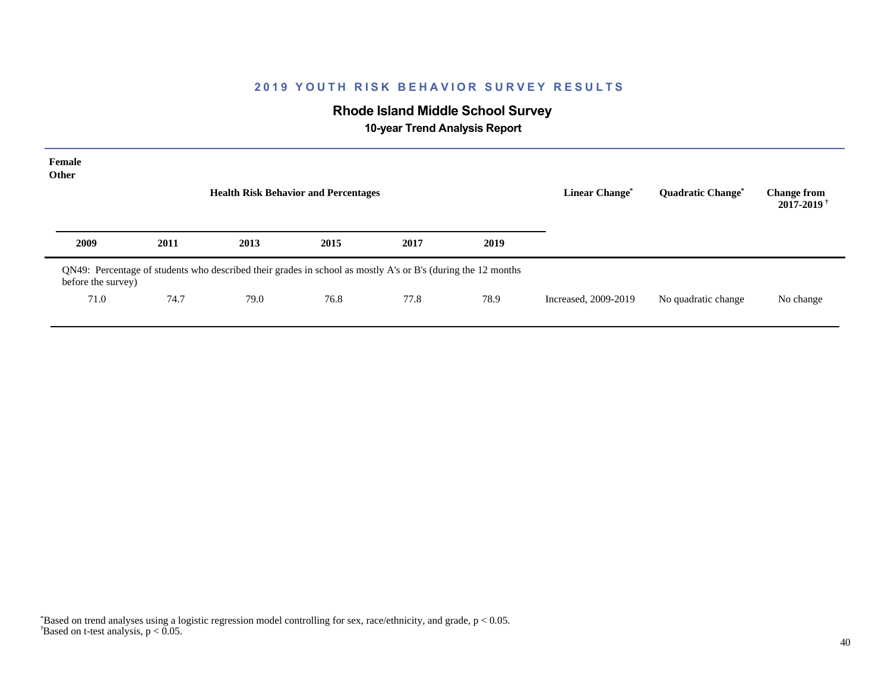# **Rhode Island Middle School Survey**

 **10-year Trend Analysis Report**

| Female<br>Other    |                                                                                                              | <b>Health Risk Behavior and Percentages</b> |      |      |      | <b>Linear Change*</b> | <b>Quadratic Change<sup>*</sup></b> | <b>Change from</b><br>$2017 - 2019$ <sup>+</sup> |
|--------------------|--------------------------------------------------------------------------------------------------------------|---------------------------------------------|------|------|------|-----------------------|-------------------------------------|--------------------------------------------------|
| 2009               | 2011                                                                                                         | 2013                                        | 2015 | 2017 | 2019 |                       |                                     |                                                  |
| before the survey) | QN49: Percentage of students who described their grades in school as mostly A's or B's (during the 12 months |                                             |      |      |      |                       |                                     |                                                  |
| 71.0               | 74.7                                                                                                         | 79.0                                        | 76.8 | 77.8 | 78.9 | Increased, 2009-2019  | No quadratic change                 | No change                                        |
|                    |                                                                                                              |                                             |      |      |      |                       |                                     |                                                  |

 $\overline{B}$ ased on t-test analysis, p < 0.05. \*Based on trend analyses using a logistic regression model controlling for sex, race/ethnicity, and grade, p < 0.05.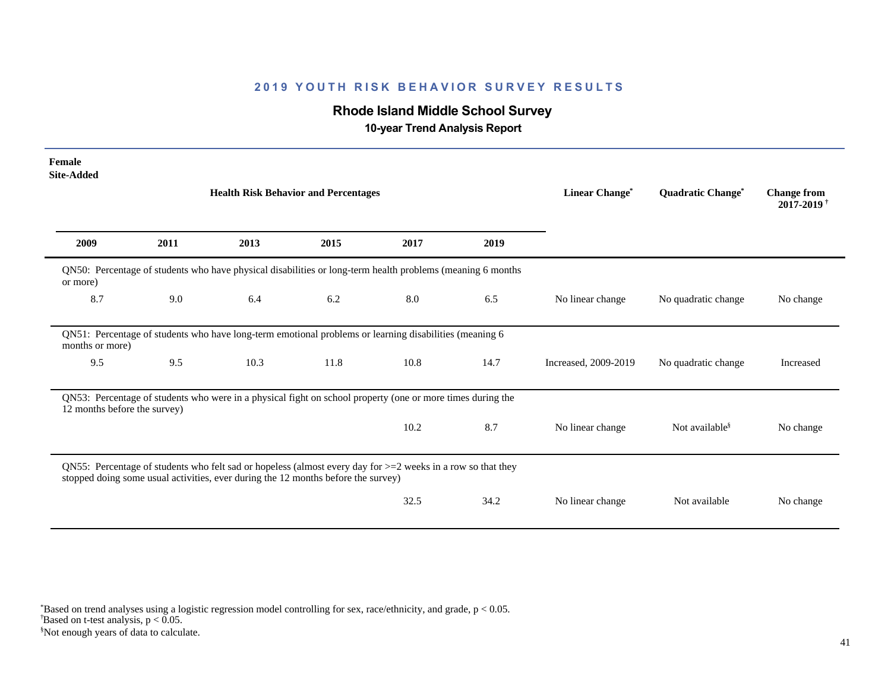# **Rhode Island Middle School Survey**

 **10-year Trend Analysis Report**

| Female<br><b>Site-Added</b>  |      |                                                                                                                                                                                                     |      |      |      |                      |                                     |                                                  |
|------------------------------|------|-----------------------------------------------------------------------------------------------------------------------------------------------------------------------------------------------------|------|------|------|----------------------|-------------------------------------|--------------------------------------------------|
|                              |      | <b>Health Risk Behavior and Percentages</b>                                                                                                                                                         |      |      |      | Linear Change*       | <b>Quadratic Change<sup>®</sup></b> | <b>Change from</b><br>$2017 - 2019$ <sup>+</sup> |
| 2009                         | 2011 | 2013                                                                                                                                                                                                | 2015 | 2017 | 2019 |                      |                                     |                                                  |
| or more)                     |      | QN50: Percentage of students who have physical disabilities or long-term health problems (meaning 6 months                                                                                          |      |      |      |                      |                                     |                                                  |
| 8.7                          | 9.0  | 6.4                                                                                                                                                                                                 | 6.2  | 8.0  | 6.5  | No linear change     | No quadratic change                 | No change                                        |
| months or more)              |      | QN51: Percentage of students who have long-term emotional problems or learning disabilities (meaning 6                                                                                              |      |      |      |                      |                                     |                                                  |
| 9.5                          | 9.5  | 10.3                                                                                                                                                                                                | 11.8 | 10.8 | 14.7 | Increased, 2009-2019 | No quadratic change                 | Increased                                        |
| 12 months before the survey) |      | QN53: Percentage of students who were in a physical fight on school property (one or more times during the                                                                                          |      |      |      |                      |                                     |                                                  |
|                              |      |                                                                                                                                                                                                     |      | 10.2 | 8.7  | No linear change     | Not available <sup>§</sup>          | No change                                        |
|                              |      | QN55: Percentage of students who felt sad or hopeless (almost every day for $>=$ 2 weeks in a row so that they<br>stopped doing some usual activities, ever during the 12 months before the survey) |      |      |      |                      |                                     |                                                  |
|                              |      |                                                                                                                                                                                                     |      | 32.5 | 34.2 | No linear change     | Not available                       | No change                                        |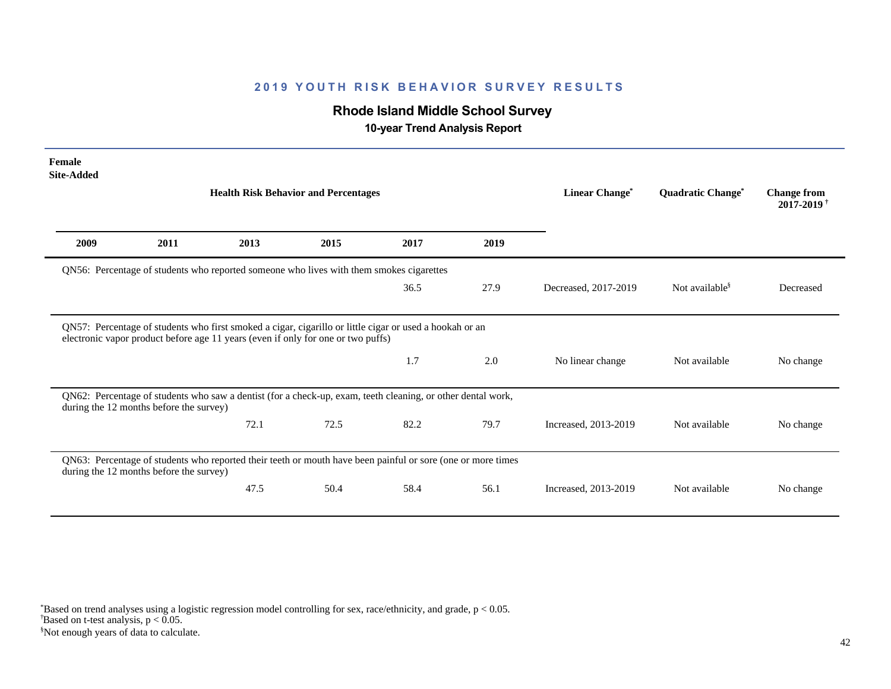# **Rhode Island Middle School Survey**

 **10-year Trend Analysis Report**

| Female<br><b>Site-Added</b> |                                         |                                                                                                                                                                                             |      |      |      |                      |                                     |                                              |
|-----------------------------|-----------------------------------------|---------------------------------------------------------------------------------------------------------------------------------------------------------------------------------------------|------|------|------|----------------------|-------------------------------------|----------------------------------------------|
|                             |                                         | <b>Health Risk Behavior and Percentages</b>                                                                                                                                                 |      |      |      | Linear Change*       | <b>Quadratic Change<sup>®</sup></b> | <b>Change from</b><br>2017-2019 <sup>+</sup> |
| 2009                        | 2011                                    | 2013                                                                                                                                                                                        | 2015 | 2017 | 2019 |                      |                                     |                                              |
|                             |                                         | QN56: Percentage of students who reported someone who lives with them smokes cigarettes                                                                                                     |      |      |      |                      |                                     |                                              |
|                             |                                         |                                                                                                                                                                                             |      | 36.5 | 27.9 | Decreased, 2017-2019 | Not available <sup>§</sup>          | Decreased                                    |
|                             |                                         | QN57: Percentage of students who first smoked a cigar, cigarillo or little cigar or used a hookah or an<br>electronic vapor product before age 11 years (even if only for one or two puffs) |      |      |      |                      |                                     |                                              |
|                             |                                         |                                                                                                                                                                                             |      | 1.7  | 2.0  | No linear change     | Not available                       | No change                                    |
|                             | during the 12 months before the survey) | QN62: Percentage of students who saw a dentist (for a check-up, exam, teeth cleaning, or other dental work,                                                                                 |      |      |      |                      |                                     |                                              |
|                             |                                         | 72.1                                                                                                                                                                                        | 72.5 | 82.2 | 79.7 | Increased, 2013-2019 | Not available                       | No change                                    |
|                             | during the 12 months before the survey) | QN63: Percentage of students who reported their teeth or mouth have been painful or sore (one or more times                                                                                 |      |      |      |                      |                                     |                                              |
|                             |                                         | 47.5                                                                                                                                                                                        | 50.4 | 58.4 | 56.1 | Increased, 2013-2019 | Not available                       | No change                                    |

§Not enough years of data to calculate.  $\overline{B}$ ased on t-test analysis, p < 0.05. \*Based on trend analyses using a logistic regression model controlling for sex, race/ethnicity, and grade, p < 0.05.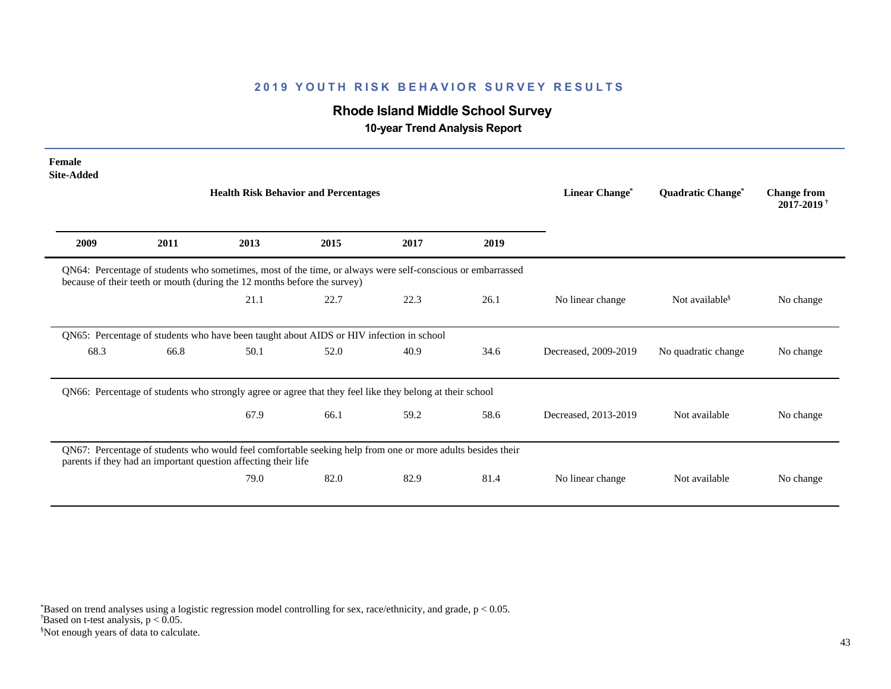# **Rhode Island Middle School Survey**

 **10-year Trend Analysis Report**

| Female<br><b>Site-Added</b> |                                                                                                                                                                                        |                                             |      |      |      |                       |                                     |                                                  |
|-----------------------------|----------------------------------------------------------------------------------------------------------------------------------------------------------------------------------------|---------------------------------------------|------|------|------|-----------------------|-------------------------------------|--------------------------------------------------|
|                             |                                                                                                                                                                                        | <b>Health Risk Behavior and Percentages</b> |      |      |      | <b>Linear Change*</b> | <b>Quadratic Change<sup>*</sup></b> | <b>Change from</b><br>$2017 - 2019$ <sup>+</sup> |
| 2009                        | 2011                                                                                                                                                                                   | 2013                                        | 2015 | 2017 | 2019 |                       |                                     |                                                  |
|                             | QN64: Percentage of students who sometimes, most of the time, or always were self-conscious or embarrassed<br>because of their teeth or mouth (during the 12 months before the survey) |                                             |      |      |      |                       |                                     |                                                  |
|                             |                                                                                                                                                                                        | 21.1                                        | 22.7 | 22.3 | 26.1 | No linear change      | Not available <sup>§</sup>          | No change                                        |
|                             | QN65: Percentage of students who have been taught about AIDS or HIV infection in school                                                                                                |                                             |      |      |      |                       |                                     |                                                  |
| 68.3                        | 66.8                                                                                                                                                                                   | 50.1                                        | 52.0 | 40.9 | 34.6 | Decreased, 2009-2019  | No quadratic change                 | No change                                        |
|                             | QN66: Percentage of students who strongly agree or agree that they feel like they belong at their school                                                                               |                                             |      |      |      |                       |                                     |                                                  |
|                             |                                                                                                                                                                                        | 67.9                                        | 66.1 | 59.2 | 58.6 | Decreased, 2013-2019  | Not available                       | No change                                        |
|                             | QN67: Percentage of students who would feel comfortable seeking help from one or more adults besides their<br>parents if they had an important question affecting their life           |                                             |      |      |      |                       |                                     |                                                  |
|                             |                                                                                                                                                                                        | 79.0                                        | 82.0 | 82.9 | 81.4 | No linear change      | Not available                       | No change                                        |

§Not enough years of data to calculate.  $\overline{B}$ ased on t-test analysis, p < 0.05. \*Based on trend analyses using a logistic regression model controlling for sex, race/ethnicity, and grade, p < 0.05.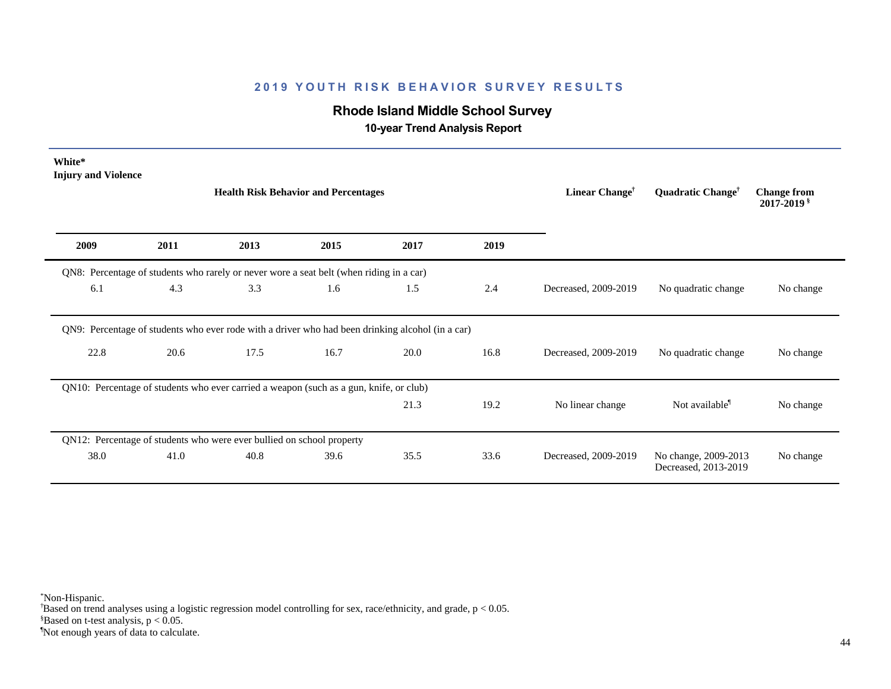# **Rhode Island Middle School Survey**

 **10-year Trend Analysis Report**

| White*<br><b>Injury and Violence</b>                                                             |      | <b>Health Risk Behavior and Percentages</b> |      |      |      | Linear Change <sup>†</sup> | Quadratic Change <sup>†</sup>                | <b>Change from</b><br>$2017 - 2019$ s |
|--------------------------------------------------------------------------------------------------|------|---------------------------------------------|------|------|------|----------------------------|----------------------------------------------|---------------------------------------|
| 2009                                                                                             | 2011 | 2013                                        | 2015 | 2017 | 2019 |                            |                                              |                                       |
| QN8: Percentage of students who rarely or never wore a seat belt (when riding in a car)          |      |                                             |      |      |      |                            |                                              |                                       |
| 6.1                                                                                              | 4.3  | 3.3                                         | 1.6  | 1.5  | 2.4  | Decreased, 2009-2019       | No quadratic change                          | No change                             |
| QN9: Percentage of students who ever rode with a driver who had been drinking alcohol (in a car) |      |                                             |      |      |      |                            |                                              |                                       |
| 22.8                                                                                             | 20.6 | 17.5                                        | 16.7 | 20.0 | 16.8 | Decreased, 2009-2019       | No quadratic change                          | No change                             |
| QN10: Percentage of students who ever carried a weapon (such as a gun, knife, or club)           |      |                                             |      |      |      |                            |                                              |                                       |
|                                                                                                  |      |                                             |      | 21.3 | 19.2 | No linear change           | Not available <sup>1</sup>                   | No change                             |
| QN12: Percentage of students who were ever bullied on school property                            |      |                                             |      |      |      |                            |                                              |                                       |
| 38.0                                                                                             | 41.0 | 40.8                                        | 39.6 | 35.5 | 33.6 | Decreased, 2009-2019       | No change, 2009-2013<br>Decreased, 2013-2019 | No change                             |

\*Non-Hispanic.

† Based on trend analyses using a logistic regression model controlling for sex, race/ethnicity, and grade, p < 0.05.

 $$Based on t-test analysis, p < 0.05.$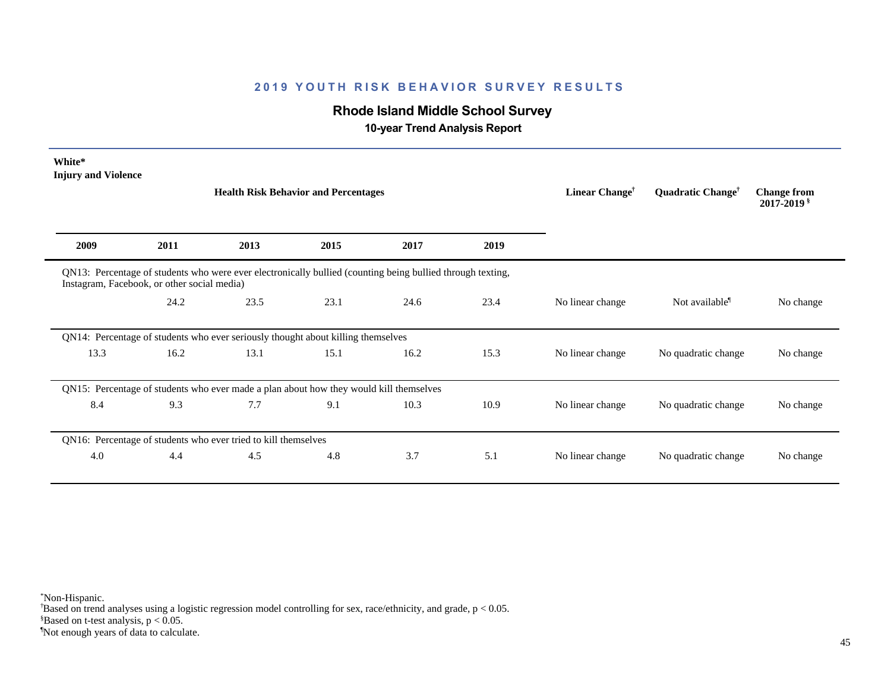# **Rhode Island Middle School Survey**

 **10-year Trend Analysis Report**

| White*<br><b>Injury and Violence</b> |                                             | <b>Health Risk Behavior and Percentages</b>                                                                |      |      |      | Linear Change <sup>†</sup> | Quadratic Change <sup>†</sup> | <b>Change from</b><br>2017-2019 § |
|--------------------------------------|---------------------------------------------|------------------------------------------------------------------------------------------------------------|------|------|------|----------------------------|-------------------------------|-----------------------------------|
| 2009                                 | 2011                                        | 2013                                                                                                       | 2015 | 2017 | 2019 |                            |                               |                                   |
|                                      | Instagram, Facebook, or other social media) | QN13: Percentage of students who were ever electronically bullied (counting being bullied through texting, |      |      |      |                            |                               |                                   |
|                                      | 24.2                                        | 23.5                                                                                                       | 23.1 | 24.6 | 23.4 | No linear change           | Not available <sup>1</sup>    | No change                         |
|                                      |                                             | QN14: Percentage of students who ever seriously thought about killing themselves                           |      |      |      |                            |                               |                                   |
| 13.3                                 | 16.2                                        | 13.1                                                                                                       | 15.1 | 16.2 | 15.3 | No linear change           | No quadratic change           | No change                         |
|                                      |                                             | QN15: Percentage of students who ever made a plan about how they would kill themselves                     |      |      |      |                            |                               |                                   |
| 8.4                                  | 9.3                                         | 7.7                                                                                                        | 9.1  | 10.3 | 10.9 | No linear change           | No quadratic change           | No change                         |
|                                      |                                             | QN16: Percentage of students who ever tried to kill themselves                                             |      |      |      |                            |                               |                                   |
| 4.0                                  | 4.4                                         | 4.5                                                                                                        | 4.8  | 3.7  | 5.1  | No linear change           | No quadratic change           | No change                         |

\*Non-Hispanic.

† Based on trend analyses using a logistic regression model controlling for sex, race/ethnicity, and grade, p < 0.05.

 $$Based on t-test analysis, p < 0.05.$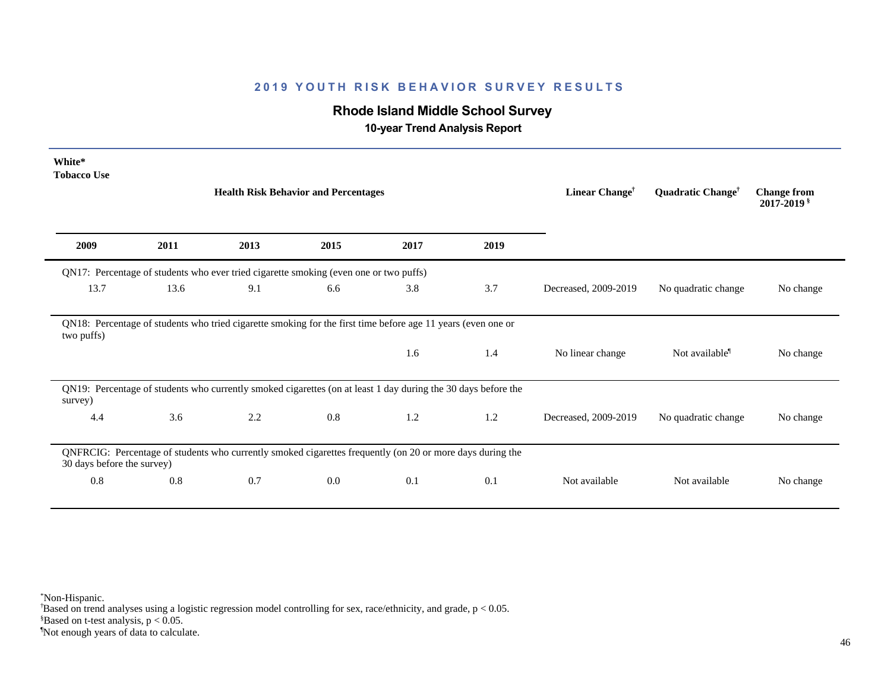# **Rhode Island Middle School Survey**

 **10-year Trend Analysis Report**

| White*<br><b>Tobacco Use</b> |      | <b>Health Risk Behavior and Percentages</b>                                                                   |         |      |      | Linear Change <sup>†</sup> | Quadratic Change <sup>†</sup> | <b>Change from</b><br>$2017 - 2019$ s |
|------------------------------|------|---------------------------------------------------------------------------------------------------------------|---------|------|------|----------------------------|-------------------------------|---------------------------------------|
| 2009                         | 2011 | 2013                                                                                                          | 2015    | 2017 | 2019 |                            |                               |                                       |
|                              |      | QN17: Percentage of students who ever tried cigarette smoking (even one or two puffs)                         |         |      |      |                            |                               |                                       |
| 13.7                         | 13.6 | 9.1                                                                                                           | 6.6     | 3.8  | 3.7  | Decreased, 2009-2019       | No quadratic change           | No change                             |
| two puffs)                   |      | QN18: Percentage of students who tried cigarette smoking for the first time before age 11 years (even one or  |         |      |      |                            |                               |                                       |
|                              |      |                                                                                                               |         | 1.6  | 1.4  | No linear change           | Not available <sup>1</sup>    | No change                             |
| survey)                      |      | QN19: Percentage of students who currently smoked cigarettes (on at least 1 day during the 30 days before the |         |      |      |                            |                               |                                       |
| 4.4                          | 3.6  | 2.2                                                                                                           | $0.8\,$ | 1.2  | 1.2  | Decreased, 2009-2019       | No quadratic change           | No change                             |
| 30 days before the survey)   |      | QNFRCIG: Percentage of students who currently smoked cigarettes frequently (on 20 or more days during the     |         |      |      |                            |                               |                                       |
| 0.8                          | 0.8  | 0.7                                                                                                           | 0.0     | 0.1  | 0.1  | Not available              | Not available                 | No change                             |

\*Non-Hispanic.

† Based on trend analyses using a logistic regression model controlling for sex, race/ethnicity, and grade, p < 0.05.

 $$Based on t-test analysis, p < 0.05.$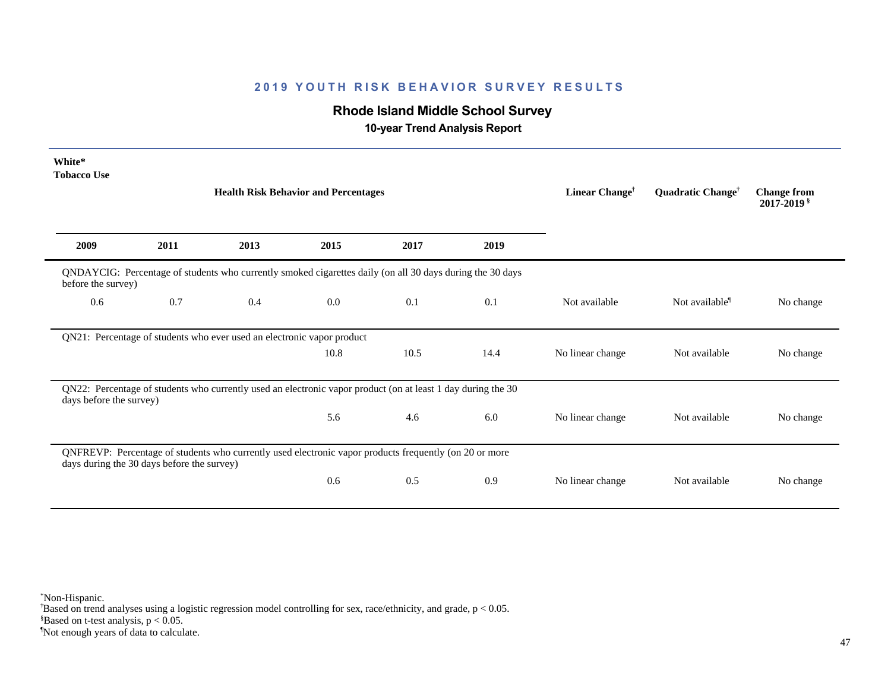# **Rhode Island Middle School Survey**

 **10-year Trend Analysis Report**

| White*<br><b>Tobacco Use</b> |                                            | <b>Health Risk Behavior and Percentages</b>                                                                  |         |      |      | Linear Change <sup>†</sup> | Quadratic Change <sup>†</sup> | <b>Change from</b><br>2017-2019 \$ |
|------------------------------|--------------------------------------------|--------------------------------------------------------------------------------------------------------------|---------|------|------|----------------------------|-------------------------------|------------------------------------|
| 2009                         | 2011                                       | 2013                                                                                                         | 2015    | 2017 | 2019 |                            |                               |                                    |
| before the survey)           |                                            | QNDAYCIG: Percentage of students who currently smoked cigarettes daily (on all 30 days during the 30 days    |         |      |      |                            |                               |                                    |
| 0.6                          | 0.7                                        | 0.4                                                                                                          | $0.0\,$ | 0.1  | 0.1  | Not available              | Not available <sup>1</sup>    | No change                          |
|                              |                                            | QN21: Percentage of students who ever used an electronic vapor product                                       |         |      |      |                            |                               |                                    |
|                              |                                            |                                                                                                              | 10.8    | 10.5 | 14.4 | No linear change           | Not available                 | No change                          |
| days before the survey)      |                                            | QN22: Percentage of students who currently used an electronic vapor product (on at least 1 day during the 30 |         |      |      |                            |                               |                                    |
|                              |                                            |                                                                                                              | 5.6     | 4.6  | 6.0  | No linear change           | Not available                 | No change                          |
|                              | days during the 30 days before the survey) | QNFREVP: Percentage of students who currently used electronic vapor products frequently (on 20 or more       |         |      |      |                            |                               |                                    |
|                              |                                            |                                                                                                              | 0.6     | 0.5  | 0.9  | No linear change           | Not available                 | No change                          |

\*Non-Hispanic.

† Based on trend analyses using a logistic regression model controlling for sex, race/ethnicity, and grade, p < 0.05.

 $$Based on t-test analysis, p < 0.05.$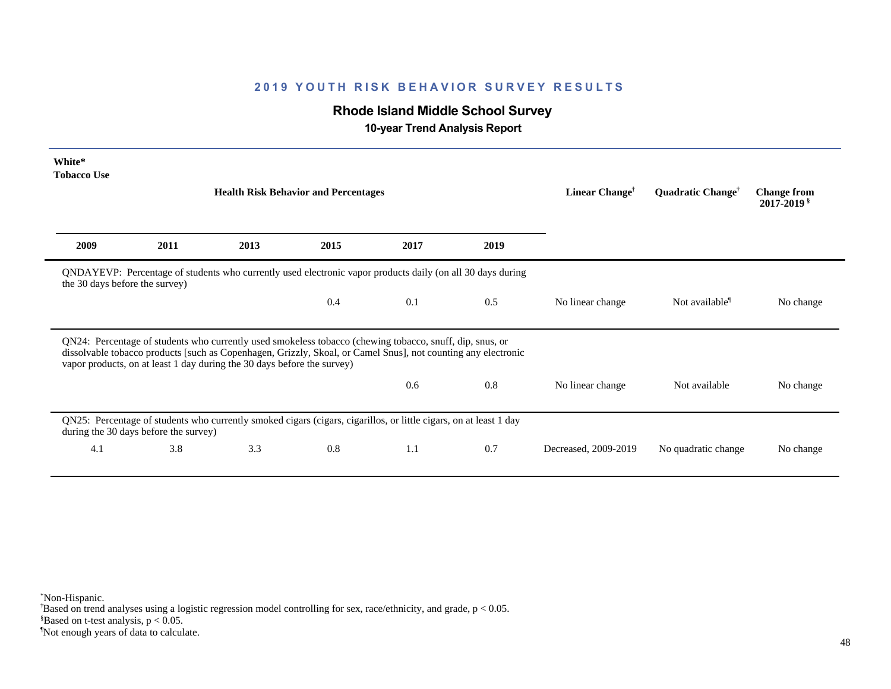# **Rhode Island Middle School Survey**

 **10-year Trend Analysis Report**

| White*<br><b>Tobacco Use</b>   |                                       |                                                                                                                                                                                                                                                                                                      |                                             |      |      |                            |                               |                                       |
|--------------------------------|---------------------------------------|------------------------------------------------------------------------------------------------------------------------------------------------------------------------------------------------------------------------------------------------------------------------------------------------------|---------------------------------------------|------|------|----------------------------|-------------------------------|---------------------------------------|
|                                |                                       |                                                                                                                                                                                                                                                                                                      | <b>Health Risk Behavior and Percentages</b> |      |      | Linear Change <sup>†</sup> | Quadratic Change <sup>†</sup> | <b>Change from</b><br>$2017 - 2019$ s |
| 2009                           | 2011                                  | 2013                                                                                                                                                                                                                                                                                                 | 2015                                        | 2017 | 2019 |                            |                               |                                       |
| the 30 days before the survey) |                                       | QNDAYEVP: Percentage of students who currently used electronic vapor products daily (on all 30 days during                                                                                                                                                                                           |                                             |      |      |                            |                               |                                       |
|                                |                                       |                                                                                                                                                                                                                                                                                                      | 0.4                                         | 0.1  | 0.5  | No linear change           | Not available <sup>1</sup>    | No change                             |
|                                |                                       | QN24: Percentage of students who currently used smokeless tobacco (chewing tobacco, snuff, dip, snus, or<br>dissolvable tobacco products [such as Copenhagen, Grizzly, Skoal, or Camel Snus], not counting any electronic<br>vapor products, on at least 1 day during the 30 days before the survey) |                                             |      |      |                            |                               |                                       |
|                                |                                       |                                                                                                                                                                                                                                                                                                      |                                             | 0.6  | 0.8  | No linear change           | Not available                 | No change                             |
|                                |                                       |                                                                                                                                                                                                                                                                                                      |                                             |      |      |                            |                               |                                       |
|                                | during the 30 days before the survey) | QN25: Percentage of students who currently smoked cigars (cigars, cigarillos, or little cigars, on at least 1 day                                                                                                                                                                                    |                                             |      |      |                            |                               |                                       |

\*Non-Hispanic.

† Based on trend analyses using a logistic regression model controlling for sex, race/ethnicity, and grade, p < 0.05.

 $$Based on t-test analysis, p < 0.05.$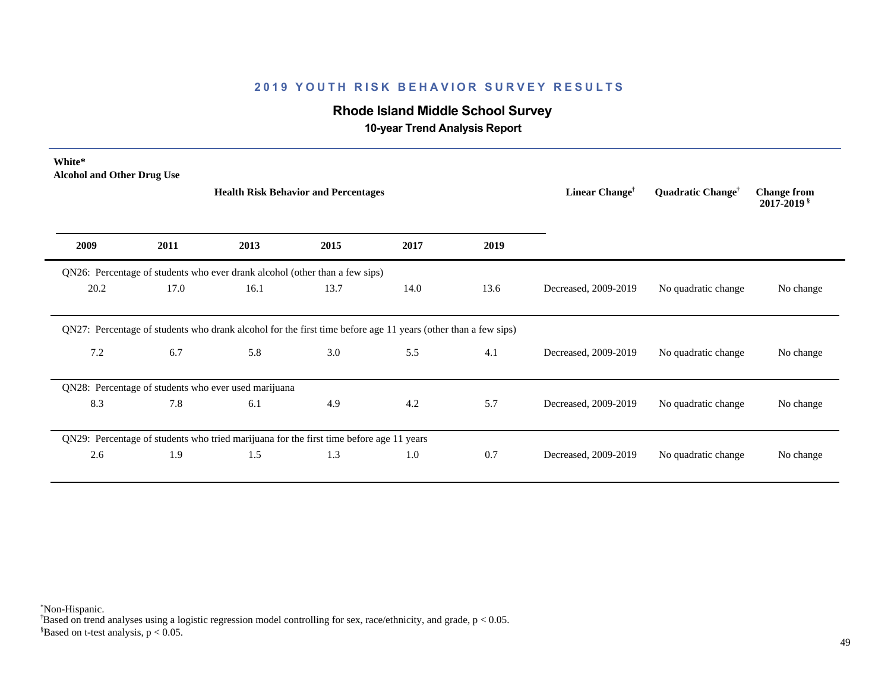# **Rhode Island Middle School Survey**

 **10-year Trend Analysis Report**

| White*<br><b>Alcohol and Other Drug Use</b> |      |                                                                                         | <b>Health Risk Behavior and Percentages</b> | Linear Change <sup>†</sup>                                                                                    | Quadratic Change <sup>†</sup> | <b>Change from</b><br>$2017 - 2019$ s |                     |           |
|---------------------------------------------|------|-----------------------------------------------------------------------------------------|---------------------------------------------|---------------------------------------------------------------------------------------------------------------|-------------------------------|---------------------------------------|---------------------|-----------|
| 2009                                        | 2011 | 2013                                                                                    | 2015                                        | 2017                                                                                                          | 2019                          |                                       |                     |           |
|                                             |      | QN26: Percentage of students who ever drank alcohol (other than a few sips)             |                                             |                                                                                                               |                               |                                       |                     |           |
|                                             | 17.0 | 16.1                                                                                    | 13.7                                        | 14.0                                                                                                          | 13.6                          | Decreased, 2009-2019                  | No quadratic change | No change |
| 20.2                                        |      |                                                                                         |                                             |                                                                                                               |                               |                                       |                     |           |
|                                             |      |                                                                                         |                                             | QN27: Percentage of students who drank alcohol for the first time before age 11 years (other than a few sips) |                               |                                       |                     |           |
| 7.2                                         | 6.7  | 5.8                                                                                     | 3.0                                         | 5.5                                                                                                           | 4.1                           | Decreased, 2009-2019                  | No quadratic change |           |
|                                             |      | QN28: Percentage of students who ever used marijuana                                    |                                             |                                                                                                               |                               |                                       |                     | No change |
| 8.3                                         | 7.8  | 6.1                                                                                     | 4.9                                         | 4.2                                                                                                           | 5.7                           | Decreased, 2009-2019                  | No quadratic change | No change |
|                                             |      | QN29: Percentage of students who tried marijuana for the first time before age 11 years |                                             |                                                                                                               |                               |                                       |                     |           |

\*Non-Hispanic.

† Based on trend analyses using a logistic regression model controlling for sex, race/ethnicity, and grade, p < 0.05.

 $$Based on t-test analysis, p < 0.05.$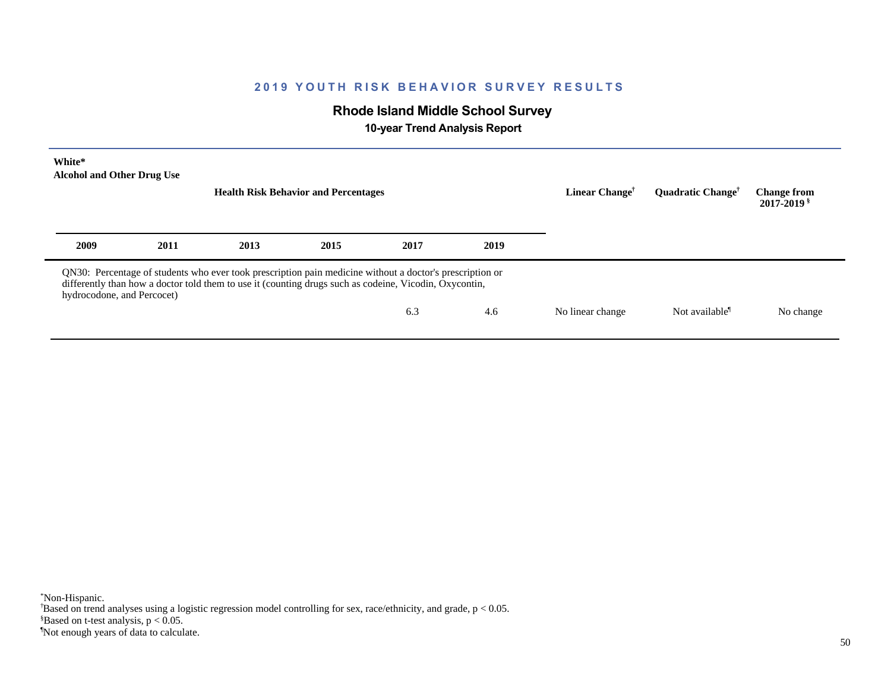# **Rhode Island Middle School Survey**

 **10-year Trend Analysis Report**

| White*<br><b>Alcohol and Other Drug Use</b> |      |      | <b>Health Risk Behavior and Percentages</b>                                                                                                                                                                        |      |      | Linear Change <sup>†</sup> | <b>Ouadratic Change<sup>†</sup></b> | <b>Change from</b><br>2017-2019 \$ |
|---------------------------------------------|------|------|--------------------------------------------------------------------------------------------------------------------------------------------------------------------------------------------------------------------|------|------|----------------------------|-------------------------------------|------------------------------------|
| 2009                                        | 2011 | 2013 | 2015                                                                                                                                                                                                               | 2017 | 2019 |                            |                                     |                                    |
| hydrocodone, and Percocet)                  |      |      | QN30: Percentage of students who ever took prescription pain medicine without a doctor's prescription or<br>differently than how a doctor told them to use it (counting drugs such as codeine, Vicodin, Oxycontin, |      |      |                            |                                     |                                    |
|                                             |      |      |                                                                                                                                                                                                                    | 6.3  | 4.6  | No linear change           | Not available <sup>1</sup>          | No change                          |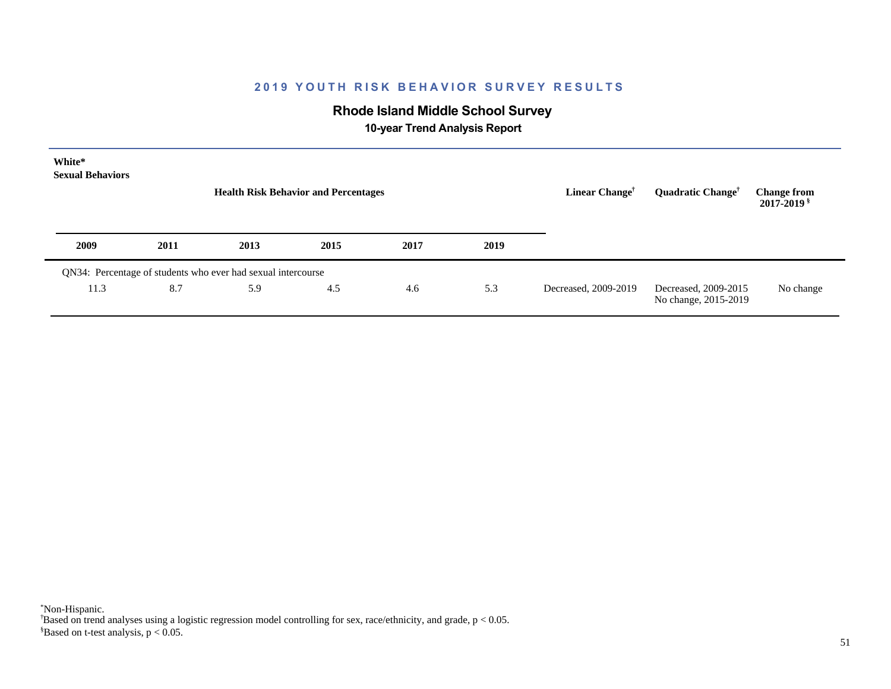# **Rhode Island Middle School Survey**

 **10-year Trend Analysis Report**

| White*<br><b>Sexual Behaviors</b> |      |                                                              | <b>Health Risk Behavior and Percentages</b> |      |      | Linear Change <sup>†</sup> | Quadratic Change <sup>†</sup>                | <b>Change from</b><br>2017-2019 § |
|-----------------------------------|------|--------------------------------------------------------------|---------------------------------------------|------|------|----------------------------|----------------------------------------------|-----------------------------------|
| 2009                              | 2011 | 2013                                                         | 2015                                        | 2017 | 2019 |                            |                                              |                                   |
|                                   |      | QN34: Percentage of students who ever had sexual intercourse |                                             |      |      |                            |                                              |                                   |
| 11.3                              | 8.7  | 5.9                                                          | 4.5                                         | 4.6  | 5.3  | Decreased, 2009-2019       | Decreased, 2009-2015<br>No change, 2015-2019 | No change                         |

 $$Based on t-test analysis, p < 0.05.$ † Based on trend analyses using a logistic regression model controlling for sex, race/ethnicity, and grade, p < 0.05. \*Non-Hispanic.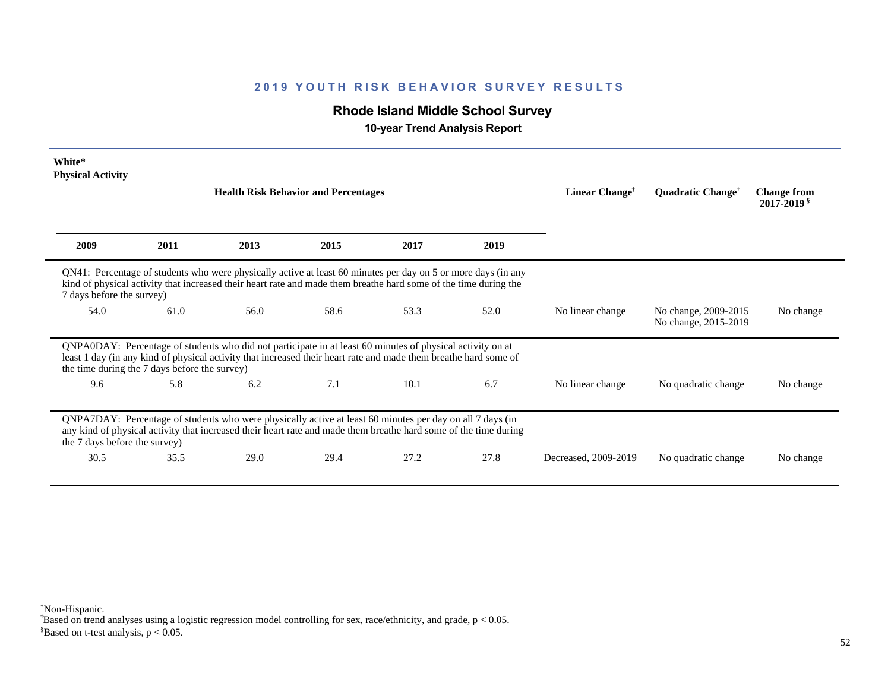# **Rhode Island Middle School Survey**

 **10-year Trend Analysis Report**

| White*<br><b>Physical Activity</b> |                                               |                                                                                                                                                                                                                                   |      |      |      |                            |                                              |                                       |
|------------------------------------|-----------------------------------------------|-----------------------------------------------------------------------------------------------------------------------------------------------------------------------------------------------------------------------------------|------|------|------|----------------------------|----------------------------------------------|---------------------------------------|
|                                    |                                               | <b>Health Risk Behavior and Percentages</b>                                                                                                                                                                                       |      |      |      | Linear Change <sup>†</sup> | Quadratic Change <sup>†</sup>                | <b>Change from</b><br>$2017 - 2019$ s |
| 2009                               | 2011                                          | 2013                                                                                                                                                                                                                              | 2015 | 2017 | 2019 |                            |                                              |                                       |
| 7 days before the survey)          |                                               | QN41: Percentage of students who were physically active at least 60 minutes per day on 5 or more days (in any<br>kind of physical activity that increased their heart rate and made them breathe hard some of the time during the |      |      |      |                            |                                              |                                       |
| 54.0                               | 61.0                                          | 56.0                                                                                                                                                                                                                              | 58.6 | 53.3 | 52.0 | No linear change           | No change, 2009-2015<br>No change, 2015-2019 | No change                             |
|                                    | the time during the 7 days before the survey) | QNPA0DAY: Percentage of students who did not participate in at least 60 minutes of physical activity on at<br>least 1 day (in any kind of physical activity that increased their heart rate and made them breathe hard some of    |      |      |      |                            |                                              |                                       |
| 9.6                                | 5.8                                           | 6.2                                                                                                                                                                                                                               | 7.1  | 10.1 | 6.7  | No linear change           | No quadratic change                          | No change                             |
| the 7 days before the survey)      |                                               | QNPA7DAY: Percentage of students who were physically active at least 60 minutes per day on all 7 days (in<br>any kind of physical activity that increased their heart rate and made them breathe hard some of the time during     |      |      |      |                            |                                              |                                       |
| 30.5                               | 35.5                                          | 29.0                                                                                                                                                                                                                              | 29.4 | 27.2 | 27.8 | Decreased, 2009-2019       | No quadratic change                          | No change                             |

\*Non-Hispanic.

† Based on trend analyses using a logistic regression model controlling for sex, race/ethnicity, and grade, p < 0.05.

 $$Based on t-test analysis, p < 0.05.$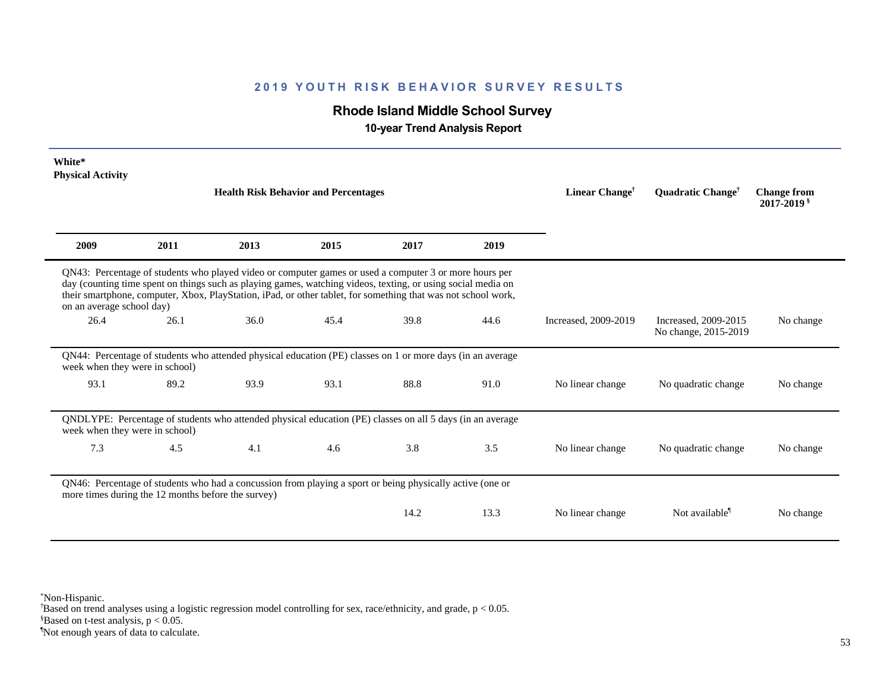# **Rhode Island Middle School Survey**

 **10-year Trend Analysis Report**

| White*<br><b>Physical Activity</b> |                                                    | <b>Health Risk Behavior and Percentages</b>                                                                                                                                                                                                                                                                                             |      |      |      | Linear Change <sup>†</sup> | <b>Ouadratic Change<sup>†</sup></b>          | <b>Change from</b><br>$2017 - 2019$ s |
|------------------------------------|----------------------------------------------------|-----------------------------------------------------------------------------------------------------------------------------------------------------------------------------------------------------------------------------------------------------------------------------------------------------------------------------------------|------|------|------|----------------------------|----------------------------------------------|---------------------------------------|
| 2009                               | 2011                                               | 2013                                                                                                                                                                                                                                                                                                                                    | 2015 | 2017 | 2019 |                            |                                              |                                       |
| on an average school day)          |                                                    | QN43: Percentage of students who played video or computer games or used a computer 3 or more hours per<br>day (counting time spent on things such as playing games, watching videos, texting, or using social media on<br>their smartphone, computer, Xbox, PlayStation, iPad, or other tablet, for something that was not school work, |      |      |      |                            |                                              |                                       |
| 26.4                               | 26.1                                               | 36.0                                                                                                                                                                                                                                                                                                                                    | 45.4 | 39.8 | 44.6 | Increased, 2009-2019       | Increased, 2009-2015<br>No change, 2015-2019 | No change                             |
| week when they were in school)     |                                                    | QN44: Percentage of students who attended physical education (PE) classes on 1 or more days (in an average                                                                                                                                                                                                                              |      |      |      |                            |                                              |                                       |
| 93.1                               | 89.2                                               | 93.9                                                                                                                                                                                                                                                                                                                                    | 93.1 | 88.8 | 91.0 | No linear change           | No quadratic change                          | No change                             |
| week when they were in school)     |                                                    | QNDLYPE: Percentage of students who attended physical education (PE) classes on all 5 days (in an average                                                                                                                                                                                                                               |      |      |      |                            |                                              |                                       |
| 7.3                                | 4.5                                                | 4.1                                                                                                                                                                                                                                                                                                                                     | 4.6  | 3.8  | 3.5  | No linear change           | No quadratic change                          | No change                             |
|                                    | more times during the 12 months before the survey) | QN46: Percentage of students who had a concussion from playing a sport or being physically active (one or                                                                                                                                                                                                                               |      |      |      |                            |                                              |                                       |
|                                    |                                                    |                                                                                                                                                                                                                                                                                                                                         |      | 14.2 | 13.3 | No linear change           | Not available <sup>1</sup>                   | No change                             |

\*Non-Hispanic.

† Based on trend analyses using a logistic regression model controlling for sex, race/ethnicity, and grade, p < 0.05.

 $$Based on t-test analysis, p < 0.05.$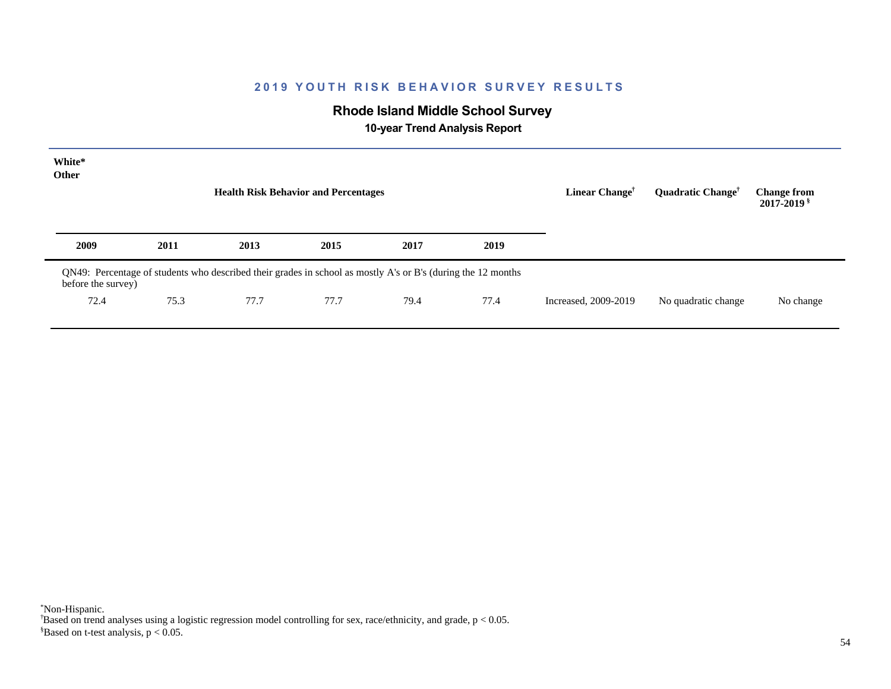# **Rhode Island Middle School Survey**

 **10-year Trend Analysis Report**

| White*<br>Other    |      | <b>Health Risk Behavior and Percentages</b>                                                                  |      |      |      | Linear Change <sup>†</sup> | Quadratic Change <sup>†</sup> | <b>Change from</b><br>2017-2019 \$ |
|--------------------|------|--------------------------------------------------------------------------------------------------------------|------|------|------|----------------------------|-------------------------------|------------------------------------|
| 2009               | 2011 | 2013                                                                                                         | 2015 | 2017 | 2019 |                            |                               |                                    |
| before the survey) |      | QN49: Percentage of students who described their grades in school as mostly A's or B's (during the 12 months |      |      |      |                            |                               |                                    |
| 72.4               | 75.3 | 77.7                                                                                                         | 77.7 | 79.4 | 77.4 | Increased, 2009-2019       | No quadratic change           | No change                          |
|                    |      |                                                                                                              |      |      |      |                            |                               |                                    |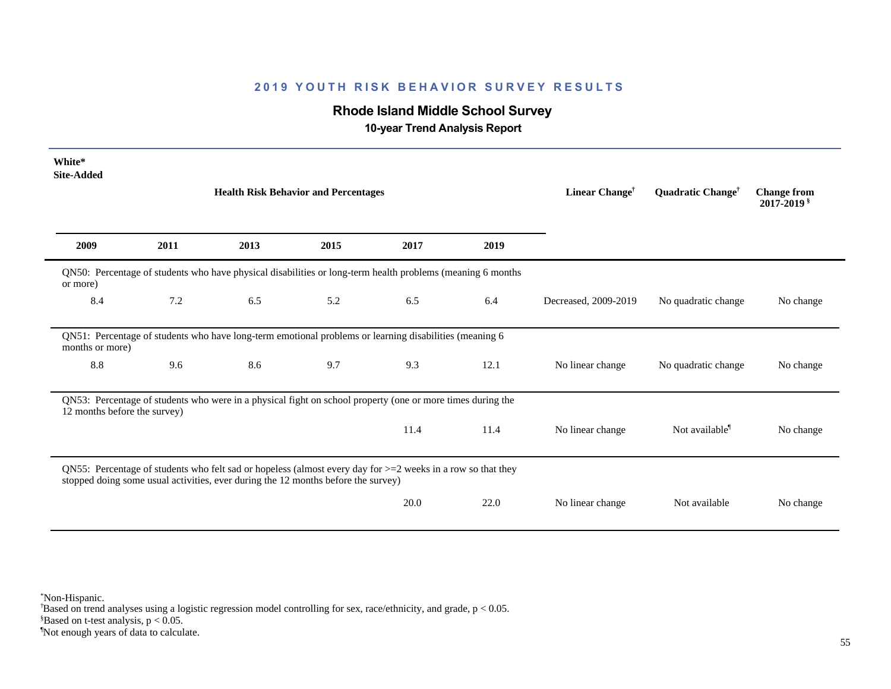# **Rhode Island Middle School Survey**

 **10-year Trend Analysis Report**

| White*<br><b>Site-Added</b>  |      |                                                                                                                                                                                                     |                                             |      |      |                            |                               |                                              |
|------------------------------|------|-----------------------------------------------------------------------------------------------------------------------------------------------------------------------------------------------------|---------------------------------------------|------|------|----------------------------|-------------------------------|----------------------------------------------|
|                              |      |                                                                                                                                                                                                     | <b>Health Risk Behavior and Percentages</b> |      |      | Linear Change <sup>†</sup> | Quadratic Change <sup>†</sup> | <b>Change from</b><br>2017-2019 <sup>§</sup> |
| 2009                         | 2011 | 2013                                                                                                                                                                                                | 2015                                        | 2017 | 2019 |                            |                               |                                              |
| or more)                     |      | QN50: Percentage of students who have physical disabilities or long-term health problems (meaning 6 months                                                                                          |                                             |      |      |                            |                               |                                              |
| 8.4                          | 7.2  | 6.5                                                                                                                                                                                                 | 5.2                                         | 6.5  | 6.4  | Decreased, 2009-2019       | No quadratic change           | No change                                    |
| months or more)              |      | QN51: Percentage of students who have long-term emotional problems or learning disabilities (meaning 6                                                                                              |                                             |      |      |                            |                               |                                              |
| 8.8                          | 9.6  | 8.6                                                                                                                                                                                                 | 9.7                                         | 9.3  | 12.1 | No linear change           | No quadratic change           | No change                                    |
| 12 months before the survey) |      | QN53: Percentage of students who were in a physical fight on school property (one or more times during the                                                                                          |                                             |      |      |                            |                               |                                              |
|                              |      |                                                                                                                                                                                                     |                                             | 11.4 | 11.4 | No linear change           | Not available <sup>1</sup>    | No change                                    |
|                              |      | QN55: Percentage of students who felt sad or hopeless (almost every day for $>=$ 2 weeks in a row so that they<br>stopped doing some usual activities, ever during the 12 months before the survey) |                                             |      |      |                            |                               |                                              |
|                              |      |                                                                                                                                                                                                     |                                             | 20.0 | 22.0 | No linear change           | Not available                 | No change                                    |

\*Non-Hispanic.

† Based on trend analyses using a logistic regression model controlling for sex, race/ethnicity, and grade, p < 0.05.

 $$Based on t-test analysis, p < 0.05.$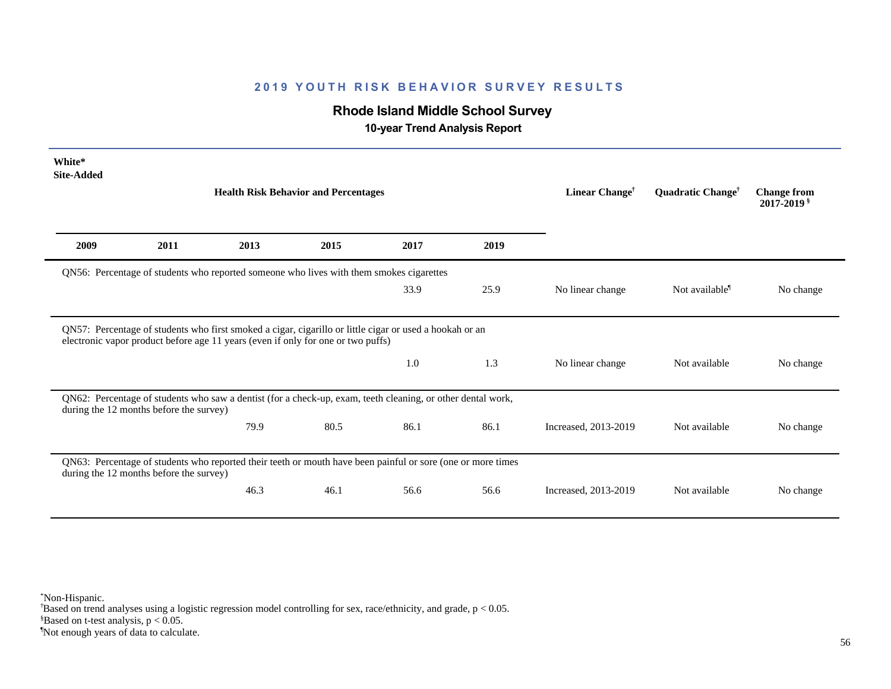# **Rhode Island Middle School Survey**

 **10-year Trend Analysis Report**

| White*<br><b>Site-Added</b> |                                         |                                                                                                             |      |                            |                               |                                              |                            |           |
|-----------------------------|-----------------------------------------|-------------------------------------------------------------------------------------------------------------|------|----------------------------|-------------------------------|----------------------------------------------|----------------------------|-----------|
|                             |                                         | <b>Health Risk Behavior and Percentages</b>                                                                 |      | Linear Change <sup>†</sup> | Quadratic Change <sup>†</sup> | <b>Change from</b><br>2017-2019 <sup>§</sup> |                            |           |
| 2009                        | 2011                                    | 2013                                                                                                        | 2015 | 2017                       | 2019                          |                                              |                            |           |
|                             |                                         | QN56: Percentage of students who reported someone who lives with them smokes cigarettes                     |      |                            |                               |                                              |                            |           |
|                             |                                         |                                                                                                             |      | 33.9                       | 25.9                          | No linear change                             | Not available <sup>1</sup> | No change |
|                             |                                         | electronic vapor product before age 11 years (even if only for one or two puffs)                            |      | 1.0                        | 1.3                           | No linear change                             | Not available              |           |
|                             |                                         |                                                                                                             |      |                            |                               |                                              |                            | No change |
|                             | during the 12 months before the survey) | QN62: Percentage of students who saw a dentist (for a check-up, exam, teeth cleaning, or other dental work, |      |                            |                               |                                              |                            |           |
|                             |                                         | 79.9                                                                                                        | 80.5 | 86.1                       | 86.1                          | Increased, 2013-2019                         | Not available              | No change |
|                             | during the 12 months before the survey) | QN63: Percentage of students who reported their teeth or mouth have been painful or sore (one or more times |      |                            |                               |                                              |                            |           |

\*Non-Hispanic.

† Based on trend analyses using a logistic regression model controlling for sex, race/ethnicity, and grade, p < 0.05.

 $$Based on t-test analysis, p < 0.05.$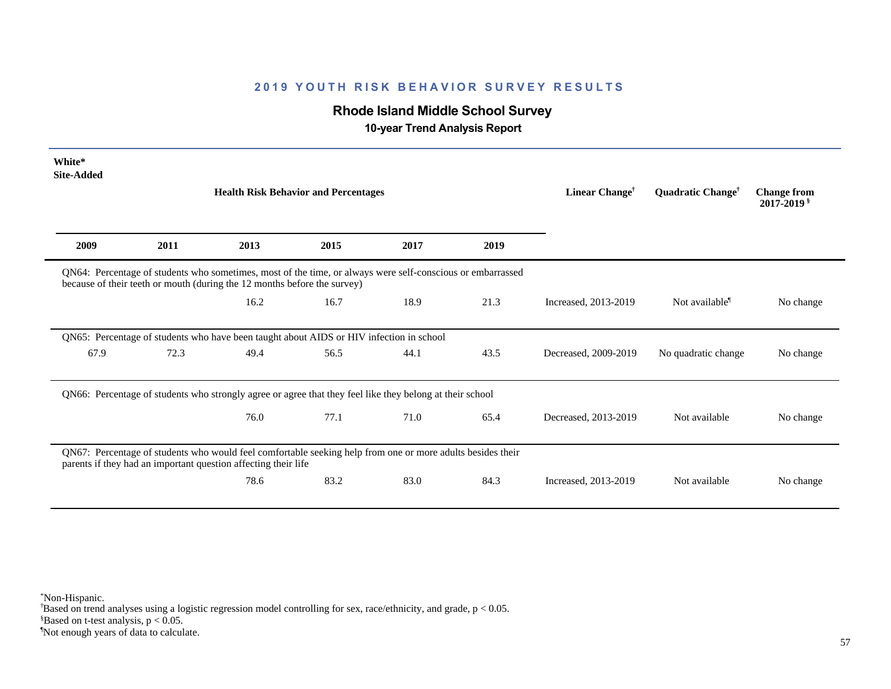# **Rhode Island Middle School Survey**

 **10-year Trend Analysis Report**

| White*<br><b>Site-Added</b> |      | <b>Health Risk Behavior and Percentages</b>                                                                                                                                            |      |      |      | Linear Change <sup>†</sup> | Quadratic Change <sup>†</sup> | <b>Change from</b><br>2017-2019 § |
|-----------------------------|------|----------------------------------------------------------------------------------------------------------------------------------------------------------------------------------------|------|------|------|----------------------------|-------------------------------|-----------------------------------|
| 2009                        | 2011 | 2013                                                                                                                                                                                   | 2015 | 2017 | 2019 |                            |                               |                                   |
|                             |      | QN64: Percentage of students who sometimes, most of the time, or always were self-conscious or embarrassed<br>because of their teeth or mouth (during the 12 months before the survey) |      |      |      |                            |                               |                                   |
|                             |      | 16.2                                                                                                                                                                                   | 16.7 | 18.9 | 21.3 | Increased, 2013-2019       | Not available <sup>1</sup>    | No change                         |
|                             |      | QN65: Percentage of students who have been taught about AIDS or HIV infection in school                                                                                                |      |      |      |                            |                               |                                   |
| 67.9                        | 72.3 | 49.4                                                                                                                                                                                   | 56.5 | 44.1 | 43.5 | Decreased, 2009-2019       | No quadratic change           | No change                         |
|                             |      | QN66: Percentage of students who strongly agree or agree that they feel like they belong at their school                                                                               |      |      |      |                            |                               |                                   |
|                             |      | 76.0                                                                                                                                                                                   | 77.1 | 71.0 | 65.4 | Decreased, 2013-2019       | Not available                 | No change                         |
|                             |      | QN67: Percentage of students who would feel comfortable seeking help from one or more adults besides their<br>parents if they had an important question affecting their life           |      |      |      |                            |                               |                                   |
|                             |      | 78.6                                                                                                                                                                                   | 83.2 | 83.0 | 84.3 | Increased, 2013-2019       | Not available                 | No change                         |

\*Non-Hispanic.

† Based on trend analyses using a logistic regression model controlling for sex, race/ethnicity, and grade, p < 0.05.

 $$Based on t-test analysis, p < 0.05.$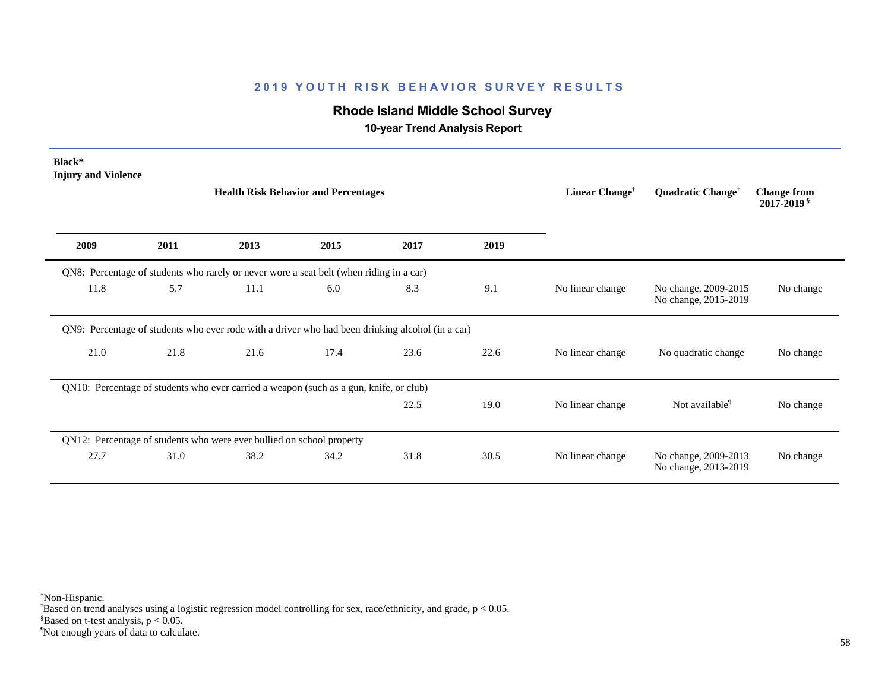# **Rhode Island Middle School Survey**

 **10-year Trend Analysis Report**

| Black*<br><b>Injury and Violence</b> |      |                                                                                                  | <b>Health Risk Behavior and Percentages</b> |      |      | Linear Change <sup>†</sup> | Quadratic Change <sup>†</sup>                | <b>Change from</b><br>$2017 - 2019$ s |
|--------------------------------------|------|--------------------------------------------------------------------------------------------------|---------------------------------------------|------|------|----------------------------|----------------------------------------------|---------------------------------------|
| 2009                                 | 2011 | 2013                                                                                             | 2015                                        | 2017 | 2019 |                            |                                              |                                       |
|                                      |      | QN8: Percentage of students who rarely or never wore a seat belt (when riding in a car)          |                                             |      |      |                            |                                              |                                       |
| 11.8                                 | 5.7  | 11.1                                                                                             | 6.0                                         | 8.3  | 9.1  | No linear change           | No change, 2009-2015<br>No change, 2015-2019 | No change                             |
|                                      |      | QN9: Percentage of students who ever rode with a driver who had been drinking alcohol (in a car) |                                             |      |      |                            |                                              |                                       |
| 21.0                                 | 21.8 | 21.6                                                                                             | 17.4                                        | 23.6 | 22.6 | No linear change           | No quadratic change                          | No change                             |
|                                      |      | QN10: Percentage of students who ever carried a weapon (such as a gun, knife, or club)           |                                             |      |      |                            |                                              |                                       |
|                                      |      |                                                                                                  |                                             | 22.5 | 19.0 | No linear change           | Not available <sup>1</sup>                   | No change                             |
|                                      |      | QN12: Percentage of students who were ever bullied on school property                            |                                             |      |      |                            |                                              |                                       |
| 27.7                                 | 31.0 | 38.2                                                                                             | 34.2                                        | 31.8 | 30.5 | No linear change           | No change, 2009-2013<br>No change, 2013-2019 | No change                             |

\*Non-Hispanic.

† Based on trend analyses using a logistic regression model controlling for sex, race/ethnicity, and grade, p < 0.05.

 $$Based on t-test analysis, p < 0.05.$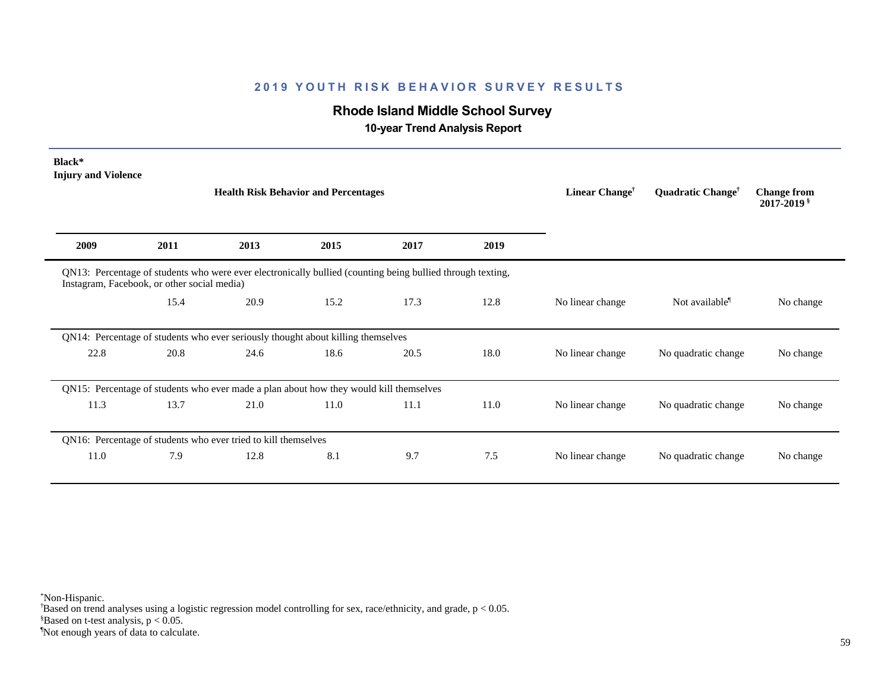# **Rhode Island Middle School Survey**

 **10-year Trend Analysis Report**

| Black*<br><b>Injury and Violence</b> |                                             | <b>Health Risk Behavior and Percentages</b>                                                                |      |      |      | Linear Change <sup>†</sup> | Quadratic Change <sup>†</sup> | <b>Change from</b><br>$2017 - 2019$ s |
|--------------------------------------|---------------------------------------------|------------------------------------------------------------------------------------------------------------|------|------|------|----------------------------|-------------------------------|---------------------------------------|
| 2009                                 | 2011                                        | 2013                                                                                                       | 2015 | 2017 | 2019 |                            |                               |                                       |
|                                      | Instagram, Facebook, or other social media) | QN13: Percentage of students who were ever electronically bullied (counting being bullied through texting, |      |      |      |                            |                               |                                       |
|                                      | 15.4                                        | 20.9                                                                                                       | 15.2 | 17.3 | 12.8 | No linear change           | Not available <sup>1</sup>    | No change                             |
|                                      |                                             | QN14: Percentage of students who ever seriously thought about killing themselves                           |      |      |      |                            |                               |                                       |
| 22.8                                 | 20.8                                        | 24.6                                                                                                       | 18.6 | 20.5 | 18.0 | No linear change           | No quadratic change           | No change                             |
|                                      |                                             | QN15: Percentage of students who ever made a plan about how they would kill themselves                     |      |      |      |                            |                               |                                       |
| 11.3                                 | 13.7                                        | 21.0                                                                                                       | 11.0 | 11.1 | 11.0 | No linear change           | No quadratic change           | No change                             |
|                                      |                                             | QN16: Percentage of students who ever tried to kill themselves                                             |      |      |      |                            |                               |                                       |
| 11.0                                 | 7.9                                         | 12.8                                                                                                       | 8.1  | 9.7  | 7.5  | No linear change           | No quadratic change           | No change                             |

\*Non-Hispanic.

† Based on trend analyses using a logistic regression model controlling for sex, race/ethnicity, and grade, p < 0.05.

 $$Based on t-test analysis, p < 0.05.$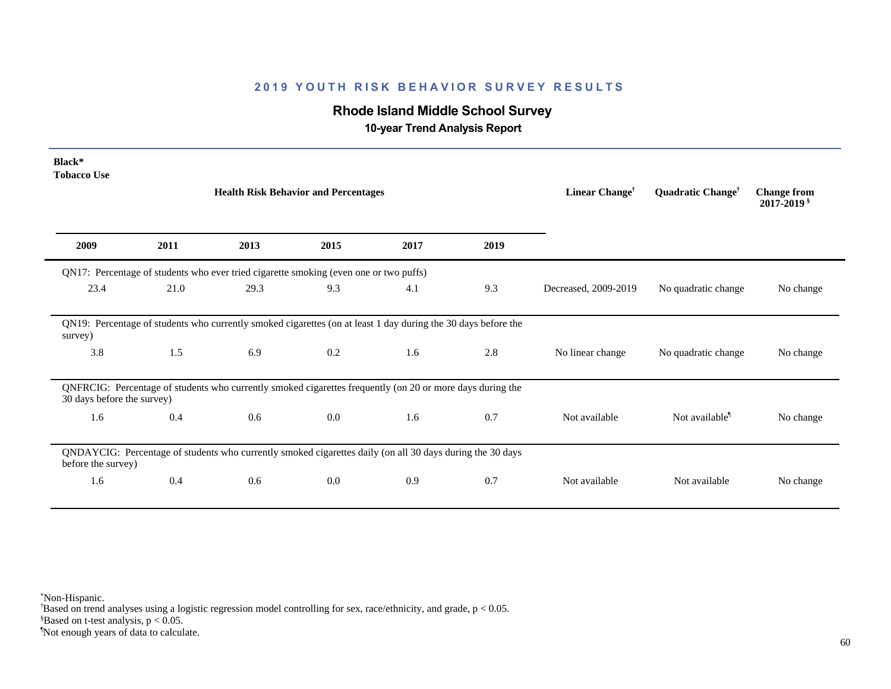# **Rhode Island Middle School Survey**

 **10-year Trend Analysis Report**

| Black*<br><b>Tobacco Use</b> |      |                                                                                                               |      |      |      |                            |                               |                                       |
|------------------------------|------|---------------------------------------------------------------------------------------------------------------|------|------|------|----------------------------|-------------------------------|---------------------------------------|
|                              |      | <b>Health Risk Behavior and Percentages</b>                                                                   |      |      |      | Linear Change <sup>†</sup> | Quadratic Change <sup>†</sup> | <b>Change from</b><br>$2017 - 2019$ s |
| 2009                         | 2011 | 2013                                                                                                          | 2015 | 2017 | 2019 |                            |                               |                                       |
|                              |      | QN17: Percentage of students who ever tried cigarette smoking (even one or two puffs)                         |      |      |      |                            |                               |                                       |
| 23.4                         | 21.0 | 29.3                                                                                                          | 9.3  | 4.1  | 9.3  | Decreased, 2009-2019       | No quadratic change           | No change                             |
| survey)                      |      | QN19: Percentage of students who currently smoked cigarettes (on at least 1 day during the 30 days before the |      |      |      |                            |                               |                                       |
| 3.8                          | 1.5  | 6.9                                                                                                           | 0.2  | 1.6  | 2.8  | No linear change           | No quadratic change           | No change                             |
| 30 days before the survey)   |      | QNFRCIG: Percentage of students who currently smoked cigarettes frequently (on 20 or more days during the     |      |      |      |                            |                               |                                       |
| 1.6                          | 0.4  | 0.6                                                                                                           | 0.0  | 1.6  | 0.7  | Not available              | Not available <sup>1</sup>    | No change                             |
| before the survey)           |      | QNDAYCIG: Percentage of students who currently smoked cigarettes daily (on all 30 days during the 30 days     |      |      |      |                            |                               |                                       |
| 1.6                          | 0.4  | 0.6                                                                                                           | 0.0  | 0.9  | 0.7  | Not available              | Not available                 | No change                             |

\*Non-Hispanic.

† Based on trend analyses using a logistic regression model controlling for sex, race/ethnicity, and grade, p < 0.05.

 $$Based on t-test analysis, p < 0.05.$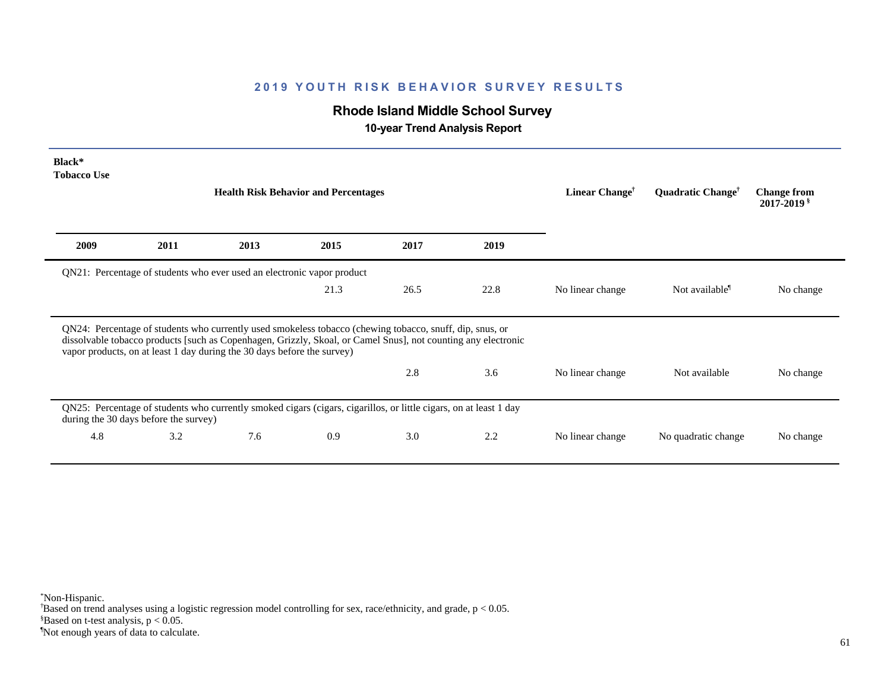# **Rhode Island Middle School Survey**

 **10-year Trend Analysis Report**

| Black*<br><b>Tobacco Use</b> |                                       |                                                                                                                                                                                                                                                                                                      |                                             |      |      |                            |                               |                                       |
|------------------------------|---------------------------------------|------------------------------------------------------------------------------------------------------------------------------------------------------------------------------------------------------------------------------------------------------------------------------------------------------|---------------------------------------------|------|------|----------------------------|-------------------------------|---------------------------------------|
|                              |                                       |                                                                                                                                                                                                                                                                                                      | <b>Health Risk Behavior and Percentages</b> |      |      | Linear Change <sup>†</sup> | Quadratic Change <sup>†</sup> | <b>Change from</b><br>$2017 - 2019$ s |
| 2009                         | 2011                                  | 2013                                                                                                                                                                                                                                                                                                 | 2015                                        | 2017 | 2019 |                            |                               |                                       |
|                              |                                       | QN21: Percentage of students who ever used an electronic vapor product                                                                                                                                                                                                                               |                                             |      |      |                            |                               |                                       |
|                              |                                       |                                                                                                                                                                                                                                                                                                      | 21.3                                        | 26.5 | 22.8 | No linear change           | Not available <sup>1</sup>    | No change                             |
|                              |                                       | QN24: Percentage of students who currently used smokeless tobacco (chewing tobacco, snuff, dip, snus, or<br>dissolvable tobacco products [such as Copenhagen, Grizzly, Skoal, or Camel Snus], not counting any electronic<br>vapor products, on at least 1 day during the 30 days before the survey) |                                             |      |      |                            |                               |                                       |
|                              |                                       |                                                                                                                                                                                                                                                                                                      |                                             | 2.8  | 3.6  |                            |                               |                                       |
|                              |                                       |                                                                                                                                                                                                                                                                                                      |                                             |      |      | No linear change           | Not available                 | No change                             |
|                              | during the 30 days before the survey) | QN25: Percentage of students who currently smoked cigars (cigars, cigarillos, or little cigars, on at least 1 day                                                                                                                                                                                    |                                             |      |      |                            |                               |                                       |

\*Non-Hispanic.

† Based on trend analyses using a logistic regression model controlling for sex, race/ethnicity, and grade, p < 0.05.

 $$Based on t-test analysis, p < 0.05.$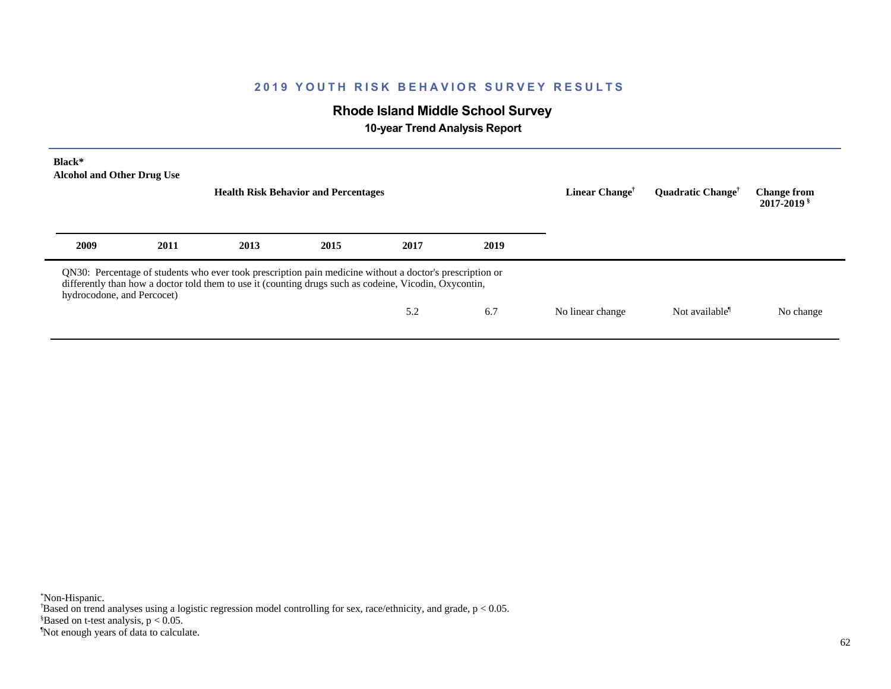# **Rhode Island Middle School Survey**

 **10-year Trend Analysis Report**

| Black*<br><b>Alcohol and Other Drug Use</b> |      |                                                                                                                                                                                                                    | <b>Health Risk Behavior and Percentages</b> |      |      | Linear Change <sup>†</sup> | <b>Ouadratic Change<sup>†</sup></b> | <b>Change from</b><br>2017-2019 <sup>§</sup> |
|---------------------------------------------|------|--------------------------------------------------------------------------------------------------------------------------------------------------------------------------------------------------------------------|---------------------------------------------|------|------|----------------------------|-------------------------------------|----------------------------------------------|
| 2009                                        | 2011 | 2013                                                                                                                                                                                                               | 2015                                        | 2017 | 2019 |                            |                                     |                                              |
| hydrocodone, and Percocet)                  |      | QN30: Percentage of students who ever took prescription pain medicine without a doctor's prescription or<br>differently than how a doctor told them to use it (counting drugs such as codeine, Vicodin, Oxycontin, |                                             |      |      |                            |                                     |                                              |
|                                             |      |                                                                                                                                                                                                                    |                                             | 5.2  | 6.7  | No linear change           | Not available <sup>1</sup>          | No change                                    |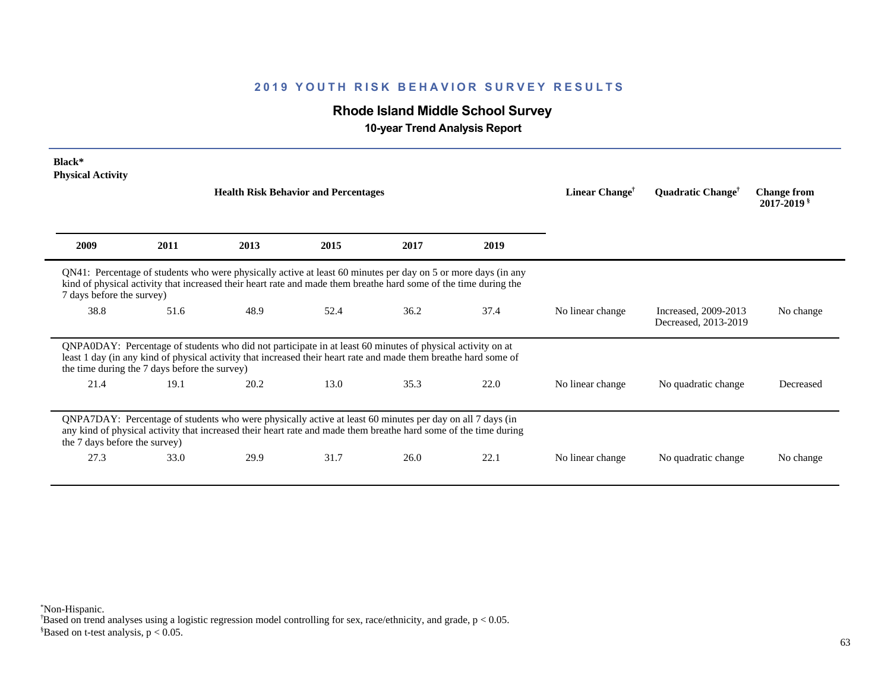# **Rhode Island Middle School Survey**

 **10-year Trend Analysis Report**

| Black*<br><b>Physical Activity</b> |                                               |                                                                                                                                                                                                                                   |      |                            |                               |                                     |                                              |           |
|------------------------------------|-----------------------------------------------|-----------------------------------------------------------------------------------------------------------------------------------------------------------------------------------------------------------------------------------|------|----------------------------|-------------------------------|-------------------------------------|----------------------------------------------|-----------|
|                                    |                                               | <b>Health Risk Behavior and Percentages</b>                                                                                                                                                                                       |      | Linear Change <sup>†</sup> | Quadratic Change <sup>†</sup> | <b>Change from</b><br>$2017 - 2019$ |                                              |           |
| 2009                               | 2011                                          | 2013                                                                                                                                                                                                                              | 2015 | 2017                       | 2019                          |                                     |                                              |           |
| 7 days before the survey)          |                                               | QN41: Percentage of students who were physically active at least 60 minutes per day on 5 or more days (in any<br>kind of physical activity that increased their heart rate and made them breathe hard some of the time during the |      |                            |                               |                                     |                                              |           |
| 38.8                               | 51.6                                          | 48.9                                                                                                                                                                                                                              | 52.4 | 36.2                       | 37.4                          | No linear change                    | Increased, 2009-2013<br>Decreased, 2013-2019 | No change |
|                                    | the time during the 7 days before the survey) | QNPA0DAY: Percentage of students who did not participate in at least 60 minutes of physical activity on at<br>least 1 day (in any kind of physical activity that increased their heart rate and made them breathe hard some of    |      |                            |                               |                                     |                                              |           |
| 21.4                               | 19.1                                          | 20.2                                                                                                                                                                                                                              | 13.0 | 35.3                       | 22.0                          | No linear change                    | No quadratic change                          | Decreased |
| the 7 days before the survey)      |                                               | QNPA7DAY: Percentage of students who were physically active at least 60 minutes per day on all 7 days (in<br>any kind of physical activity that increased their heart rate and made them breathe hard some of the time during     |      |                            |                               |                                     |                                              |           |
| 27.3                               | 33.0                                          | 29.9                                                                                                                                                                                                                              | 31.7 | 26.0                       | 22.1                          | No linear change                    | No quadratic change                          | No change |

\*Non-Hispanic.

† Based on trend analyses using a logistic regression model controlling for sex, race/ethnicity, and grade, p < 0.05.

 $$Based on t-test analysis, p < 0.05.$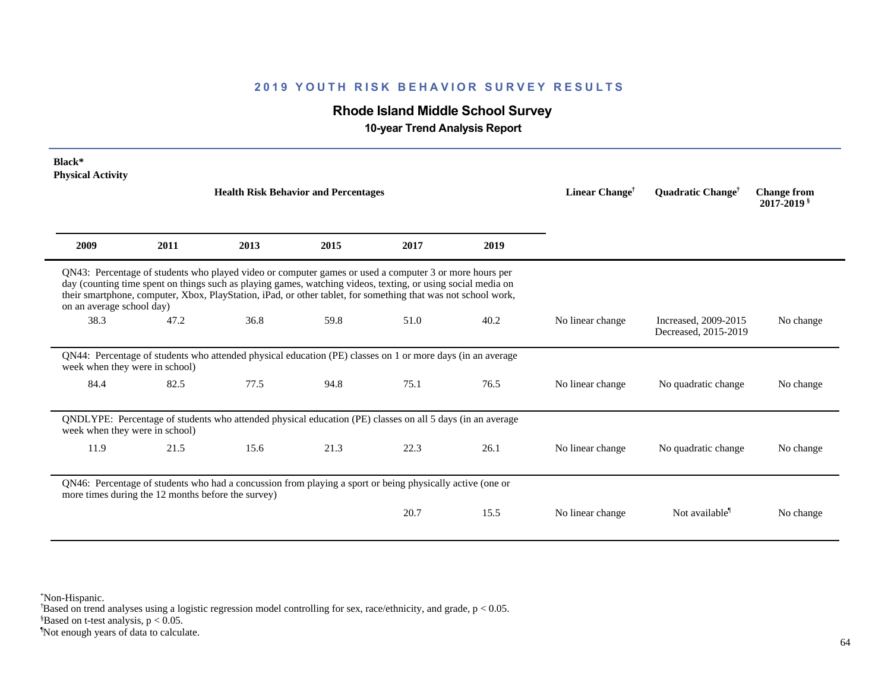# **Rhode Island Middle School Survey**

 **10-year Trend Analysis Report**

| Black*<br><b>Physical Activity</b> |                                                    | <b>Health Risk Behavior and Percentages</b>                                                                                                                                                                                                                                                                                             | Linear Change <sup>†</sup> | Quadratic Change <sup>†</sup> | <b>Change from</b><br>$2017 - 2019$ s |                  |                                              |           |
|------------------------------------|----------------------------------------------------|-----------------------------------------------------------------------------------------------------------------------------------------------------------------------------------------------------------------------------------------------------------------------------------------------------------------------------------------|----------------------------|-------------------------------|---------------------------------------|------------------|----------------------------------------------|-----------|
| 2009                               | 2011                                               | 2013                                                                                                                                                                                                                                                                                                                                    | 2015                       | 2017                          | 2019                                  |                  |                                              |           |
| on an average school day)          |                                                    | QN43: Percentage of students who played video or computer games or used a computer 3 or more hours per<br>day (counting time spent on things such as playing games, watching videos, texting, or using social media on<br>their smartphone, computer, Xbox, PlayStation, iPad, or other tablet, for something that was not school work, |                            |                               |                                       |                  |                                              |           |
| 38.3                               | 47.2                                               | 36.8                                                                                                                                                                                                                                                                                                                                    | 59.8                       | 51.0                          | 40.2                                  | No linear change | Increased, 2009-2015<br>Decreased, 2015-2019 | No change |
| week when they were in school)     |                                                    | QN44: Percentage of students who attended physical education (PE) classes on 1 or more days (in an average                                                                                                                                                                                                                              |                            |                               |                                       |                  |                                              |           |
| 84.4                               | 82.5                                               | 77.5                                                                                                                                                                                                                                                                                                                                    | 94.8                       | 75.1                          | 76.5                                  | No linear change | No quadratic change                          | No change |
| week when they were in school)     |                                                    | QNDLYPE: Percentage of students who attended physical education (PE) classes on all 5 days (in an average                                                                                                                                                                                                                               |                            |                               |                                       |                  |                                              |           |
| 11.9                               | 21.5                                               | 15.6                                                                                                                                                                                                                                                                                                                                    | 21.3                       | 22.3                          | 26.1                                  | No linear change | No quadratic change                          | No change |
|                                    | more times during the 12 months before the survey) | QN46: Percentage of students who had a concussion from playing a sport or being physically active (one or                                                                                                                                                                                                                               |                            |                               |                                       |                  |                                              |           |
|                                    |                                                    |                                                                                                                                                                                                                                                                                                                                         |                            | 20.7                          | 15.5                                  | No linear change | Not available <sup>1</sup>                   | No change |

\*Non-Hispanic.

† Based on trend analyses using a logistic regression model controlling for sex, race/ethnicity, and grade, p < 0.05.

 $$Based on t-test analysis, p < 0.05.$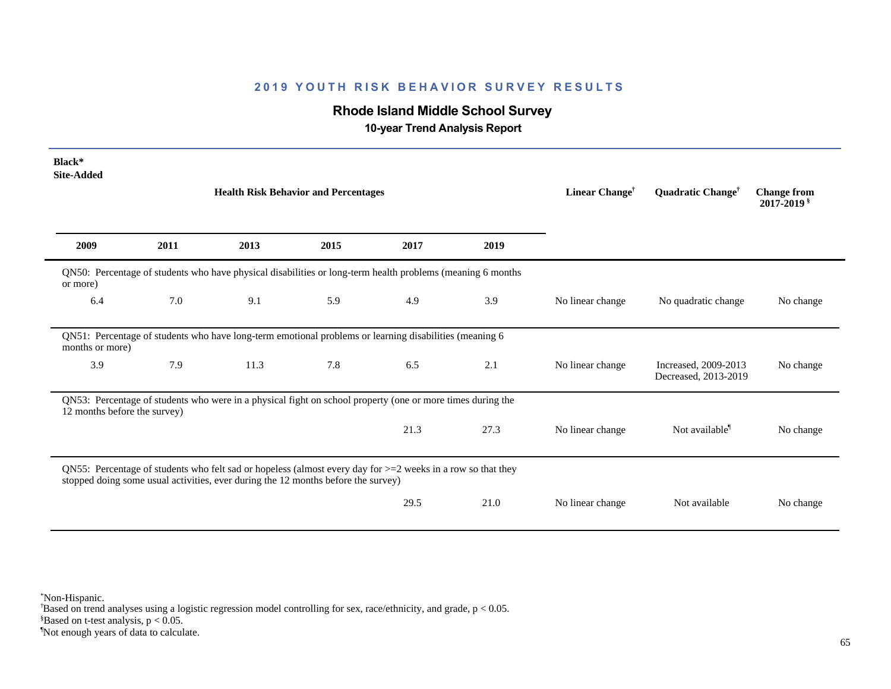# **Rhode Island Middle School Survey**

 **10-year Trend Analysis Report**

| Black*<br><b>Site-Added</b>  |      |                                                                                                                                                                                                     |      |                            |                               |                                              |                                              |           |
|------------------------------|------|-----------------------------------------------------------------------------------------------------------------------------------------------------------------------------------------------------|------|----------------------------|-------------------------------|----------------------------------------------|----------------------------------------------|-----------|
|                              |      | <b>Health Risk Behavior and Percentages</b>                                                                                                                                                         |      | Linear Change <sup>†</sup> | Quadratic Change <sup>†</sup> | <b>Change from</b><br>2017-2019 <sup>§</sup> |                                              |           |
| 2009                         | 2011 | 2013                                                                                                                                                                                                | 2015 | 2017                       | 2019                          |                                              |                                              |           |
| or more)                     |      | QN50: Percentage of students who have physical disabilities or long-term health problems (meaning 6 months                                                                                          |      |                            |                               |                                              |                                              |           |
| 6.4                          | 7.0  | 9.1                                                                                                                                                                                                 | 5.9  | 4.9                        | 3.9                           | No linear change                             | No quadratic change                          | No change |
| months or more)              |      | QN51: Percentage of students who have long-term emotional problems or learning disabilities (meaning 6                                                                                              |      |                            |                               |                                              |                                              |           |
| 3.9                          | 7.9  | 11.3                                                                                                                                                                                                | 7.8  | 6.5                        | 2.1                           | No linear change                             | Increased, 2009-2013<br>Decreased, 2013-2019 | No change |
| 12 months before the survey) |      | QN53: Percentage of students who were in a physical fight on school property (one or more times during the                                                                                          |      |                            |                               |                                              |                                              |           |
|                              |      |                                                                                                                                                                                                     |      | 21.3                       | 27.3                          | No linear change                             | Not available <sup>1</sup>                   | No change |
|                              |      | QN55: Percentage of students who felt sad or hopeless (almost every day for $>=$ 2 weeks in a row so that they<br>stopped doing some usual activities, ever during the 12 months before the survey) |      |                            |                               |                                              |                                              |           |
|                              |      |                                                                                                                                                                                                     |      | 29.5                       | 21.0                          | No linear change                             | Not available                                | No change |

\*Non-Hispanic.

† Based on trend analyses using a logistic regression model controlling for sex, race/ethnicity, and grade, p < 0.05.

 $$Based on t-test analysis, p < 0.05.$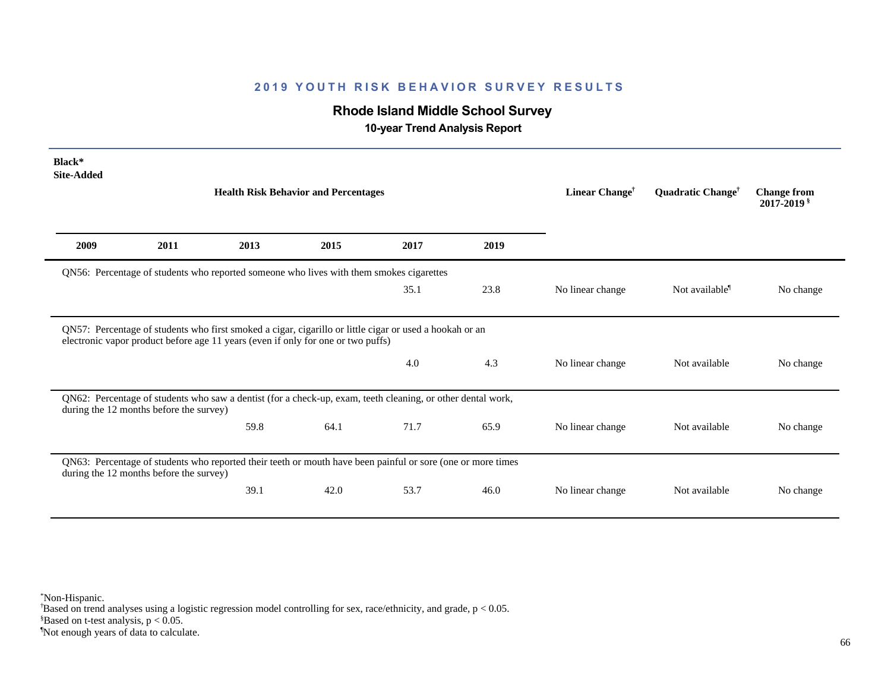# **Rhode Island Middle School Survey**

 **10-year Trend Analysis Report**

| Black*<br><b>Site-Added</b> |                                         |                                                                                                             |      |                                                                                                         |                               |                                              |                            |           |
|-----------------------------|-----------------------------------------|-------------------------------------------------------------------------------------------------------------|------|---------------------------------------------------------------------------------------------------------|-------------------------------|----------------------------------------------|----------------------------|-----------|
|                             |                                         | <b>Health Risk Behavior and Percentages</b>                                                                 |      | Linear Change <sup>†</sup>                                                                              | Quadratic Change <sup>†</sup> | <b>Change from</b><br>2017-2019 <sup>§</sup> |                            |           |
| 2009                        | 2011                                    | 2013                                                                                                        | 2015 | 2017                                                                                                    | 2019                          |                                              |                            |           |
|                             |                                         | QN56: Percentage of students who reported someone who lives with them smokes cigarettes                     |      |                                                                                                         |                               |                                              |                            |           |
|                             |                                         |                                                                                                             |      | 35.1                                                                                                    | 23.8                          | No linear change                             | Not available <sup>1</sup> | No change |
|                             |                                         |                                                                                                             |      | QN57: Percentage of students who first smoked a cigar, cigarillo or little cigar or used a hookah or an |                               |                                              |                            |           |
|                             |                                         | electronic vapor product before age 11 years (even if only for one or two puffs)                            |      | 4.0                                                                                                     | 4.3                           | No linear change                             | Not available              | No change |
|                             | during the 12 months before the survey) | QN62: Percentage of students who saw a dentist (for a check-up, exam, teeth cleaning, or other dental work, |      |                                                                                                         |                               |                                              |                            |           |
|                             |                                         | 59.8                                                                                                        | 64.1 | 71.7                                                                                                    | 65.9                          | No linear change                             | Not available              | No change |
|                             | during the 12 months before the survey) | QN63: Percentage of students who reported their teeth or mouth have been painful or sore (one or more times |      |                                                                                                         |                               |                                              |                            |           |

\*Non-Hispanic.

† Based on trend analyses using a logistic regression model controlling for sex, race/ethnicity, and grade, p < 0.05.

 $$Based on t-test analysis, p < 0.05.$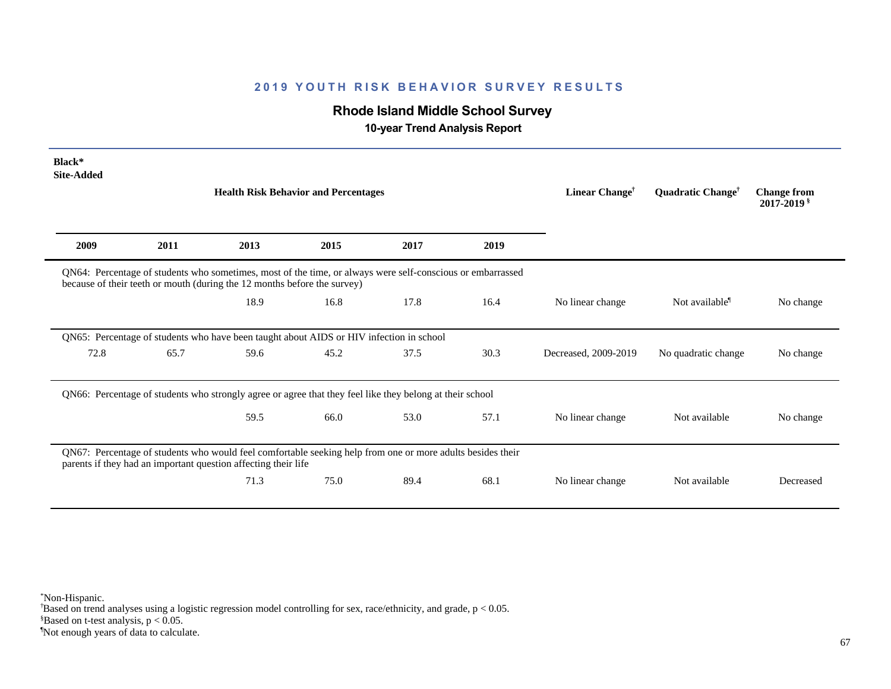# **Rhode Island Middle School Survey**

 **10-year Trend Analysis Report**

| Black*<br><b>Site-Added</b> |      | <b>Health Risk Behavior and Percentages</b>                                                                                                                                            |      |      |      | Linear Change <sup>†</sup> | Quadratic Change <sup>†</sup> | <b>Change from</b><br>$2017 - 2019$ s |
|-----------------------------|------|----------------------------------------------------------------------------------------------------------------------------------------------------------------------------------------|------|------|------|----------------------------|-------------------------------|---------------------------------------|
|                             |      |                                                                                                                                                                                        |      |      |      |                            |                               |                                       |
| 2009                        | 2011 | 2013                                                                                                                                                                                   | 2015 | 2017 | 2019 |                            |                               |                                       |
|                             |      | QN64: Percentage of students who sometimes, most of the time, or always were self-conscious or embarrassed<br>because of their teeth or mouth (during the 12 months before the survey) |      |      |      |                            |                               |                                       |
|                             |      | 18.9                                                                                                                                                                                   | 16.8 | 17.8 | 16.4 | No linear change           | Not available <sup>1</sup>    | No change                             |
|                             |      | QN65: Percentage of students who have been taught about AIDS or HIV infection in school                                                                                                |      |      |      |                            |                               |                                       |
| 72.8                        | 65.7 | 59.6                                                                                                                                                                                   | 45.2 | 37.5 | 30.3 | Decreased, 2009-2019       | No quadratic change           | No change                             |
|                             |      | QN66: Percentage of students who strongly agree or agree that they feel like they belong at their school                                                                               |      |      |      |                            |                               |                                       |
|                             |      | 59.5                                                                                                                                                                                   | 66.0 | 53.0 | 57.1 | No linear change           | Not available                 | No change                             |
|                             |      | QN67: Percentage of students who would feel comfortable seeking help from one or more adults besides their<br>parents if they had an important question affecting their life           |      |      |      |                            |                               |                                       |
|                             |      | 71.3                                                                                                                                                                                   | 75.0 | 89.4 | 68.1 | No linear change           | Not available                 | Decreased                             |

\*Non-Hispanic.

† Based on trend analyses using a logistic regression model controlling for sex, race/ethnicity, and grade, p < 0.05.

 $$Based on t-test analysis, p < 0.05.$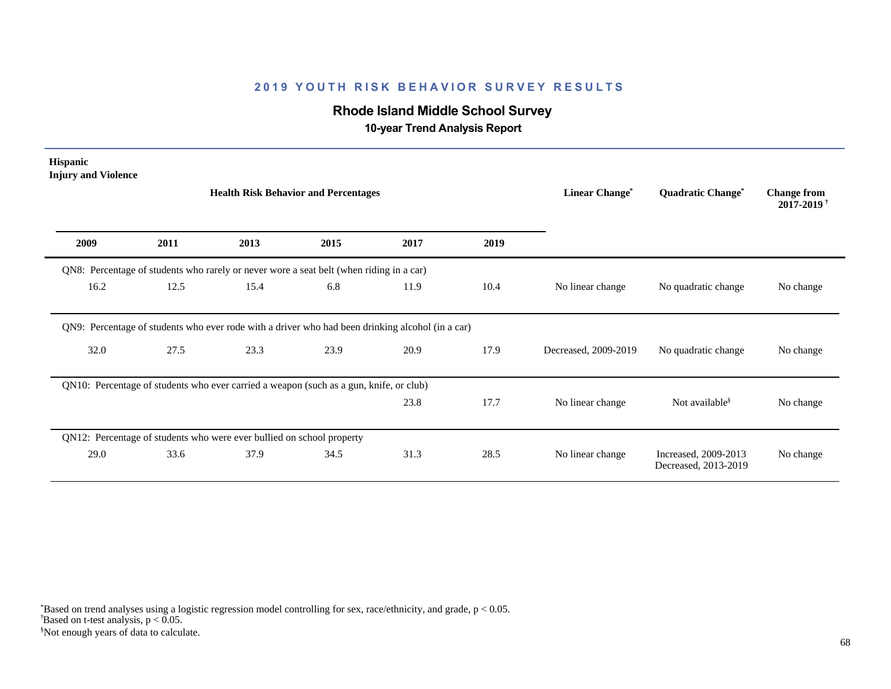# **Rhode Island Middle School Survey**

 **10-year Trend Analysis Report**

| <b>Hispanic</b><br><b>Injury and Violence</b>                                                    |      |                                             |      |      |                                  |                                     |                                                  |           |
|--------------------------------------------------------------------------------------------------|------|---------------------------------------------|------|------|----------------------------------|-------------------------------------|--------------------------------------------------|-----------|
|                                                                                                  |      | <b>Health Risk Behavior and Percentages</b> |      |      | <b>Linear Change<sup>*</sup></b> | <b>Quadratic Change<sup>®</sup></b> | <b>Change from</b><br>$2017 - 2019$ <sup>†</sup> |           |
| 2009                                                                                             | 2011 | 2013                                        | 2015 | 2017 | 2019                             |                                     |                                                  |           |
| QN8: Percentage of students who rarely or never wore a seat belt (when riding in a car)          |      |                                             |      |      |                                  |                                     |                                                  |           |
| 16.2                                                                                             | 12.5 | 15.4                                        | 6.8  | 11.9 | 10.4                             | No linear change                    | No quadratic change                              | No change |
| QN9: Percentage of students who ever rode with a driver who had been drinking alcohol (in a car) |      |                                             |      |      |                                  |                                     |                                                  |           |
| 32.0                                                                                             | 27.5 | 23.3                                        | 23.9 | 20.9 | 17.9                             | Decreased, 2009-2019                | No quadratic change                              | No change |
| QN10: Percentage of students who ever carried a weapon (such as a gun, knife, or club)           |      |                                             |      |      |                                  |                                     |                                                  |           |
|                                                                                                  |      |                                             |      | 23.8 | 17.7                             | No linear change                    | Not available <sup>§</sup>                       | No change |
| QN12: Percentage of students who were ever bullied on school property                            |      |                                             |      |      |                                  |                                     |                                                  |           |
| 29.0                                                                                             | 33.6 | 37.9                                        | 34.5 | 31.3 | 28.5                             | No linear change                    | Increased, 2009-2013<br>Decreased, 2013-2019     | No change |

§Not enough years of data to calculate.  $\overline{B}$ ased on t-test analysis, p < 0.05. \*Based on trend analyses using a logistic regression model controlling for sex, race/ethnicity, and grade, p < 0.05.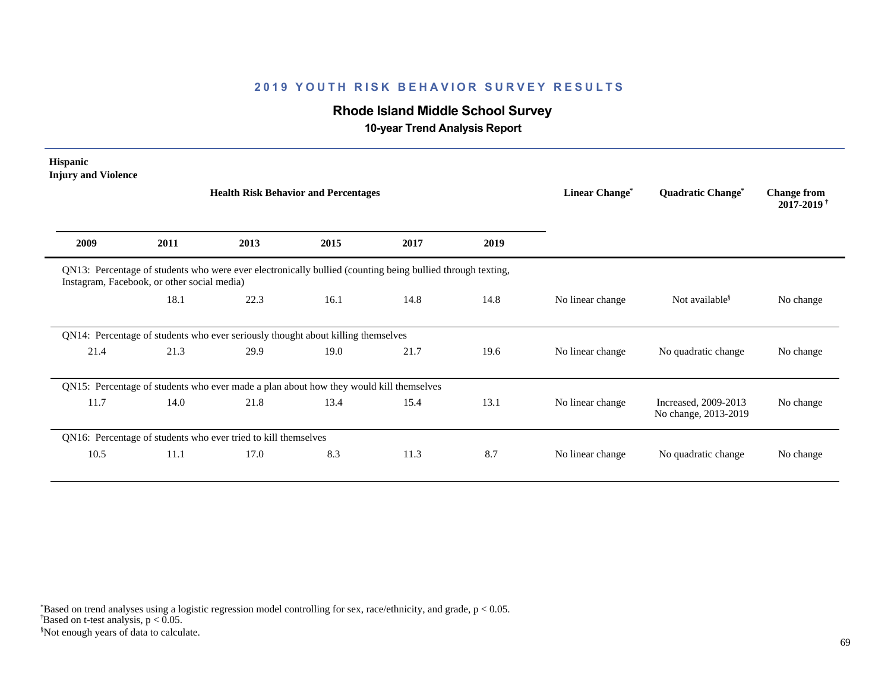# **Rhode Island Middle School Survey**

 **10-year Trend Analysis Report**

| <b>Hispanic</b><br><b>Injury and Violence</b> |      |                                                                                                            |      |                                  |                                     |                                              |                                              |           |
|-----------------------------------------------|------|------------------------------------------------------------------------------------------------------------|------|----------------------------------|-------------------------------------|----------------------------------------------|----------------------------------------------|-----------|
|                                               |      | <b>Health Risk Behavior and Percentages</b>                                                                |      | <b>Linear Change<sup>*</sup></b> | <b>Quadratic Change<sup>®</sup></b> | <b>Change from</b><br>2017-2019 <sup>+</sup> |                                              |           |
| 2009                                          | 2011 | 2013                                                                                                       | 2015 | 2017                             | 2019                                |                                              |                                              |           |
| Instagram, Facebook, or other social media)   |      | QN13: Percentage of students who were ever electronically bullied (counting being bullied through texting, |      |                                  |                                     |                                              |                                              |           |
|                                               | 18.1 | 22.3                                                                                                       | 16.1 | 14.8                             | 14.8                                | No linear change                             | Not available <sup>§</sup>                   | No change |
|                                               |      | QN14: Percentage of students who ever seriously thought about killing themselves                           |      |                                  |                                     |                                              |                                              |           |
| 21.4                                          | 21.3 | 29.9                                                                                                       | 19.0 | 21.7                             | 19.6                                | No linear change                             | No quadratic change                          | No change |
|                                               |      | QN15: Percentage of students who ever made a plan about how they would kill themselves                     |      |                                  |                                     |                                              |                                              |           |
| 11.7                                          | 14.0 | 21.8                                                                                                       | 13.4 | 15.4                             | 13.1                                | No linear change                             | Increased, 2009-2013<br>No change, 2013-2019 | No change |
|                                               |      | QN16: Percentage of students who ever tried to kill themselves                                             |      |                                  |                                     |                                              |                                              |           |
| 10.5                                          | 11.1 | 17.0                                                                                                       | 8.3  | 11.3                             | 8.7                                 | No linear change                             | No quadratic change                          | No change |

§Not enough years of data to calculate.  $\overline{B}$ ased on t-test analysis, p < 0.05. \*Based on trend analyses using a logistic regression model controlling for sex, race/ethnicity, and grade, p < 0.05.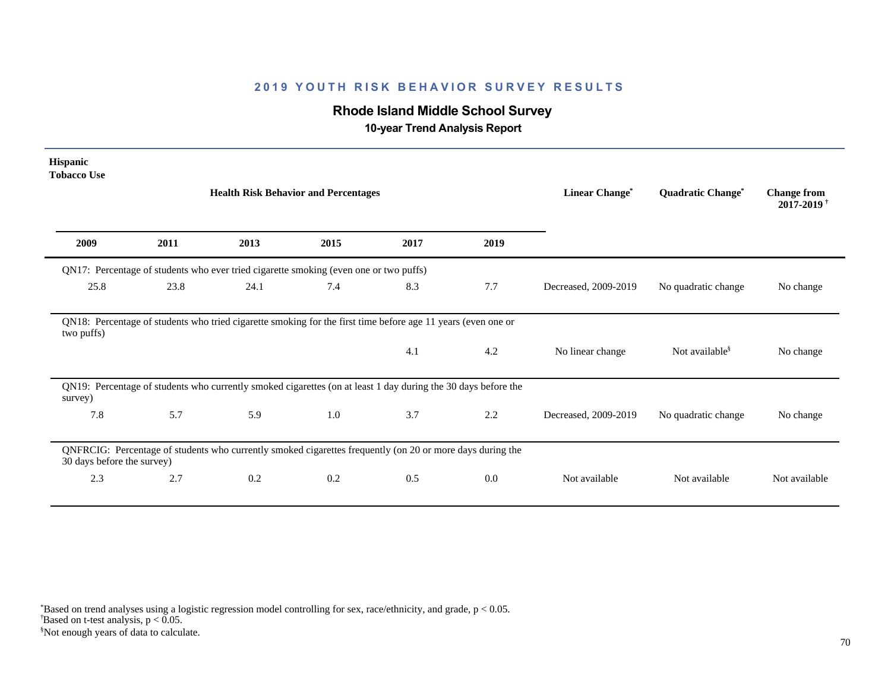# **Rhode Island Middle School Survey**

 **10-year Trend Analysis Report**

| Hispanic<br><b>Tobacco Use</b> |      |                                                                                                               |      |                |                   |                                   |                            |               |
|--------------------------------|------|---------------------------------------------------------------------------------------------------------------|------|----------------|-------------------|-----------------------------------|----------------------------|---------------|
|                                |      | <b>Health Risk Behavior and Percentages</b>                                                                   |      | Linear Change* | Quadratic Change* | <b>Change from</b><br>2017-2019 * |                            |               |
| 2009                           | 2011 | 2013                                                                                                          | 2015 | 2017           | 2019              |                                   |                            |               |
|                                |      | QN17: Percentage of students who ever tried cigarette smoking (even one or two puffs)                         |      |                |                   |                                   |                            |               |
| 25.8                           | 23.8 | 24.1                                                                                                          | 7.4  | 8.3            | 7.7               | Decreased, 2009-2019              | No quadratic change        | No change     |
| two puffs)                     |      | QN18: Percentage of students who tried cigarette smoking for the first time before age 11 years (even one or  |      |                |                   |                                   |                            |               |
|                                |      |                                                                                                               |      | 4.1            | 4.2               | No linear change                  | Not available <sup>§</sup> | No change     |
| survey)                        |      | QN19: Percentage of students who currently smoked cigarettes (on at least 1 day during the 30 days before the |      |                |                   |                                   |                            |               |
| 7.8                            | 5.7  | 5.9                                                                                                           | 1.0  | 3.7            | 2.2               | Decreased, 2009-2019              | No quadratic change        | No change     |
| 30 days before the survey)     |      | QNFRCIG: Percentage of students who currently smoked cigarettes frequently (on 20 or more days during the     |      |                |                   |                                   |                            |               |
| 2.3                            | 2.7  | 0.2                                                                                                           | 0.2  | 0.5            | $0.0\,$           | Not available                     | Not available              | Not available |
|                                |      |                                                                                                               |      |                |                   |                                   |                            |               |

 $\overline{B}$ ased on t-test analysis, p < 0.05. \*Based on trend analyses using a logistic regression model controlling for sex, race/ethnicity, and grade, p < 0.05.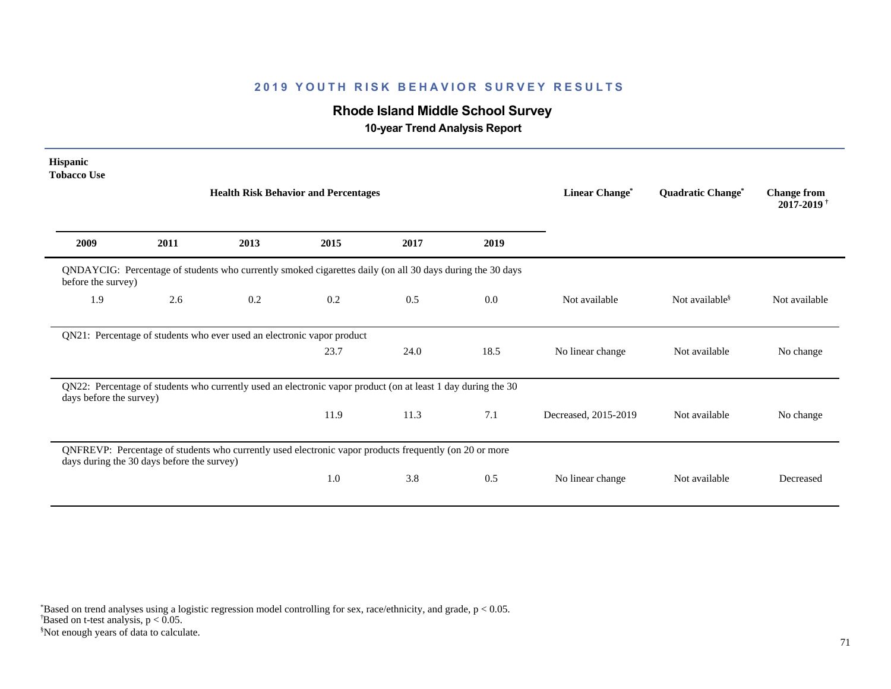# **Rhode Island Middle School Survey**

 **10-year Trend Analysis Report**

| Hispanic<br><b>Tobacco Use</b> |                                            |                                                                                                              |                       |                   |                                              |                      |                            |               |
|--------------------------------|--------------------------------------------|--------------------------------------------------------------------------------------------------------------|-----------------------|-------------------|----------------------------------------------|----------------------|----------------------------|---------------|
|                                |                                            | <b>Health Risk Behavior and Percentages</b>                                                                  | <b>Linear Change*</b> | Quadratic Change* | <b>Change from</b><br>2017-2019 <sup>+</sup> |                      |                            |               |
| 2009                           | 2011                                       | 2013                                                                                                         | 2015                  | 2017              | 2019                                         |                      |                            |               |
| before the survey)             |                                            | QNDAYCIG: Percentage of students who currently smoked cigarettes daily (on all 30 days during the 30 days    |                       |                   |                                              |                      |                            |               |
| 1.9                            | 2.6                                        | 0.2                                                                                                          | 0.2                   | 0.5               | 0.0                                          | Not available        | Not available <sup>§</sup> | Not available |
|                                |                                            | QN21: Percentage of students who ever used an electronic vapor product                                       |                       |                   |                                              |                      |                            |               |
|                                |                                            |                                                                                                              | 23.7                  | 24.0              | 18.5                                         | No linear change     | Not available              | No change     |
| days before the survey)        |                                            | QN22: Percentage of students who currently used an electronic vapor product (on at least 1 day during the 30 |                       |                   |                                              |                      |                            |               |
|                                |                                            |                                                                                                              | 11.9                  | 11.3              | 7.1                                          | Decreased, 2015-2019 | Not available              | No change     |
|                                | days during the 30 days before the survey) | QNFREVP: Percentage of students who currently used electronic vapor products frequently (on 20 or more       |                       |                   |                                              |                      |                            |               |
|                                |                                            |                                                                                                              | 1.0                   | 3.8               | 0.5                                          | No linear change     | Not available              | Decreased     |

§Not enough years of data to calculate.  $\overline{B}$ ased on t-test analysis, p < 0.05. \*Based on trend analyses using a logistic regression model controlling for sex, race/ethnicity, and grade, p < 0.05.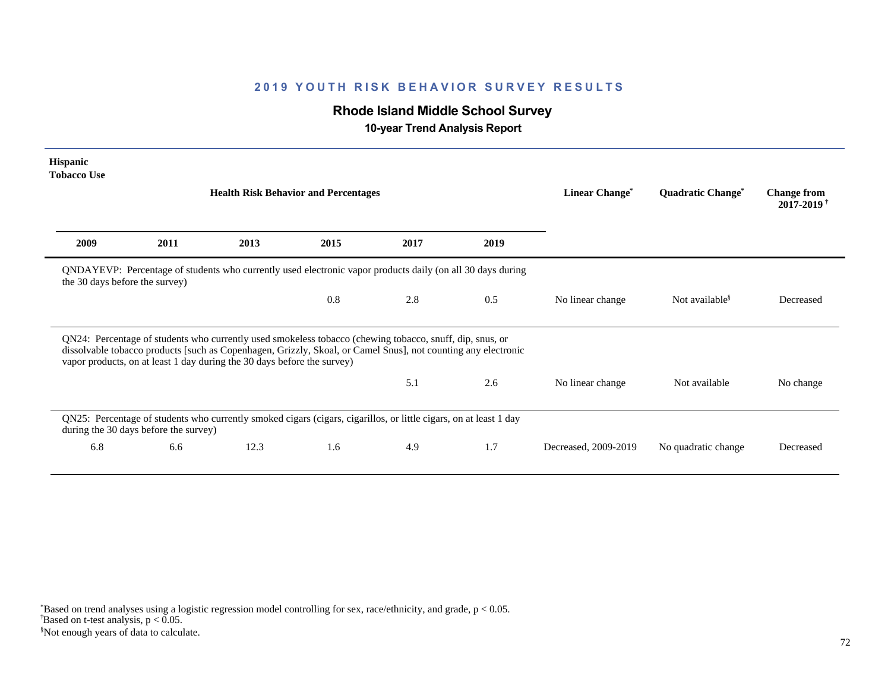# **Rhode Island Middle School Survey**

 **10-year Trend Analysis Report**

| <b>Hispanic</b><br><b>Tobacco Use</b> |                                       |                                                                         |                                                                                                                                                                                                                           |                                     |                                              |                      |                            |           |
|---------------------------------------|---------------------------------------|-------------------------------------------------------------------------|---------------------------------------------------------------------------------------------------------------------------------------------------------------------------------------------------------------------------|-------------------------------------|----------------------------------------------|----------------------|----------------------------|-----------|
|                                       |                                       | <b>Health Risk Behavior and Percentages</b>                             | Linear Change*                                                                                                                                                                                                            | <b>Quadratic Change<sup>®</sup></b> | <b>Change from</b><br>2017-2019 <sup>+</sup> |                      |                            |           |
| 2009                                  | 2011                                  | 2013                                                                    | 2015                                                                                                                                                                                                                      | 2017                                | 2019                                         |                      |                            |           |
| the 30 days before the survey)        |                                       |                                                                         | QNDAYEVP: Percentage of students who currently used electronic vapor products daily (on all 30 days during                                                                                                                |                                     |                                              |                      |                            |           |
|                                       |                                       |                                                                         | 0.8                                                                                                                                                                                                                       | 2.8                                 | 0.5                                          | No linear change     | Not available <sup>§</sup> | Decreased |
|                                       |                                       | vapor products, on at least 1 day during the 30 days before the survey) | QN24: Percentage of students who currently used smokeless tobacco (chewing tobacco, snuff, dip, snus, or<br>dissolvable tobacco products [such as Copenhagen, Grizzly, Skoal, or Camel Snus], not counting any electronic |                                     |                                              |                      |                            |           |
|                                       |                                       |                                                                         |                                                                                                                                                                                                                           | 5.1                                 | 2.6                                          | No linear change     | Not available              | No change |
|                                       | during the 30 days before the survey) |                                                                         | QN25: Percentage of students who currently smoked cigars (cigars, cigarillos, or little cigars, on at least 1 day                                                                                                         |                                     |                                              |                      |                            |           |
| 6.8                                   | 6.6                                   | 12.3                                                                    | 1.6                                                                                                                                                                                                                       | 4.9                                 | 1.7                                          | Decreased, 2009-2019 | No quadratic change        | Decreased |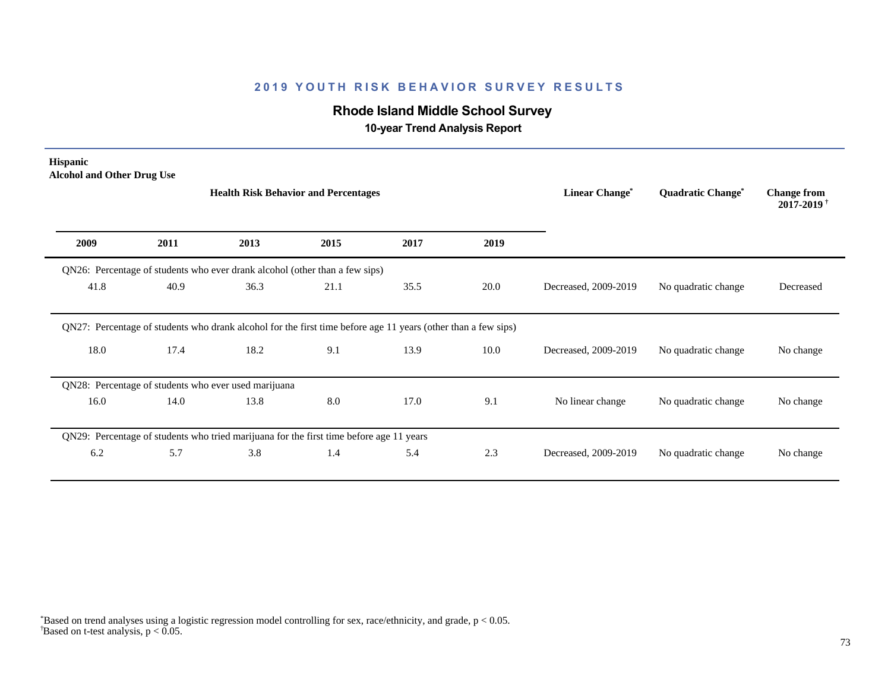# **Rhode Island Middle School Survey**

 **10-year Trend Analysis Report**

| Hispanic<br><b>Alcohol and Other Drug Use</b> |      | <b>Health Risk Behavior and Percentages</b>                                                                   | Linear Change* | <b>Quadratic Change<sup>®</sup></b> | <b>Change from</b><br>$2017 - 2019$ <sup>†</sup> |                      |                     |           |
|-----------------------------------------------|------|---------------------------------------------------------------------------------------------------------------|----------------|-------------------------------------|--------------------------------------------------|----------------------|---------------------|-----------|
| 2009                                          | 2011 | 2013                                                                                                          | 2015           | 2017                                | 2019                                             |                      |                     |           |
|                                               |      | QN26: Percentage of students who ever drank alcohol (other than a few sips)                                   |                |                                     |                                                  |                      |                     |           |
| 41.8                                          | 40.9 | 36.3                                                                                                          | 21.1           | 35.5                                | 20.0                                             | Decreased, 2009-2019 | No quadratic change | Decreased |
|                                               |      | QN27: Percentage of students who drank alcohol for the first time before age 11 years (other than a few sips) |                |                                     |                                                  |                      |                     |           |
| 18.0                                          | 17.4 | 18.2                                                                                                          | 9.1            | 13.9                                | 10.0                                             | Decreased, 2009-2019 | No quadratic change | No change |
|                                               |      | QN28: Percentage of students who ever used marijuana                                                          |                |                                     |                                                  |                      |                     |           |
| 16.0                                          | 14.0 | 13.8                                                                                                          | 8.0            | 17.0                                | 9.1                                              | No linear change     | No quadratic change | No change |
|                                               |      | QN29: Percentage of students who tried marijuana for the first time before age 11 years                       |                |                                     |                                                  |                      |                     |           |
| 6.2                                           | 5.7  | 3.8                                                                                                           | 1.4            | 5.4                                 | 2.3                                              | Decreased, 2009-2019 | No quadratic change | No change |
|                                               |      |                                                                                                               |                |                                     |                                                  |                      |                     |           |

 $\overline{B}$ ased on t-test analysis, p < 0.05. \*Based on trend analyses using a logistic regression model controlling for sex, race/ethnicity, and grade, p < 0.05.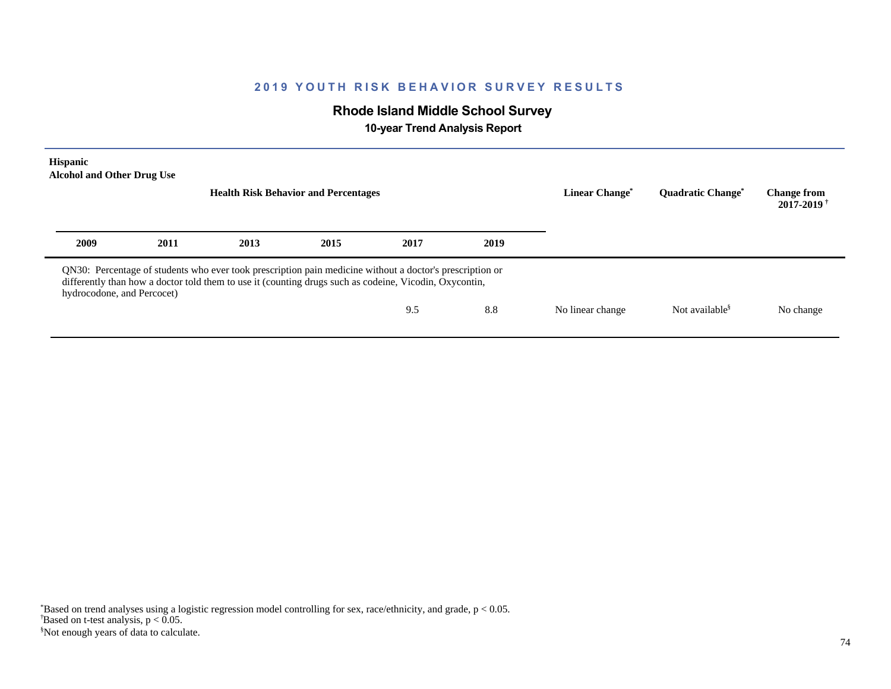# **Rhode Island Middle School Survey**

 **10-year Trend Analysis Report**

| Hispanic<br><b>Alcohol and Other Drug Use</b><br><b>Health Risk Behavior and Percentages</b> |      |                                                                                                                                                                                                                    |      |      |      | Linear Change <sup>®</sup> | <b>Ouadratic Change<sup>®</sup></b> | <b>Change from</b><br>$2017 - 2019$ <sup>+</sup> |
|----------------------------------------------------------------------------------------------|------|--------------------------------------------------------------------------------------------------------------------------------------------------------------------------------------------------------------------|------|------|------|----------------------------|-------------------------------------|--------------------------------------------------|
| 2009                                                                                         | 2011 | 2013                                                                                                                                                                                                               | 2015 | 2017 | 2019 |                            |                                     |                                                  |
| hydrocodone, and Percocet)                                                                   |      | QN30: Percentage of students who ever took prescription pain medicine without a doctor's prescription or<br>differently than how a doctor told them to use it (counting drugs such as codeine, Vicodin, Oxycontin, |      |      |      |                            |                                     |                                                  |
|                                                                                              |      |                                                                                                                                                                                                                    |      | 9.5  | 8.8  | No linear change           | Not available <sup>§</sup>          | No change                                        |
|                                                                                              |      |                                                                                                                                                                                                                    |      |      |      |                            |                                     |                                                  |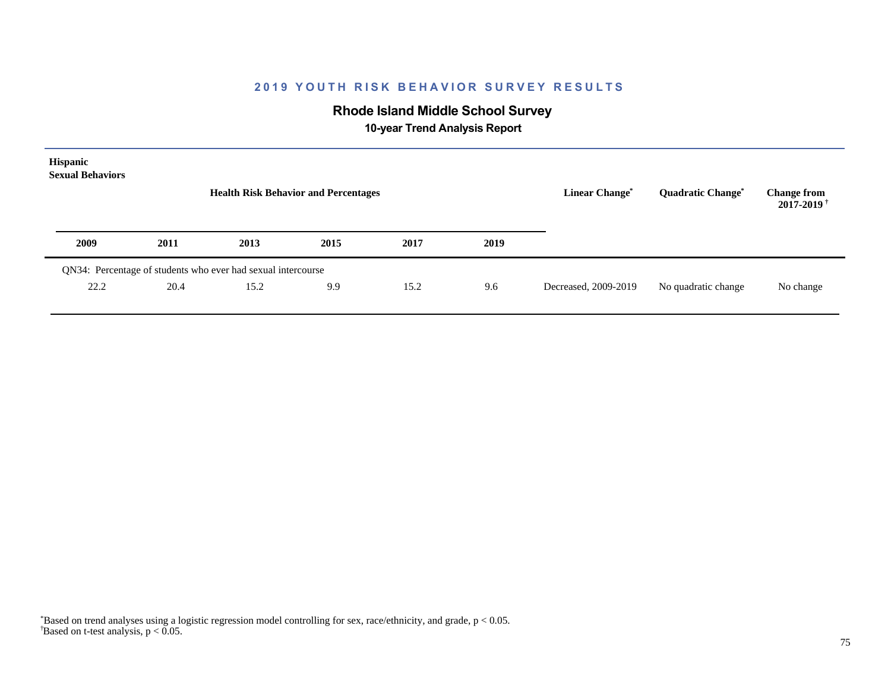# **Rhode Island Middle School Survey**

 **10-year Trend Analysis Report**

| Hispanic<br><b>Sexual Behaviors</b> |      | <b>Health Risk Behavior and Percentages</b>                  |      | <b>Linear Change<sup>*</sup></b> | Quadratic Change* | <b>Change from</b><br>$2017 - 2019$ <sup>+</sup> |                     |           |
|-------------------------------------|------|--------------------------------------------------------------|------|----------------------------------|-------------------|--------------------------------------------------|---------------------|-----------|
| 2009                                | 2011 | 2013                                                         | 2015 | 2017                             | 2019              |                                                  |                     |           |
|                                     |      | QN34: Percentage of students who ever had sexual intercourse |      |                                  |                   |                                                  |                     |           |
| 22.2                                | 20.4 | 15.2                                                         | 9.9  | 15.2                             | 9.6               | Decreased, 2009-2019                             | No quadratic change | No change |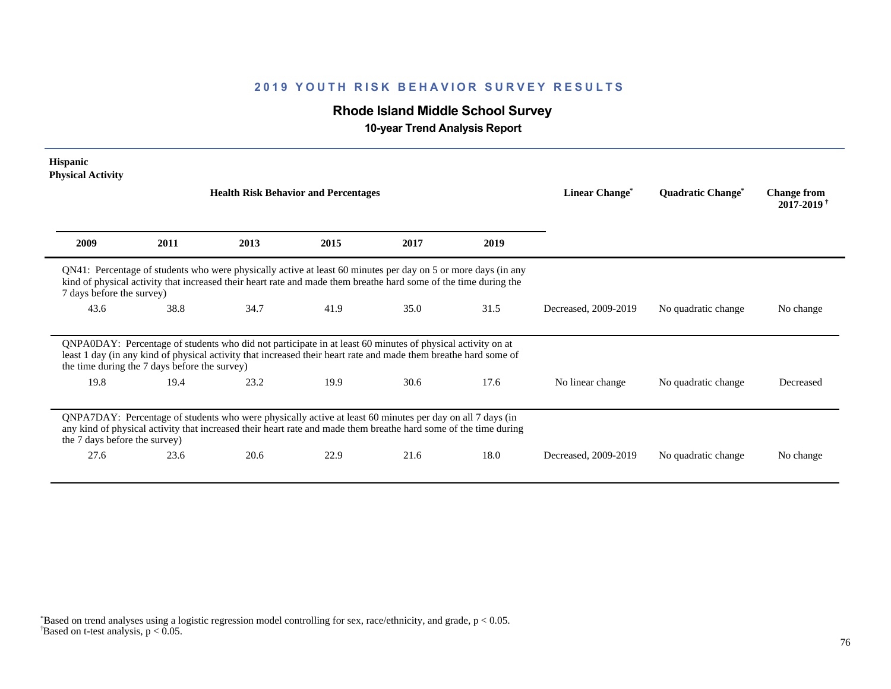# **Rhode Island Middle School Survey**

 **10-year Trend Analysis Report**

| <b>Hispanic</b><br><b>Physical Activity</b>   |      |                                                                                                                                                                                                                                   |                            |                                     |                                                  |                      |                     |           |
|-----------------------------------------------|------|-----------------------------------------------------------------------------------------------------------------------------------------------------------------------------------------------------------------------------------|----------------------------|-------------------------------------|--------------------------------------------------|----------------------|---------------------|-----------|
|                                               |      | <b>Health Risk Behavior and Percentages</b>                                                                                                                                                                                       | Linear Change <sup>*</sup> | <b>Quadratic Change<sup>®</sup></b> | <b>Change from</b><br>$2017 - 2019$ <sup>†</sup> |                      |                     |           |
| 2009                                          | 2011 | 2013                                                                                                                                                                                                                              | 2015                       | 2017                                | 2019                                             |                      |                     |           |
| 7 days before the survey)                     |      | QN41: Percentage of students who were physically active at least 60 minutes per day on 5 or more days (in any<br>kind of physical activity that increased their heart rate and made them breathe hard some of the time during the |                            |                                     |                                                  |                      |                     |           |
| 43.6                                          | 38.8 | 34.7                                                                                                                                                                                                                              | 41.9                       | 35.0                                | 31.5                                             | Decreased, 2009-2019 | No quadratic change | No change |
| the time during the 7 days before the survey) |      | QNPA0DAY: Percentage of students who did not participate in at least 60 minutes of physical activity on at<br>least 1 day (in any kind of physical activity that increased their heart rate and made them breathe hard some of    |                            |                                     |                                                  |                      |                     |           |
| 19.8                                          | 19.4 | 23.2                                                                                                                                                                                                                              | 19.9                       | 30.6                                | 17.6                                             | No linear change     | No quadratic change | Decreased |
| the 7 days before the survey)                 |      | QNPA7DAY: Percentage of students who were physically active at least 60 minutes per day on all 7 days (in<br>any kind of physical activity that increased their heart rate and made them breathe hard some of the time during     |                            |                                     |                                                  |                      |                     |           |
| 27.6                                          | 23.6 | 20.6                                                                                                                                                                                                                              | 22.9                       | 21.6                                | 18.0                                             | Decreased, 2009-2019 | No quadratic change | No change |

 $\overline{B}$ ased on t-test analysis, p < 0.05. \*Based on trend analyses using a logistic regression model controlling for sex, race/ethnicity, and grade, p < 0.05.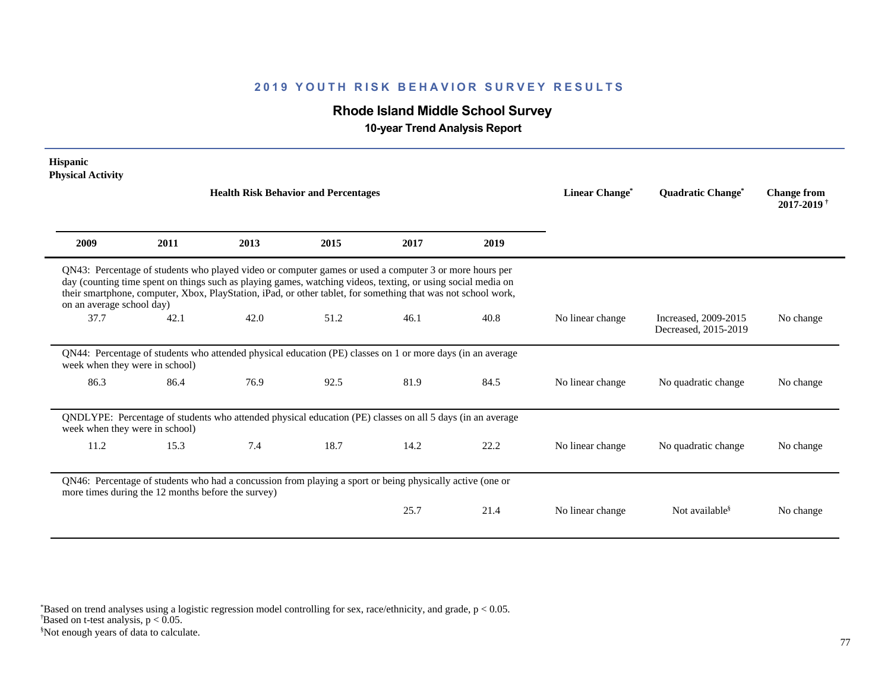# **Rhode Island Middle School Survey**

 **10-year Trend Analysis Report**

| <b>Hispanic</b><br><b>Physical Activity</b>        |      |                                                                                                                                                                                                                                                                                                                                         |      |      |      |                  |                                              |                                                  |
|----------------------------------------------------|------|-----------------------------------------------------------------------------------------------------------------------------------------------------------------------------------------------------------------------------------------------------------------------------------------------------------------------------------------|------|------|------|------------------|----------------------------------------------|--------------------------------------------------|
|                                                    |      | <b>Health Risk Behavior and Percentages</b>                                                                                                                                                                                                                                                                                             |      |      |      | Linear Change*   | <b>Quadratic Change<sup>*</sup></b>          | <b>Change from</b><br>$2017 - 2019$ <sup>†</sup> |
| 2009                                               | 2011 | 2013                                                                                                                                                                                                                                                                                                                                    | 2015 | 2017 | 2019 |                  |                                              |                                                  |
| on an average school day)                          |      | QN43: Percentage of students who played video or computer games or used a computer 3 or more hours per<br>day (counting time spent on things such as playing games, watching videos, texting, or using social media on<br>their smartphone, computer, Xbox, PlayStation, iPad, or other tablet, for something that was not school work, |      |      |      |                  |                                              |                                                  |
| 37.7                                               | 42.1 | 42.0                                                                                                                                                                                                                                                                                                                                    | 51.2 | 46.1 | 40.8 | No linear change | Increased, 2009-2015<br>Decreased, 2015-2019 | No change                                        |
| week when they were in school)                     |      | QN44: Percentage of students who attended physical education (PE) classes on 1 or more days (in an average                                                                                                                                                                                                                              |      |      |      |                  |                                              |                                                  |
| 86.3                                               | 86.4 | 76.9                                                                                                                                                                                                                                                                                                                                    | 92.5 | 81.9 | 84.5 | No linear change | No quadratic change                          | No change                                        |
| week when they were in school)                     |      | QNDLYPE: Percentage of students who attended physical education (PE) classes on all 5 days (in an average                                                                                                                                                                                                                               |      |      |      |                  |                                              |                                                  |
| 11.2                                               | 15.3 | 7.4                                                                                                                                                                                                                                                                                                                                     | 18.7 | 14.2 | 22.2 | No linear change | No quadratic change                          | No change                                        |
| more times during the 12 months before the survey) |      | QN46: Percentage of students who had a concussion from playing a sport or being physically active (one or                                                                                                                                                                                                                               |      |      |      |                  |                                              |                                                  |
|                                                    |      |                                                                                                                                                                                                                                                                                                                                         |      | 25.7 | 21.4 | No linear change | Not available <sup>§</sup>                   | No change                                        |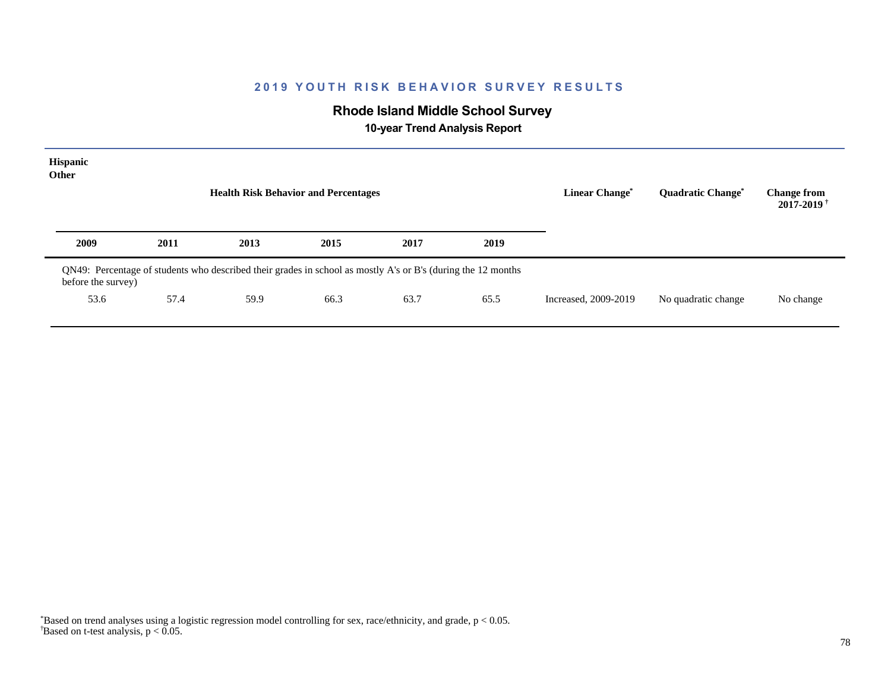# **Rhode Island Middle School Survey**

 **10-year Trend Analysis Report**

| Hispanic<br><b>Other</b> |                                                                                                              | <b>Health Risk Behavior and Percentages</b> |      |      |      | <b>Linear Change*</b> | Quadratic Change*   | <b>Change from</b><br>$2017 - 2019$ <sup>+</sup> |
|--------------------------|--------------------------------------------------------------------------------------------------------------|---------------------------------------------|------|------|------|-----------------------|---------------------|--------------------------------------------------|
| 2009                     | 2011                                                                                                         | 2013                                        | 2015 | 2017 | 2019 |                       |                     |                                                  |
| before the survey)       | QN49: Percentage of students who described their grades in school as mostly A's or B's (during the 12 months |                                             |      |      |      |                       |                     |                                                  |
| 53.6                     | 57.4                                                                                                         | 59.9                                        | 66.3 | 63.7 | 65.5 | Increased, 2009-2019  | No quadratic change | No change                                        |
|                          |                                                                                                              |                                             |      |      |      |                       |                     |                                                  |

 $\overline{B}$ ased on t-test analysis, p < 0.05. \*Based on trend analyses using a logistic regression model controlling for sex, race/ethnicity, and grade, p < 0.05.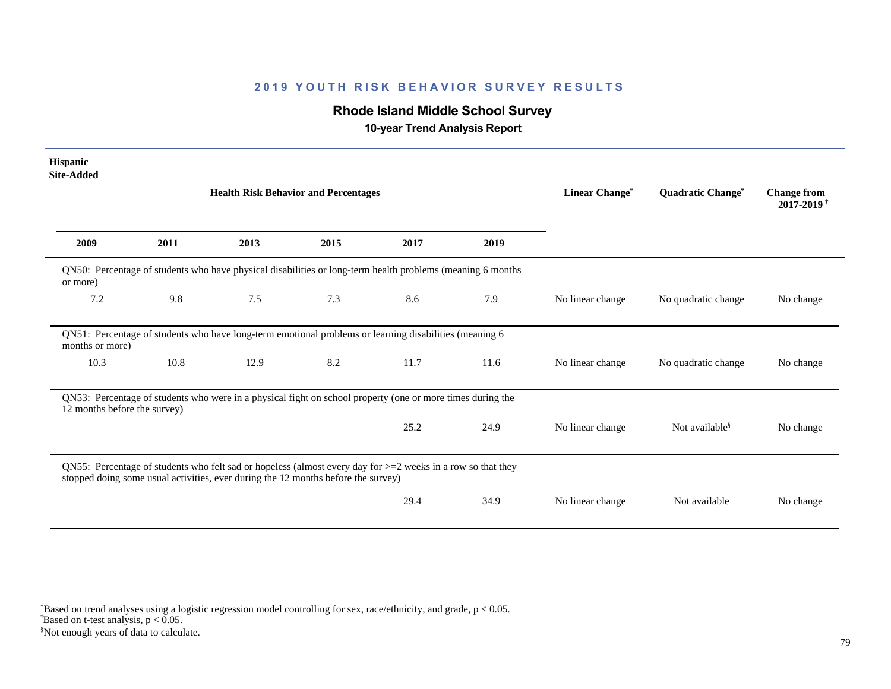# **Rhode Island Middle School Survey**

 **10-year Trend Analysis Report**

| <b>Hispanic</b><br><b>Site-Added</b>                                                                                                                                                                |      |                                                                                                            |                |                   |                                                  |                  |                            |           |
|-----------------------------------------------------------------------------------------------------------------------------------------------------------------------------------------------------|------|------------------------------------------------------------------------------------------------------------|----------------|-------------------|--------------------------------------------------|------------------|----------------------------|-----------|
|                                                                                                                                                                                                     |      | <b>Health Risk Behavior and Percentages</b>                                                                | Linear Change* | Quadratic Change* | <b>Change from</b><br>$2017 - 2019$ <sup>+</sup> |                  |                            |           |
| 2009                                                                                                                                                                                                | 2011 | 2013                                                                                                       | 2015           | 2017              | 2019                                             |                  |                            |           |
| or more)                                                                                                                                                                                            |      | QN50: Percentage of students who have physical disabilities or long-term health problems (meaning 6 months |                |                   |                                                  |                  |                            |           |
| 7.2                                                                                                                                                                                                 | 9.8  | 7.5                                                                                                        | 7.3            | 8.6               | 7.9                                              | No linear change | No quadratic change        | No change |
| months or more)                                                                                                                                                                                     |      | QN51: Percentage of students who have long-term emotional problems or learning disabilities (meaning 6     |                |                   |                                                  |                  |                            |           |
| 10.3                                                                                                                                                                                                | 10.8 | 12.9                                                                                                       | 8.2            | 11.7              | 11.6                                             | No linear change | No quadratic change        | No change |
| 12 months before the survey)                                                                                                                                                                        |      | QN53: Percentage of students who were in a physical fight on school property (one or more times during the |                |                   |                                                  |                  |                            |           |
|                                                                                                                                                                                                     |      |                                                                                                            |                | 25.2              | 24.9                                             | No linear change | Not available <sup>§</sup> | No change |
| QN55: Percentage of students who felt sad or hopeless (almost every day for $>=$ 2 weeks in a row so that they<br>stopped doing some usual activities, ever during the 12 months before the survey) |      |                                                                                                            |                |                   |                                                  |                  |                            |           |
|                                                                                                                                                                                                     |      |                                                                                                            |                | 29.4              | 34.9                                             | No linear change | Not available              | No change |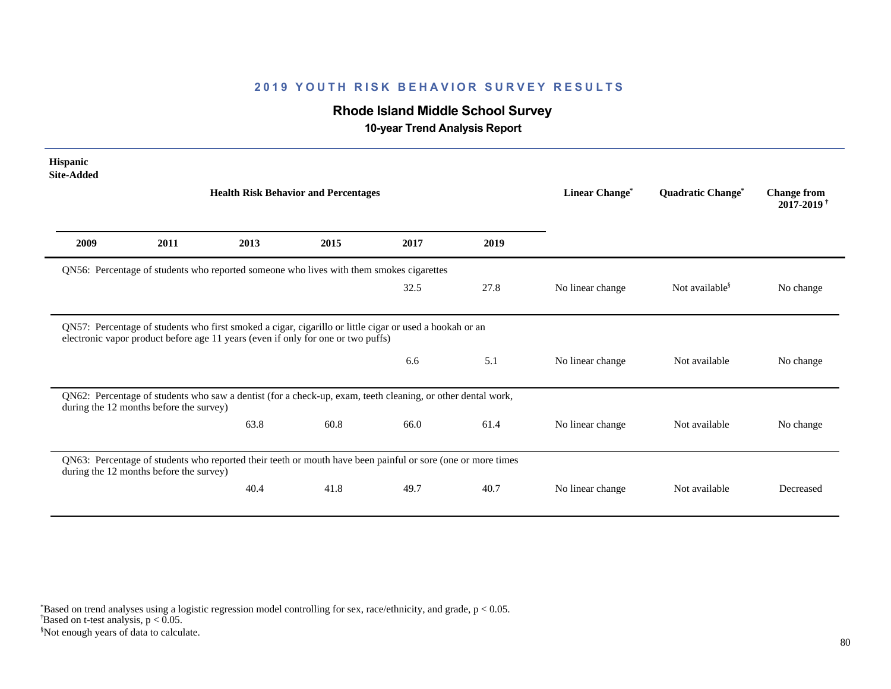# **Rhode Island Middle School Survey**

 **10-year Trend Analysis Report**

| <b>Hispanic</b><br><b>Site-Added</b> |                                                                                                                                                                                             |      |      |      |      |                  |                            |                                                  |  |
|--------------------------------------|---------------------------------------------------------------------------------------------------------------------------------------------------------------------------------------------|------|------|------|------|------------------|----------------------------|--------------------------------------------------|--|
|                                      | <b>Health Risk Behavior and Percentages</b>                                                                                                                                                 |      |      |      |      |                  | Quadratic Change*          | <b>Change from</b><br>$2017 - 2019$ <sup>†</sup> |  |
| 2009                                 | 2011                                                                                                                                                                                        | 2013 | 2015 | 2017 | 2019 |                  |                            |                                                  |  |
|                                      | QN56: Percentage of students who reported someone who lives with them smokes cigarettes                                                                                                     |      |      |      |      |                  |                            |                                                  |  |
|                                      |                                                                                                                                                                                             |      |      | 32.5 | 27.8 | No linear change | Not available <sup>§</sup> | No change                                        |  |
|                                      | QN57: Percentage of students who first smoked a cigar, cigarillo or little cigar or used a hookah or an<br>electronic vapor product before age 11 years (even if only for one or two puffs) |      |      |      |      |                  |                            |                                                  |  |
|                                      |                                                                                                                                                                                             |      |      | 6.6  | 5.1  | No linear change | Not available              | No change                                        |  |
|                                      | QN62: Percentage of students who saw a dentist (for a check-up, exam, teeth cleaning, or other dental work,<br>during the 12 months before the survey)                                      |      |      |      |      |                  |                            |                                                  |  |
|                                      |                                                                                                                                                                                             | 63.8 | 60.8 | 66.0 | 61.4 | No linear change | Not available              | No change                                        |  |
|                                      | QN63: Percentage of students who reported their teeth or mouth have been painful or sore (one or more times<br>during the 12 months before the survey)                                      |      |      |      |      |                  |                            |                                                  |  |
|                                      |                                                                                                                                                                                             | 40.4 | 41.8 | 49.7 | 40.7 | No linear change | Not available              | Decreased                                        |  |